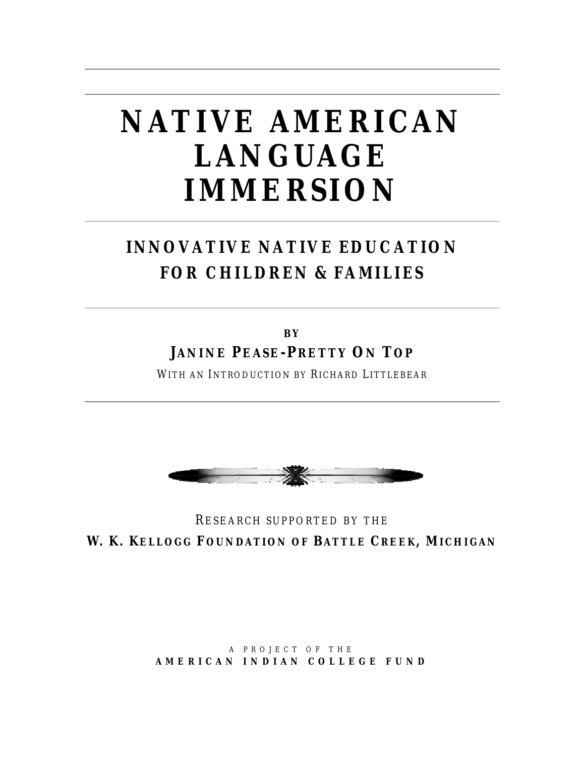# **NATIVE AMERICAN LANGUAGE IMMERSION**

# *INNOVATIVE NATIVE EDUCATION FOR CHILDREN & FAMILIES*

**B Y JANINE PEASE-PRETTY ON TOP** 

WITH AN INTRODUCTION BY RICHARD LITTLEBEAR



RESEARCH SUPPORTED BY THE **W. K. KELLOGG FOUNDATION OF BATTLE CREEK, MICHIGAN**

> A PROJECT OF THE **AMERICAN INDIAN COLLEGE FUND**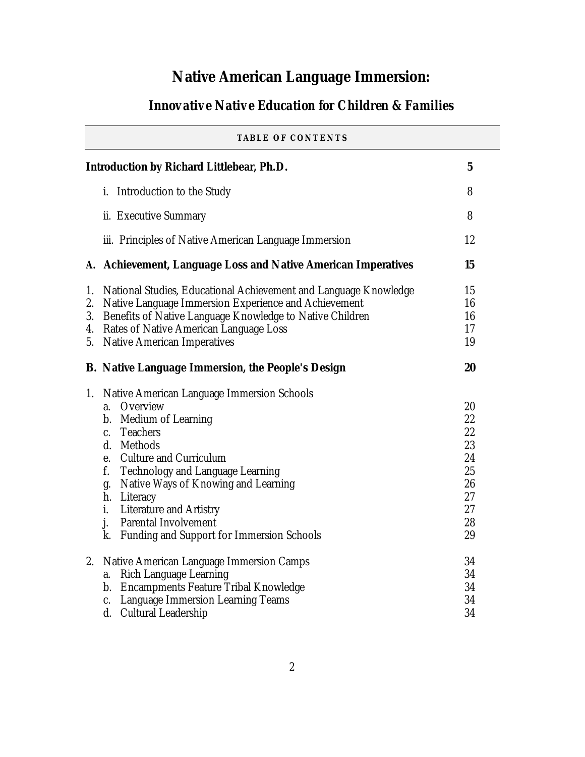# **Native American Language Immersion:**

# *Innovative Native Education for Children & Families*

|                      | <b>TABLE OF CONTENTS</b>                                                                                                                                                                                                                                                                                                                                                                         |                                                                |  |
|----------------------|--------------------------------------------------------------------------------------------------------------------------------------------------------------------------------------------------------------------------------------------------------------------------------------------------------------------------------------------------------------------------------------------------|----------------------------------------------------------------|--|
|                      | <b>Introduction by Richard Littlebear, Ph.D.</b>                                                                                                                                                                                                                                                                                                                                                 | $\mathbf 5$                                                    |  |
|                      | Introduction to the Study<br>i.                                                                                                                                                                                                                                                                                                                                                                  | 8                                                              |  |
|                      | ii. Executive Summary                                                                                                                                                                                                                                                                                                                                                                            | 8                                                              |  |
|                      | iii. Principles of Native American Language Immersion                                                                                                                                                                                                                                                                                                                                            | 12                                                             |  |
|                      | A. Achievement, Language Loss and Native American Imperatives                                                                                                                                                                                                                                                                                                                                    | 15                                                             |  |
| 1.<br>2.<br>3.<br>5. | National Studies, Educational Achievement and Language Knowledge<br>Native Language Immersion Experience and Achievement<br>Benefits of Native Language Knowledge to Native Children<br>4. Rates of Native American Language Loss<br><b>Native American Imperatives</b>                                                                                                                          | 15<br>16<br>16<br>17<br>19                                     |  |
|                      | <b>B.</b> Native Language Immersion, the People's Design                                                                                                                                                                                                                                                                                                                                         | 20                                                             |  |
| 1.                   | <b>Native American Language Immersion Schools</b><br>Overview<br>a.<br>b. Medium of Learning<br>c. Teachers<br>d. Methods<br>e. Culture and Curriculum<br>f. Technology and Language Learning<br>Native Ways of Knowing and Learning<br>g.<br>h. Literacy<br><b>Literature and Artistry</b><br>i.<br><b>Parental Involvement</b><br>j.<br><b>Funding and Support for Immersion Schools</b><br>k. | 20<br>22<br>22<br>23<br>24<br>25<br>26<br>27<br>27<br>28<br>29 |  |
|                      | 2. Native American Language Immersion Camps<br><b>Rich Language Learning</b><br>a.<br><b>Encampments Feature Tribal Knowledge</b><br>$\mathbf{b}$ .<br><b>Language Immersion Learning Teams</b><br>c.<br>d.<br><b>Cultural Leadership</b>                                                                                                                                                        | 34<br>34<br>34<br>34<br>34                                     |  |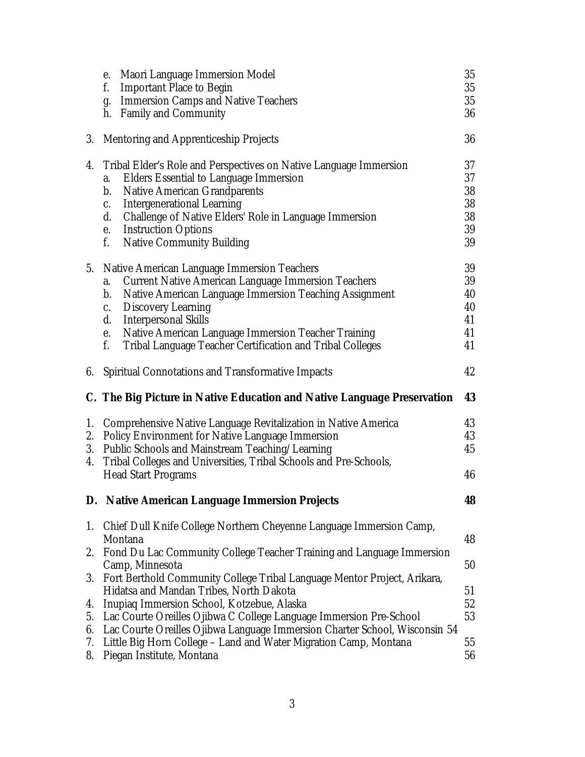| 3.<br><b>Mentoring and Apprenticeship Projects</b><br>Tribal Elder's Role and Perspectives on Native Language Immersion<br>4.<br><b>Elders Essential to Language Immersion</b><br>a.<br><b>Native American Grandparents</b><br>$\mathbf{b}$ .<br><b>Intergenerational Learning</b><br>c.<br>d.<br>Challenge of Native Elders' Role in Language Immersion<br><b>Instruction Options</b><br>e.<br>f.<br><b>Native Community Building</b><br>5.<br><b>Native American Language Immersion Teachers</b><br><b>Current Native American Language Immersion Teachers</b><br>a.<br><b>Native American Language Immersion Teaching Assignment</b><br>$\mathbf{b}$ .<br><b>Discovery Learning</b><br>c.<br>d. Interpersonal Skills<br>Native American Language Immersion Teacher Training<br>e.<br>f.<br><b>Tribal Language Teacher Certification and Tribal Colleges</b><br><b>Spiritual Connotations and Transformative Impacts</b><br>6.<br>C. The Big Picture in Native Education and Native Language Preservation<br><b>Comprehensive Native Language Revitalization in Native America</b><br>1.<br><b>Policy Environment for Native Language Immersion</b><br>2.<br>3. Public Schools and Mainstream Teaching/Learning<br>Tribal Colleges and Universities, Tribal Schools and Pre-Schools,<br>4.<br><b>Head Start Programs</b><br>D. Native American Language Immersion Projects<br>Chief Dull Knife College Northern Cheyenne Language Immersion Camp,<br>1.<br>Montana<br>Fond Du Lac Community College Teacher Training and Language Immersion<br>2.<br>Camp, Minnesota<br>Fort Berthold Community College Tribal Language Mentor Project, Arikara,<br>3.<br>Hidatsa and Mandan Tribes, North Dakota<br>Inupiaq Immersion School, Kotzebue, Alaska<br>4.<br>Lac Courte Oreilles Ojibwa C College Language Immersion Pre-School<br>5.<br>6.<br>Little Big Horn College - Land and Water Migration Camp, Montana<br>7. | <b>Maori Language Immersion Model</b><br>e.<br><b>Important Place to Begin</b><br>f.<br>g. Immersion Camps and Native Teachers<br><b>Family and Community</b><br>h. | 35<br>35<br>35<br>36                   |
|---------------------------------------------------------------------------------------------------------------------------------------------------------------------------------------------------------------------------------------------------------------------------------------------------------------------------------------------------------------------------------------------------------------------------------------------------------------------------------------------------------------------------------------------------------------------------------------------------------------------------------------------------------------------------------------------------------------------------------------------------------------------------------------------------------------------------------------------------------------------------------------------------------------------------------------------------------------------------------------------------------------------------------------------------------------------------------------------------------------------------------------------------------------------------------------------------------------------------------------------------------------------------------------------------------------------------------------------------------------------------------------------------------------------------------------------------------------------------------------------------------------------------------------------------------------------------------------------------------------------------------------------------------------------------------------------------------------------------------------------------------------------------------------------------------------------------------------------------------------------------------------------------------------------|---------------------------------------------------------------------------------------------------------------------------------------------------------------------|----------------------------------------|
|                                                                                                                                                                                                                                                                                                                                                                                                                                                                                                                                                                                                                                                                                                                                                                                                                                                                                                                                                                                                                                                                                                                                                                                                                                                                                                                                                                                                                                                                                                                                                                                                                                                                                                                                                                                                                                                                                                                     |                                                                                                                                                                     | 36                                     |
|                                                                                                                                                                                                                                                                                                                                                                                                                                                                                                                                                                                                                                                                                                                                                                                                                                                                                                                                                                                                                                                                                                                                                                                                                                                                                                                                                                                                                                                                                                                                                                                                                                                                                                                                                                                                                                                                                                                     |                                                                                                                                                                     | 37<br>37<br>38<br>38<br>38<br>39<br>39 |
|                                                                                                                                                                                                                                                                                                                                                                                                                                                                                                                                                                                                                                                                                                                                                                                                                                                                                                                                                                                                                                                                                                                                                                                                                                                                                                                                                                                                                                                                                                                                                                                                                                                                                                                                                                                                                                                                                                                     |                                                                                                                                                                     | 39<br>39<br>40<br>40<br>41<br>41<br>41 |
|                                                                                                                                                                                                                                                                                                                                                                                                                                                                                                                                                                                                                                                                                                                                                                                                                                                                                                                                                                                                                                                                                                                                                                                                                                                                                                                                                                                                                                                                                                                                                                                                                                                                                                                                                                                                                                                                                                                     |                                                                                                                                                                     | 42                                     |
|                                                                                                                                                                                                                                                                                                                                                                                                                                                                                                                                                                                                                                                                                                                                                                                                                                                                                                                                                                                                                                                                                                                                                                                                                                                                                                                                                                                                                                                                                                                                                                                                                                                                                                                                                                                                                                                                                                                     |                                                                                                                                                                     | 43                                     |
|                                                                                                                                                                                                                                                                                                                                                                                                                                                                                                                                                                                                                                                                                                                                                                                                                                                                                                                                                                                                                                                                                                                                                                                                                                                                                                                                                                                                                                                                                                                                                                                                                                                                                                                                                                                                                                                                                                                     |                                                                                                                                                                     | 43<br>43<br>45<br>46                   |
|                                                                                                                                                                                                                                                                                                                                                                                                                                                                                                                                                                                                                                                                                                                                                                                                                                                                                                                                                                                                                                                                                                                                                                                                                                                                                                                                                                                                                                                                                                                                                                                                                                                                                                                                                                                                                                                                                                                     |                                                                                                                                                                     | 48                                     |
|                                                                                                                                                                                                                                                                                                                                                                                                                                                                                                                                                                                                                                                                                                                                                                                                                                                                                                                                                                                                                                                                                                                                                                                                                                                                                                                                                                                                                                                                                                                                                                                                                                                                                                                                                                                                                                                                                                                     |                                                                                                                                                                     | 48                                     |
|                                                                                                                                                                                                                                                                                                                                                                                                                                                                                                                                                                                                                                                                                                                                                                                                                                                                                                                                                                                                                                                                                                                                                                                                                                                                                                                                                                                                                                                                                                                                                                                                                                                                                                                                                                                                                                                                                                                     |                                                                                                                                                                     | 50                                     |
|                                                                                                                                                                                                                                                                                                                                                                                                                                                                                                                                                                                                                                                                                                                                                                                                                                                                                                                                                                                                                                                                                                                                                                                                                                                                                                                                                                                                                                                                                                                                                                                                                                                                                                                                                                                                                                                                                                                     | Lac Courte Oreilles Ojibwa Language Immersion Charter School, Wisconsin 54<br>8. Piegan Institute, Montana                                                          | 51<br>52<br>53<br>55<br>56             |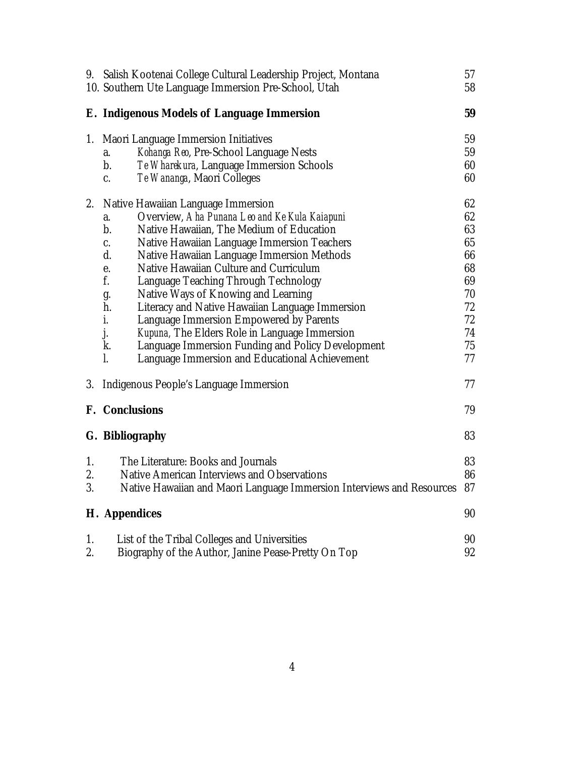|    | 9. Salish Kootenai College Cultural Leadership Project, Montana<br>57       |    |  |
|----|-----------------------------------------------------------------------------|----|--|
|    | 58<br>10. Southern Ute Language Immersion Pre-School, Utah                  |    |  |
|    | E. Indigenous Models of Language Immersion                                  |    |  |
| 1. | <b>Maori Language Immersion Initiatives</b>                                 | 59 |  |
|    | Kohanga Reo, Pre-School Language Nests<br>a.                                | 59 |  |
|    | $\mathbf{b}$ .<br>Te Wharekura, Language Immersion Schools                  | 60 |  |
|    | <i>Te Wananga</i> , Maori Colleges<br>c.                                    | 60 |  |
| 2. | Native Hawaiian Language Immersion                                          | 62 |  |
|    | Overview, Aha Punana Leo and Ke Kula Kaiapuni<br>a.                         | 62 |  |
|    | Native Hawaiian, The Medium of Education<br>$\mathbf{b}$ .                  | 63 |  |
|    | <b>Native Hawaiian Language Immersion Teachers</b><br>c.                    | 65 |  |
|    | d.<br>Native Hawaiian Language Immersion Methods                            | 66 |  |
|    | <b>Native Hawaiian Culture and Curriculum</b><br>e.                         | 68 |  |
|    | f.<br>Language Teaching Through Technology                                  | 69 |  |
|    | Native Ways of Knowing and Learning<br>g.                                   | 70 |  |
|    | h.<br>Literacy and Native Hawaiian Language Immersion                       | 72 |  |
|    | i.<br>Language Immersion Empowered by Parents                               | 72 |  |
|    | j.<br>Kupuna, The Elders Role in Language Immersion                         | 74 |  |
|    | k.<br><b>Language Immersion Funding and Policy Development</b>              | 75 |  |
|    | l.<br><b>Language Immersion and Educational Achievement</b>                 | 77 |  |
| 3. | <b>Indigenous People's Language Immersion</b>                               | 77 |  |
|    | <b>F.</b> Conclusions                                                       | 79 |  |
|    | G. Bibliography                                                             | 83 |  |
| 1. | The Literature: Books and Journals                                          | 83 |  |
| 2. | <b>Native American Interviews and Observations</b>                          | 86 |  |
| 3. | 87<br>Native Hawaiian and Maori Language Immersion Interviews and Resources |    |  |
|    |                                                                             |    |  |
|    | <b>H.</b> Appendices                                                        | 90 |  |
| 1. | List of the Tribal Colleges and Universities                                | 90 |  |
| 2. | 92<br>Biography of the Author, Janine Pease-Pretty On Top                   |    |  |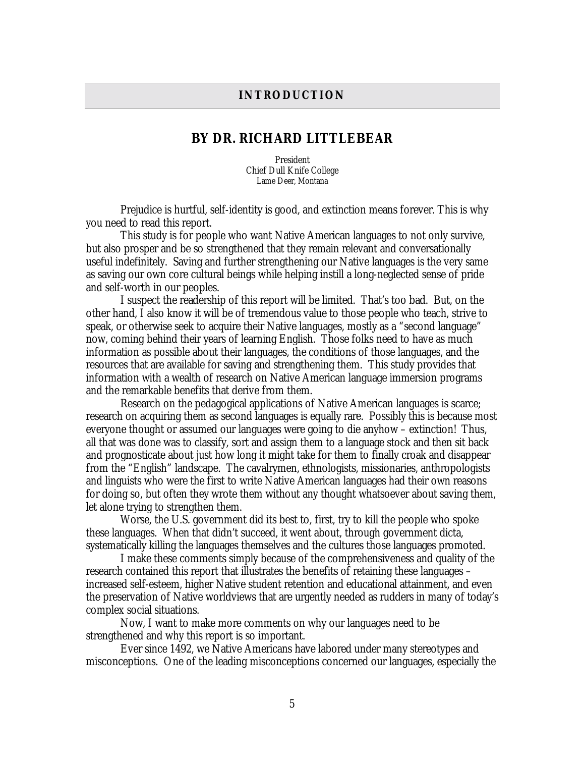## **INTRODUCTION**

# **BY DR. RICHARD LITTLEBEAR**

President Chief Dull Knife College Lame Deer, Montana

Prejudice is hurtful, self-identity is good, and extinction means forever. This is why you need to read this report.

This study is for people who want Native American languages to not only survive, but also prosper and be so strengthened that they remain relevant and conversationally useful indefinitely. Saving and further strengthening our Native languages is the very same as saving our own core cultural beings while helping instill a long-neglected sense of pride and self-worth in our peoples.

I suspect the readership of this report will be limited. That's too bad. But, on the other hand, I also know it will be of tremendous value to those people who teach, strive to speak, or otherwise seek to acquire their Native languages, mostly as a "second language" now, coming behind their years of learning English. Those folks need to have as much information as possible about their languages, the conditions of those languages, and the resources that are available for saving and strengthening them. This study provides that information with a wealth of research on Native American language immersion programs and the remarkable benefits that derive from them.

Research on the pedagogical applications of Native American languages is scarce; research on acquiring them as second languages is equally rare. Possibly this is because most everyone thought or assumed our languages were going to die anyhow – extinction! Thus, all that was done was to classify, sort and assign them to a language stock and then sit back and prognosticate about just how long it might take for them to finally croak and disappear from the "English" landscape. The cavalrymen, ethnologists, missionaries, anthropologists and linguists who were the first to write Native American languages had their own reasons for doing so, but often they wrote them without any thought whatsoever about saving them, let alone trying to strengthen them.

Worse, the U.S. government did its best to, first, try to kill the people who spoke these languages. When that didn't succeed, it went about, through government dicta, systematically killing the languages themselves and the cultures those languages promoted.

I make these comments simply because of the comprehensiveness and quality of the research contained this report that illustrates the benefits of retaining these languages – increased self-esteem, higher Native student retention and educational attainment, and even the preservation of Native worldviews that are urgently needed as rudders in many of today's complex social situations.

Now, I want to make more comments on why our languages need to be strengthened and why this report is so important.

Ever since 1492, we Native Americans have labored under many stereotypes and misconceptions. One of the leading misconceptions concerned our languages, especially the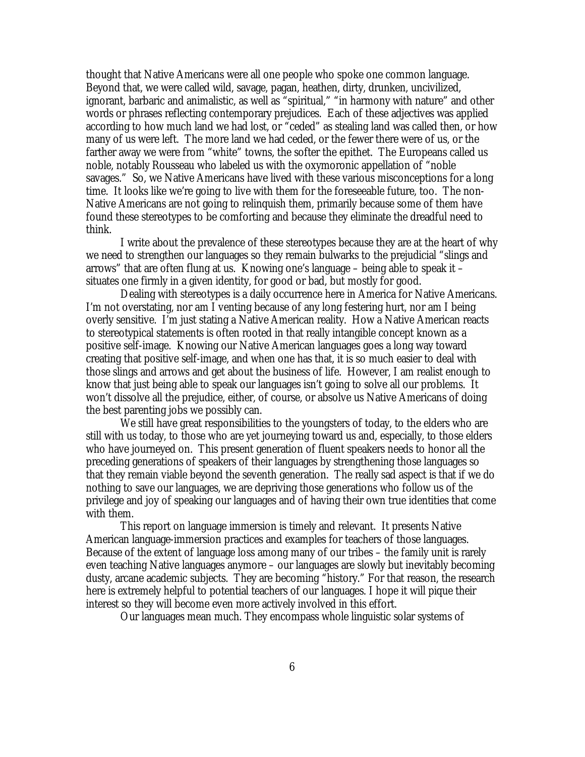thought that Native Americans were all one people who spoke one common language. Beyond that, we were called wild, savage, pagan, heathen, dirty, drunken, uncivilized, ignorant, barbaric and animalistic, as well as "spiritual," "in harmony with nature" and other words or phrases reflecting contemporary prejudices. Each of these adjectives was applied according to how much land we had lost, or "ceded" as stealing land was called then, or how many of us were left. The more land we had ceded, or the fewer there were of us, or the farther away we were from "white" towns, the softer the epithet. The Europeans called us noble, notably Rousseau who labeled us with the oxymoronic appellation of "noble savages." So, we Native Americans have lived with these various misconceptions for a long time. It looks like we're going to live with them for the foreseeable future, too. The non-Native Americans are not going to relinquish them, primarily because some of them have found these stereotypes to be comforting and because they eliminate the dreadful need to think.

I write about the prevalence of these stereotypes because they are at the heart of why we need to strengthen our languages so they remain bulwarks to the prejudicial "slings and arrows" that are often flung at us. Knowing one's language – being able to speak it – situates one firmly in a given identity, for good or bad, but mostly for good.

Dealing with stereotypes is a daily occurrence here in America for Native Americans. I'm not overstating, nor am I venting because of any long festering hurt, nor am I being overly sensitive. I'm just stating a Native American reality. How a Native American reacts to stereotypical statements is often rooted in that really intangible concept known as a positive self-image. Knowing our Native American languages goes a long way toward creating that positive self-image, and when one has that, it is so much easier to deal with those slings and arrows and get about the business of life. However, I am realist enough to know that just being able to speak our languages isn't going to solve all our problems. It won't dissolve all the prejudice, either, of course, or absolve us Native Americans of doing the best parenting jobs we possibly can.

We still have great responsibilities to the youngsters of today, to the elders who are still with us today, to those who are yet journeying toward us and, especially, to those elders who have journeyed on. This present generation of fluent speakers needs to honor all the preceding generations of speakers of their languages by strengthening those languages so that they remain viable beyond the seventh generation. The really sad aspect is that if we do nothing to save our languages, we are depriving those generations who follow us of the privilege and joy of speaking our languages and of having their own true identities that come with them.

This report on language immersion is timely and relevant. It presents Native American language-immersion practices and examples for teachers of those languages. Because of the extent of language loss among many of our tribes – the family unit is rarely even teaching Native languages anymore – our languages are slowly but inevitably becoming dusty, arcane academic subjects. They are becoming "history." For that reason, the research here is extremely helpful to potential teachers of our languages. I hope it will pique their interest so they will become even more actively involved in this effort.

Our languages mean much. They encompass whole linguistic solar systems of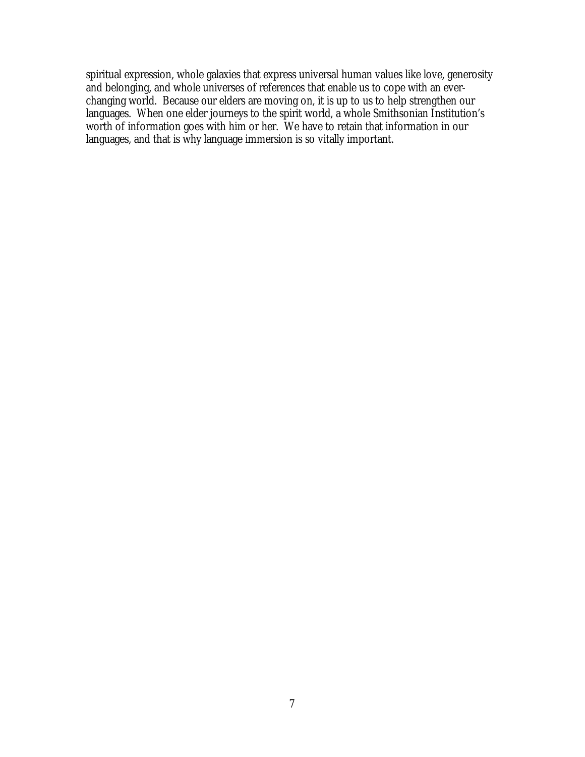spiritual expression, whole galaxies that express universal human values like love, generosity and belonging, and whole universes of references that enable us to cope with an everchanging world. Because our elders are moving on, it is up to us to help strengthen our languages. When one elder journeys to the spirit world, a whole Smithsonian Institution's worth of information goes with him or her. We have to retain that information in our languages, and that is why language immersion is so vitally important.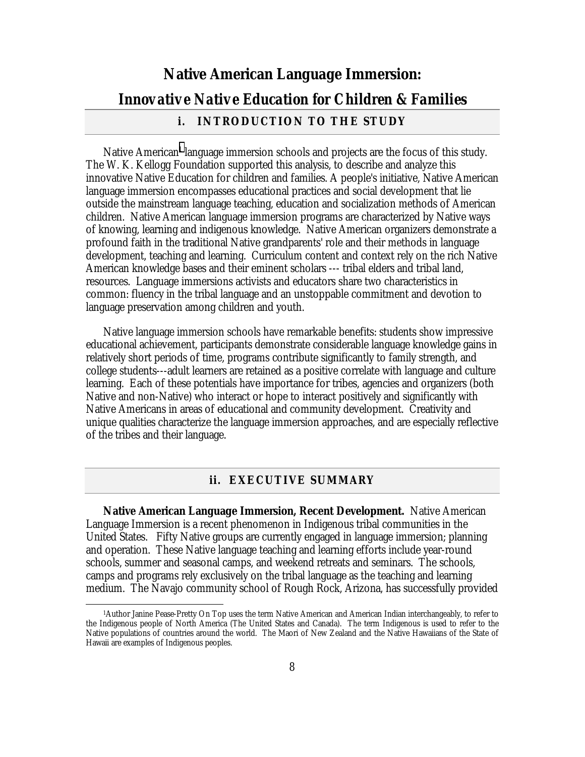# **Native American Language Immersion:**

# *Innovative Native Education for Children & Families*

# **i. INTRODUCTION TO THE STUDY**

Native American<sup>1</sup> language immersion schools and projects are the focus of this study. The W. K. Kellogg Foundation supported this analysis, to describe and analyze this innovative Native Education for children and families. A people's initiative, Native American language immersion encompasses educational practices and social development that lie outside the mainstream language teaching, education and socialization methods of American children. Native American language immersion programs are characterized by Native ways of knowing, learning and indigenous knowledge. Native American organizers demonstrate a profound faith in the traditional Native grandparents' role and their methods in language development, teaching and learning. Curriculum content and context rely on the rich Native American knowledge bases and their eminent scholars --- tribal elders and tribal land, resources. Language immersions activists and educators share two characteristics in common: fluency in the tribal language and an unstoppable commitment and devotion to language preservation among children and youth.

Native language immersion schools have remarkable benefits: students show impressive educational achievement, participants demonstrate considerable language knowledge gains in relatively short periods of time, programs contribute significantly to family strength, and college students---adult learners are retained as a positive correlate with language and culture learning. Each of these potentials have importance for tribes, agencies and organizers (both Native and non-Native) who interact or hope to interact positively and significantly with Native Americans in areas of educational and community development. Creativity and unique qualities characterize the language immersion approaches, and are especially reflective of the tribes and their language.

#### **ii. EXECUTIVE SUMMARY**

**Native American Language Immersion, Recent Development.** Native American Language Immersion is a recent phenomenon in Indigenous tribal communities in the United States. Fifty Native groups are currently engaged in language immersion; planning and operation. These Native language teaching and learning efforts include year-round schools, summer and seasonal camps, and weekend retreats and seminars. The schools, camps and programs rely exclusively on the tribal language as the teaching and learning medium. The Navajo community school of Rough Rock, Arizona, has successfully provided

 <sup>1</sup>Author Janine Pease-Pretty On Top uses the term Native American and American Indian interchangeably, to refer to the Indigenous people of North America (The United States and Canada). The term Indigenous is used to refer to the Native populations of countries around the world. The Maori of New Zealand and the Native Hawaiians of the State of Hawaii are examples of Indigenous peoples.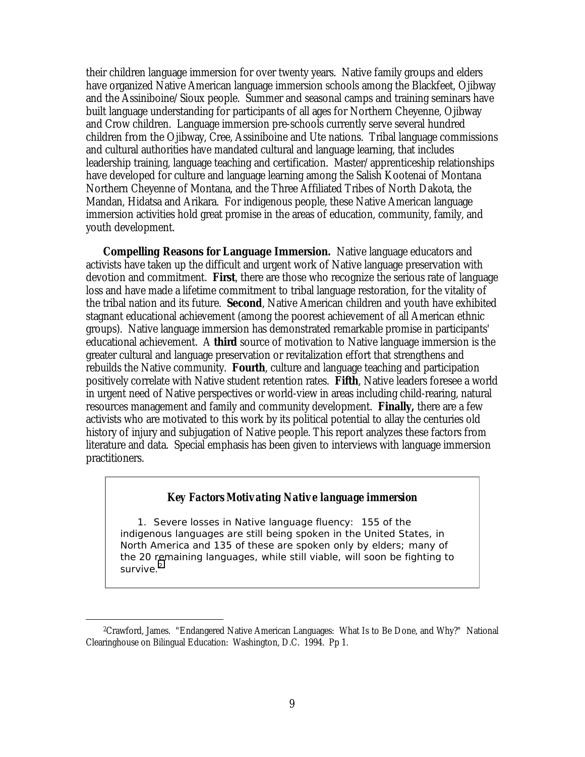their children language immersion for over twenty years. Native family groups and elders have organized Native American language immersion schools among the Blackfeet, Ojibway and the Assiniboine/Sioux people. Summer and seasonal camps and training seminars have built language understanding for participants of all ages for Northern Cheyenne, Ojibway and Crow children. Language immersion pre-schools currently serve several hundred children from the Ojibway, Cree, Assiniboine and Ute nations. Tribal language commissions and cultural authorities have mandated cultural and language learning, that includes leadership training, language teaching and certification. Master/apprenticeship relationships have developed for culture and language learning among the Salish Kootenai of Montana Northern Cheyenne of Montana, and the Three Affiliated Tribes of North Dakota, the Mandan, Hidatsa and Arikara. For indigenous people, these Native American language immersion activities hold great promise in the areas of education, community, family, and youth development.

**Compelling Reasons for Language Immersion.** Native language educators and activists have taken up the difficult and urgent work of Native language preservation with devotion and commitment. **First**, there are those who recognize the serious rate of language loss and have made a lifetime commitment to tribal language restoration, for the vitality of the tribal nation and its future. **Second**, Native American children and youth have exhibited stagnant educational achievement (among the poorest achievement of all American ethnic groups). Native language immersion has demonstrated remarkable promise in participants' educational achievement. A **third** source of motivation to Native language immersion is the greater cultural and language preservation or revitalization effort that strengthens and rebuilds the Native community. **Fourth**, culture and language teaching and participation positively correlate with Native student retention rates. **Fifth**, Native leaders foresee a world in urgent need of Native perspectives or world-view in areas including child-rearing, natural resources management and family and community development. **Finally,** there are a few activists who are motivated to this work by its political potential to allay the centuries old history of injury and subjugation of Native people. This report analyzes these factors from literature and data. Special emphasis has been given to interviews with language immersion practitioners.

#### *Key Factors Motivating Native language immersion*

*1. Severe losses in Native language fluency: 155 of the indigenous languages are still being spoken in the United States, in North America and 135 of these are spoken only by elders; many of the 20 remaining languages, while still viable, will soon be fighting to survive.<sup>2</sup>* 

 <sup>2</sup>Crawford, James. "Endangered Native American Languages: What Is to Be Done, and Why?" National Clearinghouse on Bilingual Education: Washington, D.C. 1994. Pp 1.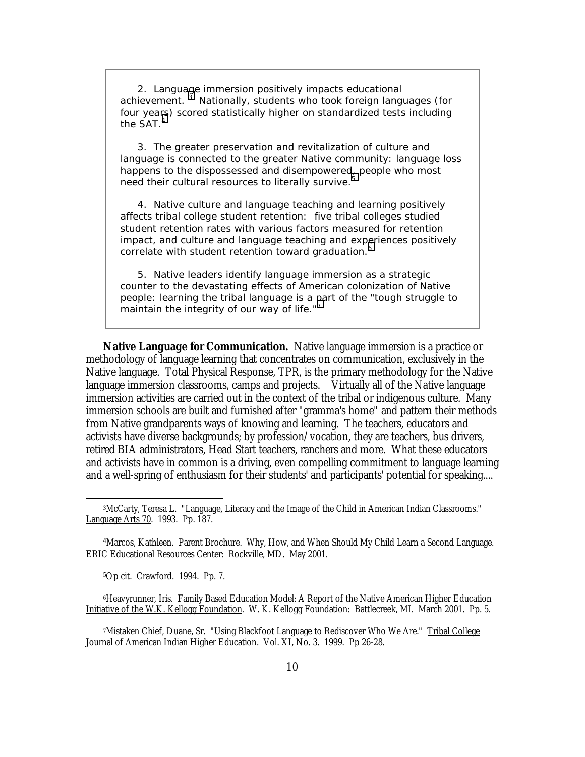*2. Language immersion positively impacts educational achievement. <sup>3</sup> Nationally, students who took foreign languages (for four years) scored statistically higher on standardized tests including the SAT.<sup>4</sup>*

*3. The greater preservation and revitalization of culture and language is connected to the greater Native community: language loss happens to the dispossessed and disempowered, people who most need their cultural resources to literally survive.<sup>5</sup>*

 *4. Native culture and language teaching and learning positively affects tribal college student retention: five tribal colleges studied student retention rates with various factors measured for retention impact, and culture and language teaching and experiences positively correlate with student retention toward graduation.6*

 *5. Native leaders identify language immersion as a strategic counter to the devastating effects of American colonization of Native people: learning the tribal language is a part of the "tough struggle to maintain the integrity of our way of life."<sup>7</sup>*

**Native Language for Communication.** Native language immersion is a practice or methodology of language learning that concentrates on communication, exclusively in the Native language. Total Physical Response, TPR, is the primary methodology for the Native language immersion classrooms, camps and projects. Virtually all of the Native language immersion activities are carried out in the context of the tribal or indigenous culture. Many immersion schools are built and furnished after "gramma's home" and pattern their methods from Native grandparents ways of knowing and learning. The teachers, educators and activists have diverse backgrounds; by profession/vocation, they are teachers, bus drivers, retired BIA administrators, Head Start teachers, ranchers and more. What these educators and activists have in common is a driving, even compelling commitment to language learning and a well-spring of enthusiasm for their students' and participants' potential for speaking....

5Op cit. Crawford. 1994. Pp. 7.

<sup>6</sup>Heavyrunner, Iris. Family Based Education Model: A Report of the Native American Higher Education Initiative of the W.K. Kellogg Foundation. W. K. Kellogg Foundation: Battlecreek, MI. March 2001. Pp. 5.

7Mistaken Chief, Duane, Sr. "Using Blackfoot Language to Rediscover Who We Are." Tribal College Journal of American Indian Higher Education. Vol. XI, No. 3. 1999. Pp 26-28.

 <sup>3</sup>McCarty, Teresa L. "Language, Literacy and the Image of the Child in American Indian Classrooms." Language Arts 70. 1993. Pp. 187.

<sup>4</sup>Marcos, Kathleen. Parent Brochure. Why, How, and When Should My Child Learn a Second Language. ERIC Educational Resources Center: Rockville, MD. May 2001.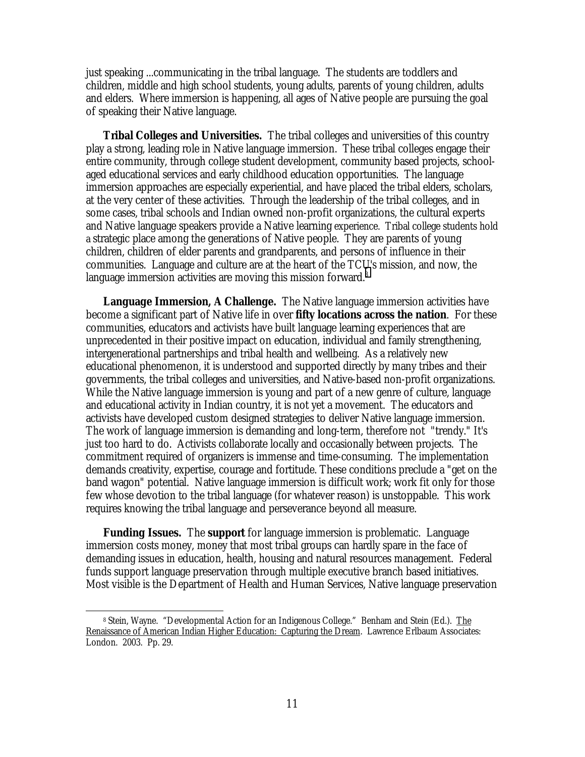just speaking ...communicating in the tribal language. The students are toddlers and children, middle and high school students, young adults, parents of young children, adults and elders. Where immersion is happening, all ages of Native people are pursuing the goal of speaking their Native language.

**Tribal Colleges and Universities.** The tribal colleges and universities of this country play a strong, leading role in Native language immersion. These tribal colleges engage their entire community, through college student development, community based projects, schoolaged educational services and early childhood education opportunities. The language immersion approaches are especially experiential, and have placed the tribal elders, scholars, at the very center of these activities. Through the leadership of the tribal colleges, and in some cases, tribal schools and Indian owned non-profit organizations, the cultural experts and Native language speakers provide a Native learning experience. Tribal college students hold a strategic place among the generations of Native people. They are parents of young children, children of elder parents and grandparents, and persons of influence in their communities. Language and culture are at the heart of the TCU's mission, and now, the language immersion activities are moving this mission forward. $8$ 

**Language Immersion, A Challenge.** The Native language immersion activities have become a significant part of Native life in over **fifty locations across the nation**. For these communities, educators and activists have built language learning experiences that are unprecedented in their positive impact on education, individual and family strengthening, intergenerational partnerships and tribal health and wellbeing. As a relatively new educational phenomenon, it is understood and supported directly by many tribes and their governments, the tribal colleges and universities, and Native-based non-profit organizations. While the Native language immersion is young and part of a new genre of culture, language and educational activity in Indian country, it is not yet a movement. The educators and activists have developed custom designed strategies to deliver Native language immersion. The work of language immersion is demanding and long-term, therefore not "trendy." It's just too hard to do. Activists collaborate locally and occasionally between projects. The commitment required of organizers is immense and time-consuming. The implementation demands creativity, expertise, courage and fortitude. These conditions preclude a "get on the band wagon" potential. Native language immersion is difficult work; work fit only for those few whose devotion to the tribal language (for whatever reason) is unstoppable. This work requires knowing the tribal language and perseverance beyond all measure.

**Funding Issues.** The **support** for language immersion is problematic. Language immersion costs money, money that most tribal groups can hardly spare in the face of demanding issues in education, health, housing and natural resources management. Federal funds support language preservation through multiple executive branch based initiatives. Most visible is the Department of Health and Human Services, Native language preservation

 <sup>8</sup> Stein, Wayne. "Developmental Action for an Indigenous College." Benham and Stein (Ed.). The Renaissance of American Indian Higher Education: Capturing the Dream. Lawrence Erlbaum Associates: London. 2003. Pp. 29.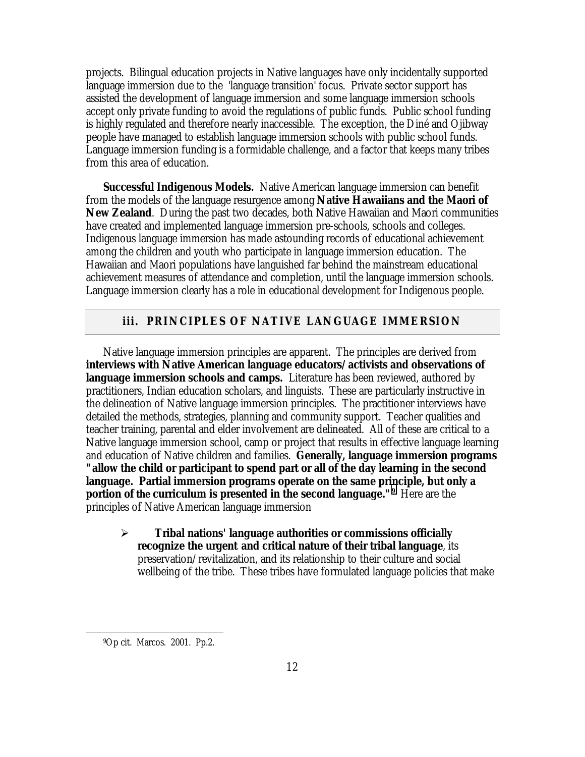projects. Bilingual education projects in Native languages have only incidentally supported language immersion due to the 'language transition' focus. Private sector support has assisted the development of language immersion and some language immersion schools accept only private funding to avoid the regulations of public funds. Public school funding is highly regulated and therefore nearly inaccessible. The exception, the Diné and Ojibway people have managed to establish language immersion schools with public school funds. Language immersion funding is a formidable challenge, and a factor that keeps many tribes from this area of education.

**Successful Indigenous Models.** Native American language immersion can benefit from the models of the language resurgence among **Native Hawaiians and the Maori of New Zealand**. During the past two decades, both Native Hawaiian and Maori communities have created and implemented language immersion pre-schools, schools and colleges. Indigenous language immersion has made astounding records of educational achievement among the children and youth who participate in language immersion education. The Hawaiian and Maori populations have languished far behind the mainstream educational achievement measures of attendance and completion, until the language immersion schools. Language immersion clearly has a role in educational development for Indigenous people.

# **iii. PRINCIPLES OF NATIVE LANGUAGE IMMERSION**

Native language immersion principles are apparent. The principles are derived from **interviews with Native American language educators/activists and observations of language immersion schools and camps.** Literature has been reviewed, authored by practitioners, Indian education scholars, and linguists. These are particularly instructive in the delineation of Native language immersion principles. The practitioner interviews have detailed the methods, strategies, planning and community support. Teacher qualities and teacher training, parental and elder involvement are delineated. All of these are critical to a Native language immersion school, camp or project that results in effective language learning and education of Native children and families. **Generally, language immersion programs "allow the child or participant to spend part or all of the day learning in the second language. Partial immersion programs operate on the same principle, but only a portion of the curriculum is presented in the second language."** Here are the principles of Native American language immersion

! **Tribal nations' language authorities or commissions officially recognize the urgent and critical nature of their tribal language**, its preservation/revitalization, and its relationship to their culture and social wellbeing of the tribe. These tribes have formulated language policies that make

 <sup>9</sup>Op cit. Marcos. 2001. Pp.2.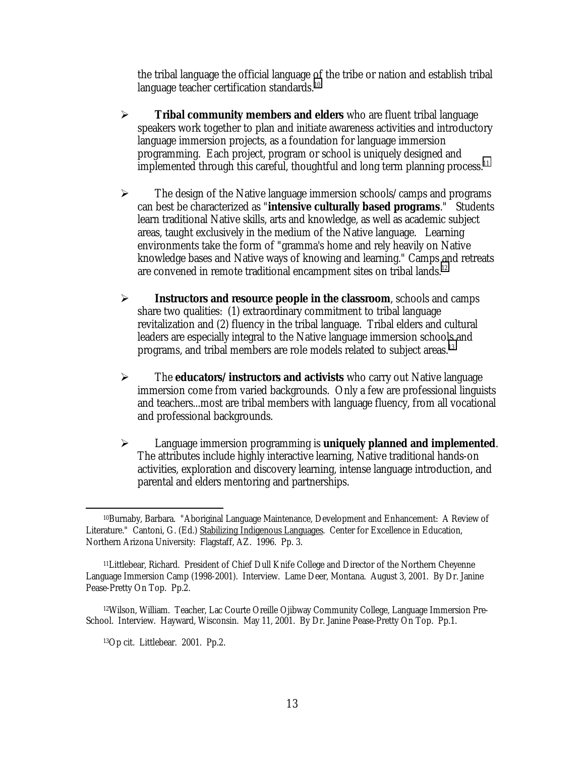the tribal language the official language of the tribe or nation and establish tribal language teacher certification standards.<sup>10</sup>

- ! **Tribal community members and elders** who are fluent tribal language speakers work together to plan and initiate awareness activities and introductory language immersion projects, as a foundation for language immersion programming. Each project, program or school is uniquely designed and implemented through this careful, thoughtful and long term planning process.<sup>11</sup>
- $\triangleright$  The design of the Native language immersion schools/camps and programs can best be characterized as "**intensive culturally based programs**." Students learn traditional Native skills, arts and knowledge, as well as academic subject areas, taught exclusively in the medium of the Native language. Learning environments take the form of "gramma's home and rely heavily on Native knowledge bases and Native ways of knowing and learning." Camps and retreats are convened in remote traditional encampment sites on tribal lands.<sup>12</sup>
- ! **Instructors and resource people in the classroom**, schools and camps share two qualities: (1) extraordinary commitment to tribal language revitalization and (2) fluency in the tribal language. Tribal elders and cultural leaders are especially integral to the Native language immersion schools and programs, and tribal members are role models related to subject areas.<sup>13</sup>
- ! The **educators/instructors and activists** who carry out Native language immersion come from varied backgrounds. Only a few are professional linguists and teachers...most are tribal members with language fluency, from all vocational and professional backgrounds.
- ! Language immersion programming is **uniquely planned and implemented**. The attributes include highly interactive learning, Native traditional hands-on activities, exploration and discovery learning, intense language introduction, and parental and elders mentoring and partnerships.

 <sup>10</sup>Burnaby, Barbara. "Aboriginal Language Maintenance, Development and Enhancement: A Review of Literature." Cantoni, G. (Ed.) Stabilizing Indigenous Languages. Center for Excellence in Education, Northern Arizona University: Flagstaff, AZ. 1996. Pp. 3.

<sup>11</sup>Littlebear, Richard. President of Chief Dull Knife College and Director of the Northern Cheyenne Language Immersion Camp (1998-2001). Interview. Lame Deer, Montana. August 3, 2001. By Dr. Janine Pease-Pretty On Top. Pp.2.

<sup>12</sup>Wilson, William. Teacher, Lac Courte Oreille Ojibway Community College, Language Immersion Pre-School. Interview. Hayward, Wisconsin. May 11, 2001. By Dr. Janine Pease-Pretty On Top. Pp.1.

<sup>13</sup>Op cit. Littlebear. 2001. Pp.2.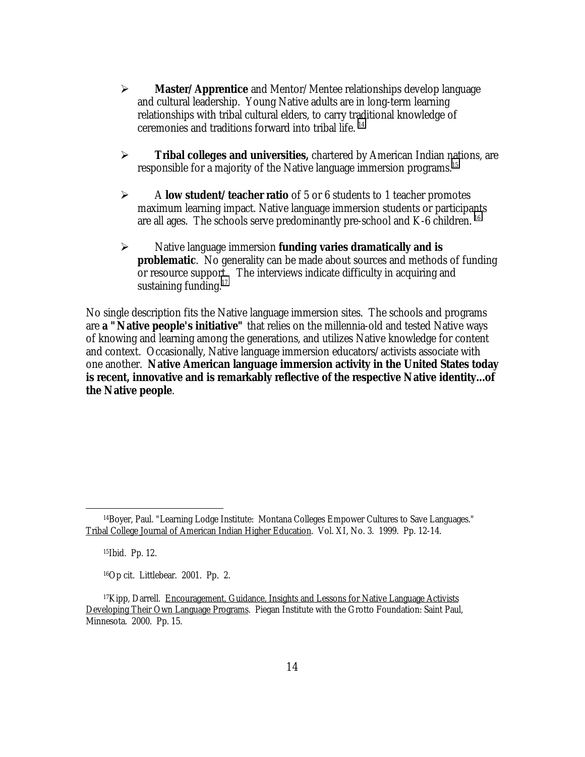- ! **Master/Apprentice** and Mentor/Mentee relationships develop language and cultural leadership. Young Native adults are in long-term learning relationships with tribal cultural elders, to carry traditional knowledge of ceremonies and traditions forward into tribal life. 14
- ! **Tribal colleges and universities,** chartered by American Indian nations, are responsible for a majority of the Native language immersion programs.<sup>15</sup>
- ! A **low student/teacher ratio** of 5 or 6 students to 1 teacher promotes maximum learning impact. Native language immersion students or participants are all ages. The schools serve predominantly pre-school and K-6 children. 16
- ! Native language immersion **funding varies dramatically and is problematic**. No generality can be made about sources and methods of funding or resource support. The interviews indicate difficulty in acquiring and sustaining funding. $17$

No single description fits the Native language immersion sites. The schools and programs are **a "Native people's initiative"** that relies on the millennia-old and tested Native ways of knowing and learning among the generations, and utilizes Native knowledge for content and context. Occasionally, Native language immersion educators/activists associate with one another. **Native American language immersion activity in the United States today is recent, innovative and is remarkably reflective of the respective Native identity...of the Native people**.

 <sup>14</sup>Boyer, Paul. "Learning Lodge Institute: Montana Colleges Empower Cultures to Save Languages." Tribal College Journal of American Indian Higher Education. Vol. XI, No. 3. 1999. Pp. 12-14.

<sup>15</sup>Ibid. Pp. 12.

<sup>16</sup>Op cit. Littlebear. 2001. Pp. 2.

<sup>17</sup>Kipp, Darrell. Encouragement, Guidance, Insights and Lessons for Native Language Activists Developing Their Own Language Programs. Piegan Institute with the Grotto Foundation: Saint Paul, Minnesota. 2000. Pp. 15.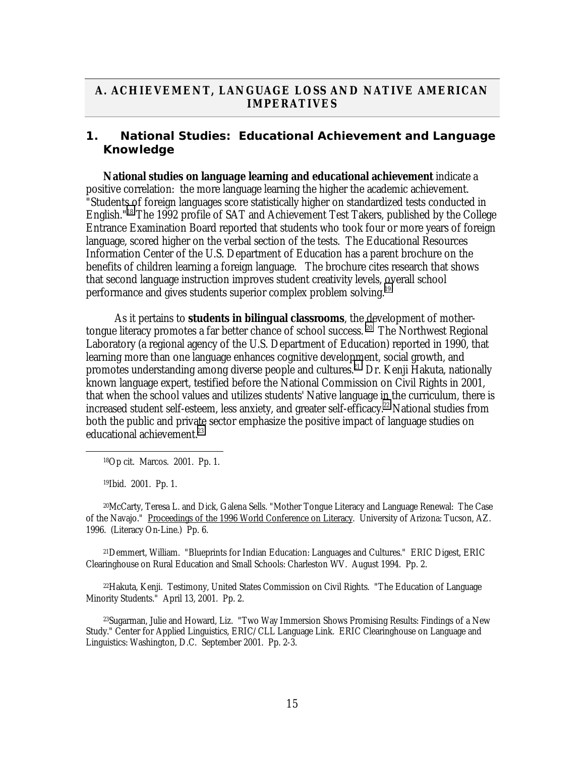# **A. ACHIEVEMENT, LANGUAGE LOSS AND NATIVE AMERICAN IMPERATIVES**

# **1. National Studies: Educational Achievement and Language Knowledge**

**National studies on language learning and educational achievement** indicate a positive correlation: the more language learning the higher the academic achievement. "Students of foreign languages score statistically higher on standardized tests conducted in English."18 The 1992 profile of SAT and Achievement Test Takers, published by the College Entrance Examination Board reported that students who took four or more years of foreign language, scored higher on the verbal section of the tests. The Educational Resources Information Center of the U.S. Department of Education has a parent brochure on the benefits of children learning a foreign language. The brochure cites research that shows that second language instruction improves student creativity levels, overall school performance and gives students superior complex problem solving.19

 As it pertains to **students in bilingual classrooms**, the development of mothertongue literacy promotes a far better chance of school success. <sup>20</sup> The Northwest Regional Laboratory (a regional agency of the U.S. Department of Education) reported in 1990, that learning more than one language enhances cognitive development, social growth, and promotes understanding among diverse people and cultures.<sup>21</sup> Dr. Kenji Hakuta, nationally known language expert, testified before the National Commission on Civil Rights in 2001, that when the school values and utilizes students' Native language in the curriculum, there is increased student self-esteem, less anxiety, and greater self-efficacy.<sup>22</sup> National studies from both the public and private sector emphasize the positive impact of language studies on educational achievement.<sup>23</sup>

18Op cit. Marcos. 2001. Pp. 1.

19Ibid. 2001. Pp. 1.

20McCarty, Teresa L. and Dick, Galena Sells. "Mother Tongue Literacy and Language Renewal: The Case of the Navajo." Proceedings of the 1996 World Conference on Literacy. University of Arizona: Tucson, AZ. 1996. (Literacy On-Line.) Pp. 6.

21Demmert, William. "Blueprints for Indian Education: Languages and Cultures." ERIC Digest, ERIC Clearinghouse on Rural Education and Small Schools: Charleston WV. August 1994. Pp. 2.

22Hakuta, Kenji. Testimony, United States Commission on Civil Rights. "The Education of Language Minority Students." April 13, 2001. Pp. 2.

23Sugarman, Julie and Howard, Liz. "Two Way Immersion Shows Promising Results: Findings of a New Study." Center for Applied Linguistics, ERIC/CLL Language Link. ERIC Clearinghouse on Language and Linguistics: Washington, D.C. September 2001. Pp. 2-3.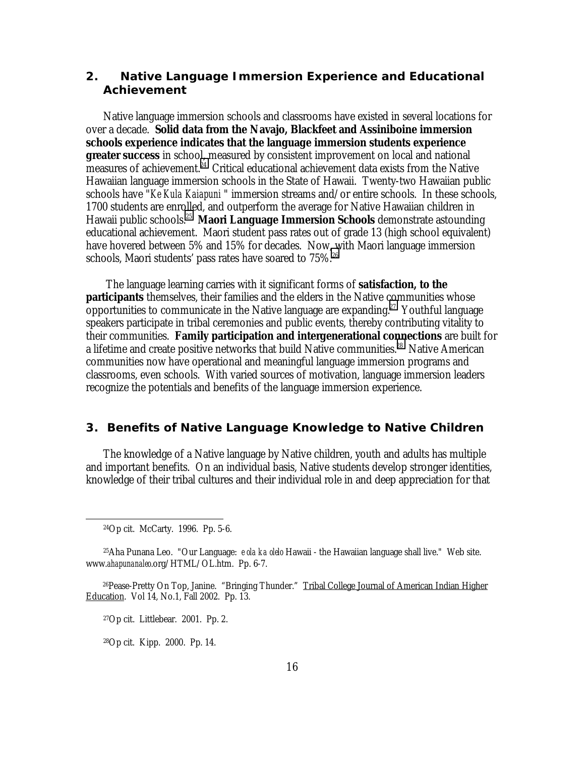# **2. Native Language Immersion Experience and Educational Achievement**

Native language immersion schools and classrooms have existed in several locations for over a decade. **Solid data from the Navajo, Blackfeet and Assiniboine immersion schools experience indicates that the language immersion students experience greater success** in school, measured by consistent improvement on local and national measures of achievement.<sup>24</sup> Critical educational achievement data exists from the Native Hawaiian language immersion schools in the State of Hawaii. Twenty-two Hawaiian public schools have "*Ke Kula Kaiapuni* " immersion streams and/or entire schools. In these schools, 1700 students are enrolled, and outperform the average for Native Hawaiian children in Hawaii public schools.25 **Maori Language Immersion Schools** demonstrate astounding educational achievement. Maori student pass rates out of grade 13 (high school equivalent) have hovered between 5% and 15% for decades. Now, with Maori language immersion schools, Maori students' pass rates have soared to 75%.<sup>26</sup>

 The language learning carries with it significant forms of **satisfaction, to the participants** themselves, their families and the elders in the Native communities whose opportunities to communicate in the Native language are expanding.<sup>27</sup> Youthful language speakers participate in tribal ceremonies and public events, thereby contributing vitality to their communities. **Family participation and intergenerational connections** are built for a lifetime and create positive networks that build Native communities.<sup>28</sup> Native American communities now have operational and meaningful language immersion programs and classrooms, even schools. With varied sources of motivation, language immersion leaders recognize the potentials and benefits of the language immersion experience.

# **3. Benefits of Native Language Knowledge to Native Children**

The knowledge of a Native language by Native children, youth and adults has multiple and important benefits. On an individual basis, Native students develop stronger identities, knowledge of their tribal cultures and their individual role in and deep appreciation for that

 <sup>24</sup>Op cit. McCarty. 1996. Pp. 5-6.

<sup>25</sup>Aha Punana Leo. "Our Language: *e ola ka olelo* Hawaii - the Hawaiian language shall live." Web site. www.*ahapunanaleo*.org/HTML/OL.htm. Pp. 6-7.

<sup>&</sup>lt;sup>26</sup>Pease-Pretty On Top, Janine. "Bringing Thunder." Tribal College Journal of American Indian Higher Education. Vol 14, No.1, Fall 2002. Pp. 13.

<sup>27</sup>Op cit. Littlebear. 2001. Pp. 2.

<sup>28</sup>Op cit. Kipp. 2000. Pp. 14.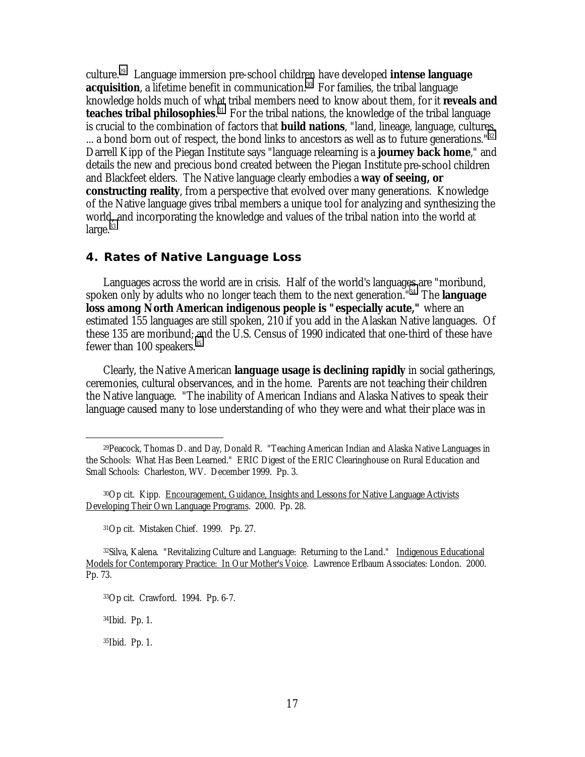culture.29 Language immersion pre-school children have developed **intense language acquisition**, a lifetime benefit in communication.<sup>30</sup> For families, the tribal language knowledge holds much of what tribal members need to know about them, for it **reveals and teaches tribal philosophies.**<sup>31</sup> For the tribal nations, the knowledge of the tribal language is crucial to the combination of factors that **build nations**, "land, lineage, language, cultures, ... a bond born out of respect, the bond links to ancestors as well as to future generations."<sup>32</sup> Darrell Kipp of the Piegan Institute says "language relearning is a **journey back home**," and details the new and precious bond created between the Piegan Institute pre-school children and Blackfeet elders. The Native language clearly embodies a **way of seeing, or constructing reality**, from a perspective that evolved over many generations. Knowledge of the Native language gives tribal members a unique tool for analyzing and synthesizing the world, and incorporating the knowledge and values of the tribal nation into the world at  $large.<sup>33</sup>$ 

## **4. Rates of Native Language Loss**

 Languages across the world are in crisis. Half of the world's languages are "moribund, spoken only by adults who no longer teach them to the next generation."34 The **language loss among North American indigenous people is "especially acute,"** where an estimated 155 languages are still spoken, 210 if you add in the Alaskan Native languages. Of these 135 are moribund; and the U.S. Census of 1990 indicated that one-third of these have fewer than 100 speakers.<sup>35</sup>

Clearly, the Native American **language usage is declining rapidly** in social gatherings, ceremonies, cultural observances, and in the home. Parents are not teaching their children the Native language. "The inability of American Indians and Alaska Natives to speak their language caused many to lose understanding of who they were and what their place was in

34Ibid. Pp. 1.

35Ibid. Pp. 1.

 <sup>29</sup>Peacock, Thomas D. and Day, Donald R. "Teaching American Indian and Alaska Native Languages in the Schools: What Has Been Learned." ERIC Digest of the ERIC Clearinghouse on Rural Education and Small Schools: Charleston, WV. December 1999. Pp. 3.

<sup>30</sup>Op cit. Kipp. Encouragement, Guidance, Insights and Lessons for Native Language Activists Developing Their Own Language Programs. 2000. Pp. 28.

<sup>31</sup>Op cit. Mistaken Chief. 1999. Pp. 27.

<sup>32</sup>Silva, Kalena. "Revitalizing Culture and Language: Returning to the Land." Indigenous Educational Models for Contemporary Practice: In Our Mother's Voice. Lawrence Erlbaum Associates: London. 2000. Pp. 73.

<sup>33</sup>Op cit. Crawford. 1994. Pp. 6-7.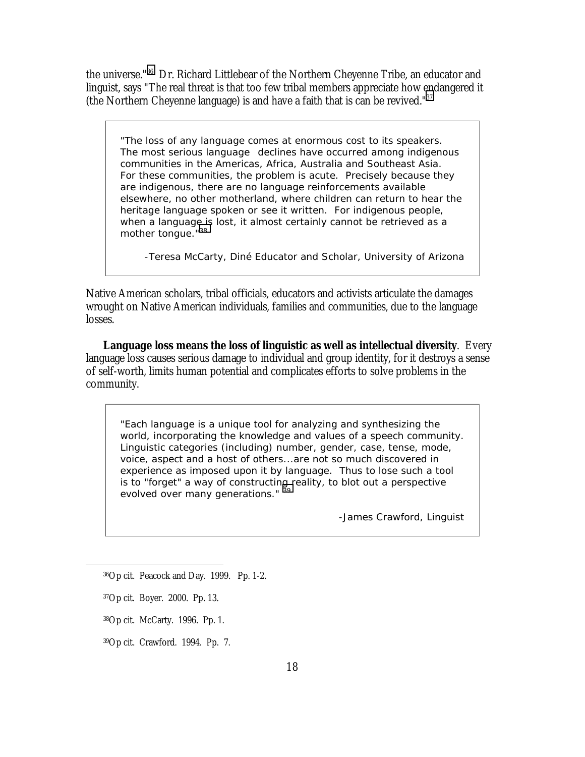the universe."36 Dr. Richard Littlebear of the Northern Cheyenne Tribe, an educator and linguist, says "The real threat is that too few tribal members appreciate how endangered it (the Northern Cheyenne language) is and have a faith that is can be revived."37

*"The loss of any language comes at enormous cost to its speakers. The most serious language declines have occurred among indigenous communities in the Americas, Africa, Australia and Southeast Asia. For these communities, the problem is acute. Precisely because they are indigenous, there are no language reinforcements available elsewhere, no other motherland, where children can return to hear the heritage language spoken or see it written. For indigenous people, when a language is lost, it almost certainly cannot be retrieved as a mother tongue."<sup>38</sup>*

*-Teresa McCarty, Diné Educator and Scholar, University of Arizona*

Native American scholars, tribal officials, educators and activists articulate the damages wrought on Native American individuals, families and communities, due to the language losses.

**Language loss means the loss of linguistic as well as intellectual diversity**. Every language loss causes serious damage to individual and group identity, for it destroys a sense of self-worth, limits human potential and complicates efforts to solve problems in the community.

*"Each language is a unique tool for analyzing and synthesizing the world, incorporating the knowledge and values of a speech community. Linguistic categories (including) number, gender, case, tense, mode, voice, aspect and a host of others...are not so much discovered in experience as imposed upon it by language. Thus to lose such a tool is to "forget" a way of constructing reality, to blot out a perspective evolved over many generations." <sup>39</sup>*

*-James Crawford, Linguist*

- 38Op cit. McCarty. 1996. Pp. 1.
- 39Op cit. Crawford. 1994. Pp. 7.

 <sup>36</sup>Op cit. Peacock and Day. 1999. Pp. 1-2.

<sup>37</sup>Op cit. Boyer. 2000. Pp. 13.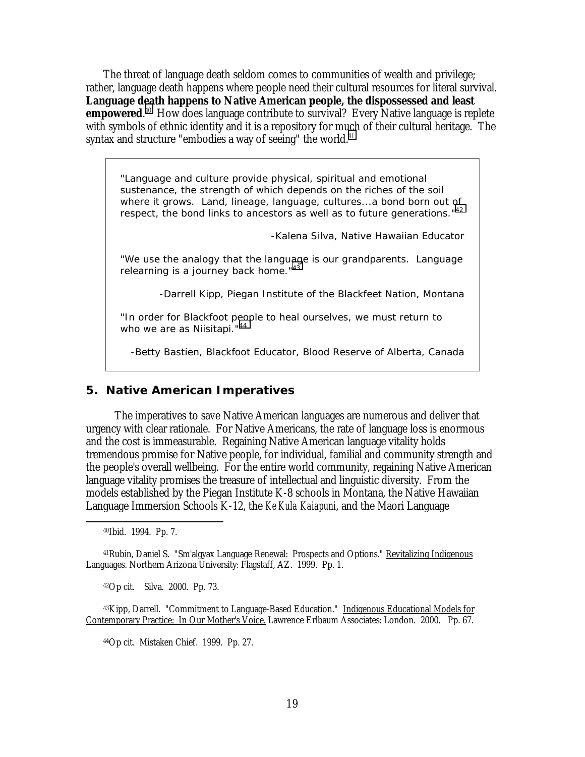The threat of language death seldom comes to communities of wealth and privilege; rather, language death happens where people need their cultural resources for literal survival. **Language death happens to Native American people, the dispossessed and least empowered**. 40 How does language contribute to survival? Every Native language is replete with symbols of ethnic identity and it is a repository for much of their cultural heritage. The syntax and structure "embodies a way of seeing" the world. $41$ 

*"Language and culture provide physical, spiritual and emotional sustenance, the strength of which depends on the riches of the soil where it grows. Land, lineage, language, cultures...a bond born out of respect, the bond links to ancestors as well as to future generations."42* 

*-Kalena Silva, Native Hawaiian Educator* 

*"We use the analogy that the language is our grandparents. Language relearning is a journey back home."43* 

*-Darrell Kipp, Piegan Institute of the Blackfeet Nation, Montana* 

*"In order for Blackfoot people to heal ourselves, we must return to who we are as Niisitapi."44* 

*-Betty Bastien, Blackfoot Educator, Blood Reserve of Alberta, Canada* 

# **5. Native American Imperatives**

 The imperatives to save Native American languages are numerous and deliver that urgency with clear rationale. For Native Americans, the rate of language loss is enormous and the cost is immeasurable. Regaining Native American language vitality holds tremendous promise for Native people, for individual, familial and community strength and the people's overall wellbeing. For the entire world community, regaining Native American language vitality promises the treasure of intellectual and linguistic diversity. From the models established by the Piegan Institute K-8 schools in Montana, the Native Hawaiian Language Immersion Schools K-12, the *Ke Kula Kaiapuni*, and the Maori Language

42Op cit. Silva. 2000. Pp. 73.

43Kipp, Darrell. "Commitment to Language-Based Education." Indigenous Educational Models for Contemporary Practice: In Our Mother's Voice. Lawrence Erlbaum Associates: London. 2000. Pp. 67.

44Op cit. Mistaken Chief. 1999. Pp. 27.

 <sup>40</sup>Ibid. 1994. Pp. 7.

<sup>&</sup>lt;sup>41</sup>Rubin, Daniel S. "Sm'algyax Language Renewal: Prospects and Options." Revitalizing Indigenous Languages. Northern Arizona University: Flagstaff, AZ. 1999. Pp. 1.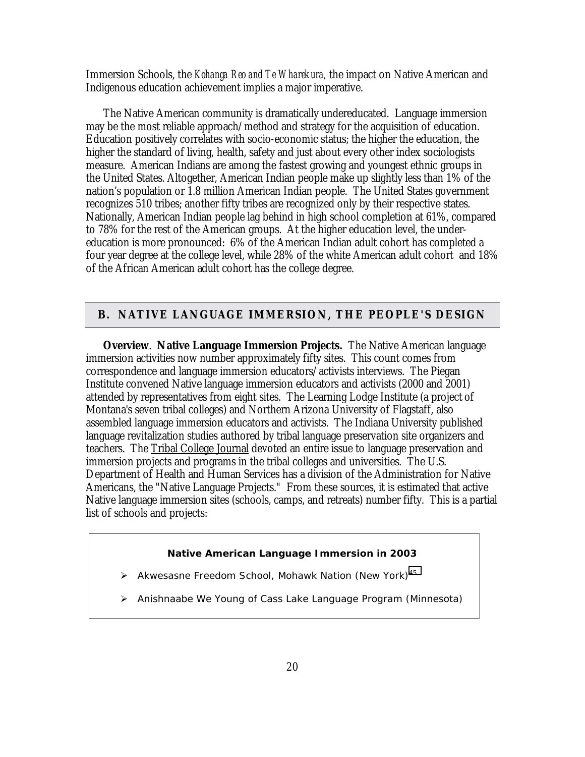Immersion Schools, the *Kohanga Reo and Te Wharekura,* the impact on Native American and Indigenous education achievement implies a major imperative.

The Native American community is dramatically undereducated. Language immersion may be the most reliable approach/method and strategy for the acquisition of education. Education positively correlates with socio-economic status; the higher the education, the higher the standard of living, health, safety and just about every other index sociologists measure. American Indians are among the fastest growing and youngest ethnic groups in the United States. Altogether, American Indian people make up slightly less than 1% of the nation's population or 1.8 million American Indian people. The United States government recognizes 510 tribes; another fifty tribes are recognized only by their respective states. Nationally, American Indian people lag behind in high school completion at 61%, compared to 78% for the rest of the American groups. At the higher education level, the undereducation is more pronounced: 6% of the American Indian adult cohort has completed a four year degree at the college level, while 28% of the white American adult cohort and 18% of the African American adult cohort has the college degree.

#### **B. NATIVE LANGUAGE IMMERSION, THE PEOPLE'S DESIGN**

**Overview**. **Native Language Immersion Projects.** The Native American language immersion activities now number approximately fifty sites. This count comes from correspondence and language immersion educators/activists interviews. The Piegan Institute convened Native language immersion educators and activists (2000 and 2001) attended by representatives from eight sites. The Learning Lodge Institute (a project of Montana's seven tribal colleges) and Northern Arizona University of Flagstaff, also assembled language immersion educators and activists. The Indiana University published language revitalization studies authored by tribal language preservation site organizers and teachers. The Tribal College Journal devoted an entire issue to language preservation and immersion projects and programs in the tribal colleges and universities. The U.S. Department of Health and Human Services has a division of the Administration for Native Americans, the "Native Language Projects." From these sources, it is estimated that active Native language immersion sites (schools, camps, and retreats) number fifty. This is a partial list of schools and projects:

#### **Native American Language Immersion in 2003**

- $\triangleright$  Akwesasne Freedom School, Mohawk Nation (New York)<sup>45</sup>
- > Anishnaabe We Young of Cass Lake Language Program (Minnesota)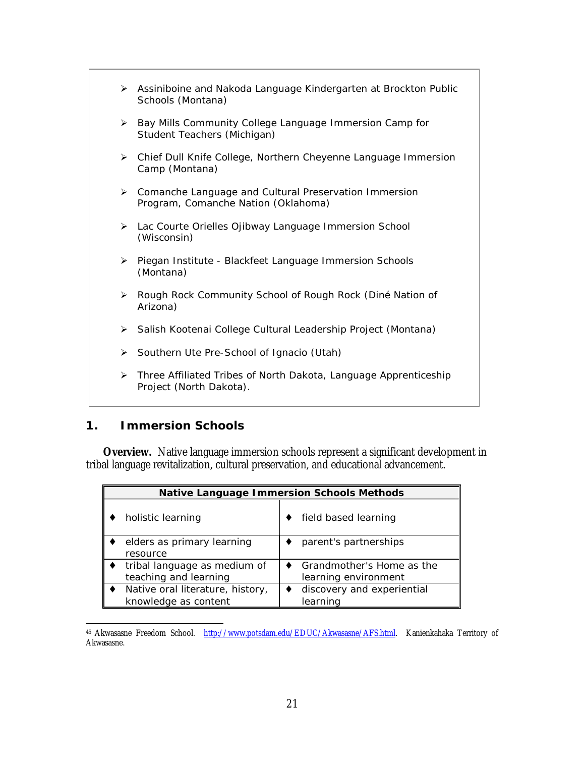| ➤ | Assiniboine and Nakoda Language Kindergarten at Brockton Public<br>Schools (Montana)         |
|---|----------------------------------------------------------------------------------------------|
| ≻ | Bay Mills Community College Language Immersion Camp for<br>Student Teachers (Michigan)       |
| ➤ | Chief Dull Knife College, Northern Cheyenne Language Immersion<br>Camp (Montana)             |
| ≻ | Comanche Language and Cultural Preservation Immersion<br>Program, Comanche Nation (Oklahoma) |
| ≻ | Lac Courte Orielles Ojibway Language Immersion School<br>(Wisconsin)                         |
| ➤ | Piegan Institute - Blackfeet Language Immersion Schools<br>(Montana)                         |
| ≻ | Rough Rock Community School of Rough Rock (Diné Nation of<br>Arizona)                        |
| ➤ | Salish Kootenai College Cultural Leadership Project (Montana)                                |
| ≻ | Southern Ute Pre-School of Ignacio (Utah)                                                    |
| ➤ | Three Affiliated Tribes of North Dakota, Language Apprenticeship<br>Project (North Dakota).  |

# **1. Immersion Schools**

**Overview.** Native language immersion schools represent a significant development in tribal language revitalization, cultural preservation, and educational advancement.

|   | Native Language Immersion Schools Methods             |                                                             |  |
|---|-------------------------------------------------------|-------------------------------------------------------------|--|
|   |                                                       |                                                             |  |
|   | holistic learning                                     | field based learning                                        |  |
|   | elders as primary learning<br>resource                | parent's partnerships                                       |  |
| ٠ | tribal language as medium of<br>teaching and learning | $\bullet$ Grandmother's Home as the<br>learning environment |  |
| ٠ | Native oral literature, history,                      | discovery and experiential                                  |  |
|   | knowledge as content                                  | learning                                                    |  |

 $\overline{a}$ <sup>45</sup> Akwasasne Freedom School. http://www.potsdam.edu/EDUC/Akwasasne/AFS.html. Kanienkahaka Territory of Akwasasne.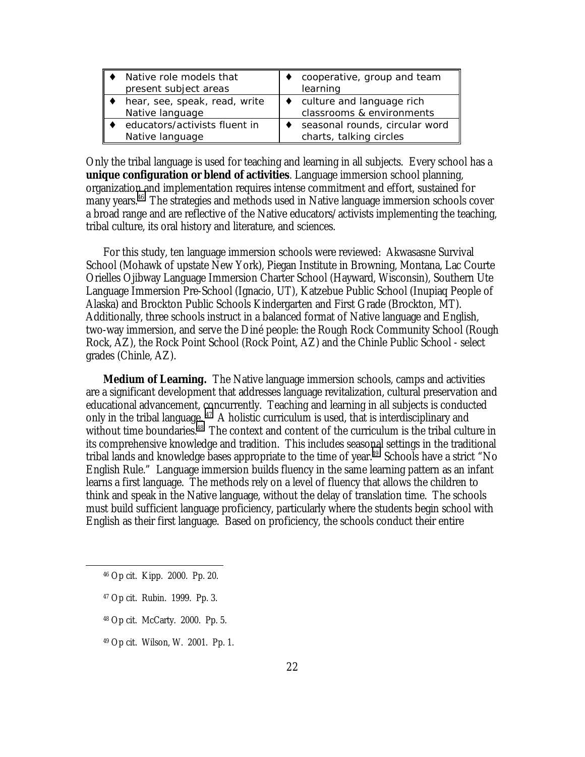| Native role models that<br>present subject areas | $\bullet$ cooperative, group and team<br>learning         |
|--------------------------------------------------|-----------------------------------------------------------|
| hear, see, speak, read, write<br>Native language | culture and language rich<br>classrooms & environments    |
| educators/activists fluent in<br>Native language | seasonal rounds, circular word<br>charts, talking circles |

Only the tribal language is used for teaching and learning in all subjects. Every school has a **unique configuration or blend of activities**. Language immersion school planning, organization and implementation requires intense commitment and effort, sustained for many years.<sup>46</sup> The strategies and methods used in Native language immersion schools cover a broad range and are reflective of the Native educators/activists implementing the teaching, tribal culture, its oral history and literature, and sciences.

For this study, ten language immersion schools were reviewed: Akwasasne Survival School (Mohawk of upstate New York), Piegan Institute in Browning, Montana, Lac Courte Orielles Ojibway Language Immersion Charter School (Hayward, Wisconsin), Southern Ute Language Immersion Pre-School (Ignacio, UT), Katzebue Public School (Inupiaq People of Alaska) and Brockton Public Schools Kindergarten and First Grade (Brockton, MT). Additionally, three schools instruct in a balanced format of Native language and English, two-way immersion, and serve the Diné people: the Rough Rock Community School (Rough Rock, AZ), the Rock Point School (Rock Point, AZ) and the Chinle Public School - select grades (Chinle, AZ).

**Medium of Learning.** The Native language immersion schools, camps and activities are a significant development that addresses language revitalization, cultural preservation and educational advancement, concurrently. Teaching and learning in all subjects is conducted only in the tribal language.<sup>47</sup> A holistic curriculum is used, that is interdisciplinary and without time boundaries.<sup>48</sup> The context and content of the curriculum is the tribal culture in its comprehensive knowledge and tradition. This includes seasonal settings in the traditional tribal lands and knowledge bases appropriate to the time of year.<sup>49</sup> Schools have a strict "No English Rule." Language immersion builds fluency in the same learning pattern as an infant learns a first language. The methods rely on a level of fluency that allows the children to think and speak in the Native language, without the delay of translation time. The schools must build sufficient language proficiency, particularly where the students begin school with English as their first language. Based on proficiency, the schools conduct their entire

- 47 Op cit. Rubin. 1999. Pp. 3.
- 48 Op cit. McCarty. 2000. Pp. 5.
- 49 Op cit. Wilson, W. 2001. Pp. 1.

 <sup>46</sup> Op cit. Kipp. 2000. Pp. 20.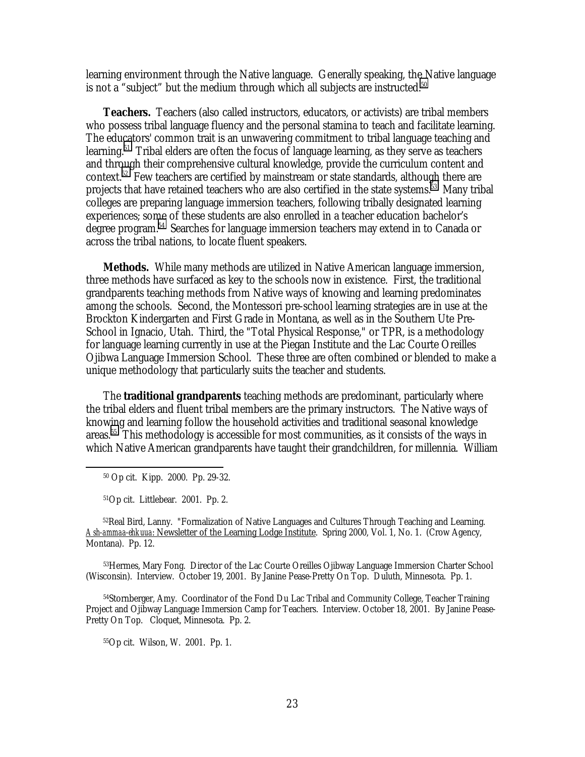learning environment through the Native language. Generally speaking, the Native language is not a "subject" but the medium through which all subjects are instructed.<sup>50</sup>

**Teachers.** Teachers (also called instructors, educators, or activists) are tribal members who possess tribal language fluency and the personal stamina to teach and facilitate learning. The educators' common trait is an unwavering commitment to tribal language teaching and learning.<sup>51</sup> Tribal elders are often the focus of language learning, as they serve as teachers and through their comprehensive cultural knowledge, provide the curriculum content and context.52 Few teachers are certified by mainstream or state standards, although there are projects that have retained teachers who are also certified in the state systems.<sup>53</sup> Many tribal colleges are preparing language immersion teachers, following tribally designated learning experiences; some of these students are also enrolled in a teacher education bachelor's degree program.54 Searches for language immersion teachers may extend in to Canada or across the tribal nations, to locate fluent speakers.

**Methods.** While many methods are utilized in Native American language immersion, three methods have surfaced as key to the schools now in existence. First, the traditional grandparents teaching methods from Native ways of knowing and learning predominates among the schools. Second, the Montessori pre-school learning strategies are in use at the Brockton Kindergarten and First Grade in Montana, as well as in the Southern Ute Pre-School in Ignacio, Utah. Third, the "Total Physical Response," or TPR, is a methodology for language learning currently in use at the Piegan Institute and the Lac Courte Oreilles Ojibwa Language Immersion School. These three are often combined or blended to make a unique methodology that particularly suits the teacher and students.

 The **traditional grandparents** teaching methods are predominant, particularly where the tribal elders and fluent tribal members are the primary instructors. The Native ways of knowing and learning follow the household activities and traditional seasonal knowledge areas.55 This methodology is accessible for most communities, as it consists of the ways in which Native American grandparents have taught their grandchildren, for millennia. William

50 Op cit. Kipp. 2000. Pp. 29-32.

51Op cit. Littlebear. 2001. Pp. 2.

 52Real Bird, Lanny. "Formalization of Native Languages and Cultures Through Teaching and Learning. *Ash-ammaa-ehkuua*: Newsletter of the Learning Lodge Institute. Spring 2000, Vol. 1, No. 1. (Crow Agency, Montana). Pp. 12.

53Hermes, Mary Fong. Director of the Lac Courte Oreilles Ojibway Language Immersion Charter School (Wisconsin). Interview. October 19, 2001. By Janine Pease-Pretty On Top. Duluth, Minnesota. Pp. 1.

54Stornberger, Amy. Coordinator of the Fond Du Lac Tribal and Community College, Teacher Training Project and Ojibway Language Immersion Camp for Teachers. Interview. October 18, 2001. By Janine Pease-Pretty On Top. Cloquet, Minnesota. Pp. 2.

55Op cit. Wilson, W. 2001. Pp. 1.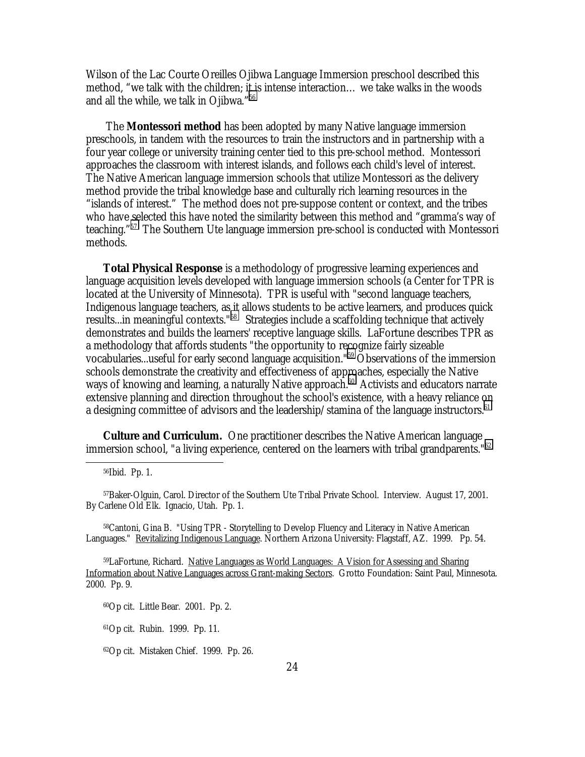Wilson of the Lac Courte Oreilles Ojibwa Language Immersion preschool described this method, "we talk with the children; it is intense interaction… we take walks in the woods and all the while, we talk in Ojibwa."56

 The **Montessori method** has been adopted by many Native language immersion preschools, in tandem with the resources to train the instructors and in partnership with a four year college or university training center tied to this pre-school method. Montessori approaches the classroom with interest islands, and follows each child's level of interest. The Native American language immersion schools that utilize Montessori as the delivery method provide the tribal knowledge base and culturally rich learning resources in the "islands of interest." The method does not pre-suppose content or context, and the tribes who have selected this have noted the similarity between this method and "gramma's way of teaching."57 The Southern Ute language immersion pre-school is conducted with Montessori methods.

**Total Physical Response** is a methodology of progressive learning experiences and language acquisition levels developed with language immersion schools (a Center for TPR is located at the University of Minnesota). TPR is useful with "second language teachers, Indigenous language teachers, as it allows students to be active learners, and produces quick results...in meaningful contexts."58 Strategies include a scaffolding technique that actively demonstrates and builds the learners' receptive language skills. LaFortune describes TPR as a methodology that affords students "the opportunity to recognize fairly sizeable vocabularies...useful for early second language acquisition."59 Observations of the immersion schools demonstrate the creativity and effectiveness of approaches, especially the Native ways of knowing and learning, a naturally Native approach.<sup>60</sup> Activists and educators narrate extensive planning and direction throughout the school's existence, with a heavy reliance on a designing committee of advisors and the leadership/stamina of the language instructors.  $61$ 

**Culture and Curriculum.** One practitioner describes the Native American language immersion school, "a living experience, centered on the learners with tribal grandparents."62

58Cantoni, Gina B. "Using TPR - Storytelling to Develop Fluency and Literacy in Native American Languages." Revitalizing Indigenous Language. Northern Arizona University: Flagstaff, AZ. 1999. Pp. 54.

 <sup>56</sup>Ibid. Pp. 1.

<sup>57</sup>Baker-Olguin, Carol. Director of the Southern Ute Tribal Private School. Interview. August 17, 2001. By Carlene Old Elk. Ignacio, Utah. Pp. 1.

<sup>&</sup>lt;sup>59</sup>LaFortune, Richard. Native Languages as World Languages: A Vision for Assessing and Sharing Information about Native Languages across Grant-making Sectors. Grotto Foundation: Saint Paul, Minnesota. 2000. Pp. 9.

<sup>60</sup>Op cit. Little Bear. 2001. Pp. 2.

<sup>61</sup>Op cit. Rubin. 1999. Pp. 11.

<sup>62</sup>Op cit. Mistaken Chief. 1999. Pp. 26.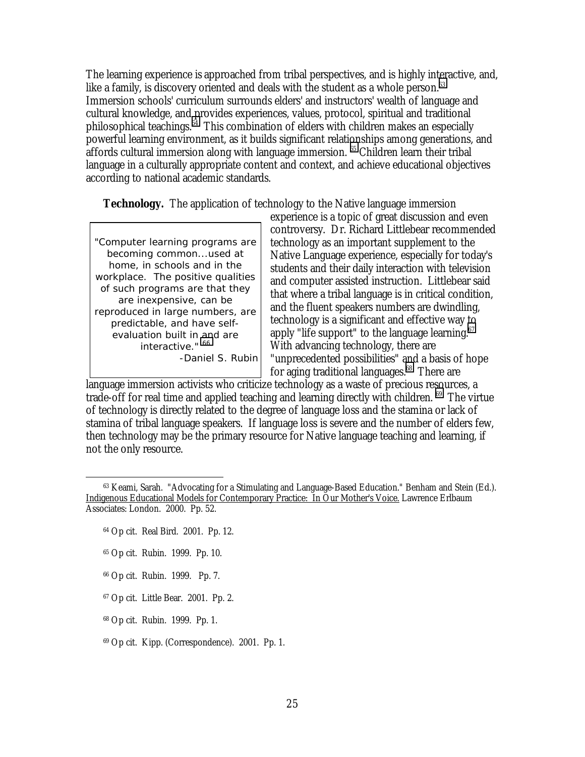The learning experience is approached from tribal perspectives, and is highly interactive, and, like a family, is discovery oriented and deals with the student as a whole person. $63$ Immersion schools' curriculum surrounds elders' and instructors' wealth of language and cultural knowledge, and provides experiences, values, protocol, spiritual and traditional philosophical teachings.<sup>64</sup> This combination of elders with children makes an especially powerful learning environment, as it builds significant relationships among generations, and affords cultural immersion along with language immersion. <sup>65</sup> Children learn their tribal language in a culturally appropriate content and context, and achieve educational objectives according to national academic standards.

**Technology.** The application of technology to the Native language immersion

"*Computer learning programs are becoming common...used at home, in schools and in the workplace. The positive qualities of such programs are that they are inexpensive, can be reproduced in large numbers, are predictable, and have selfevaluation built in and are interactive."* <sup>66</sup> -Daniel S. Rubin

experience is a topic of great discussion and even controversy. Dr. Richard Littlebear recommended technology as an important supplement to the Native Language experience, especially for today's students and their daily interaction with television and computer assisted instruction. Littlebear said that where a tribal language is in critical condition, and the fluent speakers numbers are dwindling, technology is a significant and effective way to apply "life support" to the language learning.<sup>67</sup> With advancing technology, there are "unprecedented possibilities" and a basis of hope for aging traditional languages.<sup>68</sup> There are

language immersion activists who criticize technology as a waste of precious resources, a trade-off for real time and applied teaching and learning directly with children. <sup>69</sup> The virtue of technology is directly related to the degree of language loss and the stamina or lack of stamina of tribal language speakers. If language loss is severe and the number of elders few, then technology may be the primary resource for Native language teaching and learning, if not the only resource.

- 66 Op cit. Rubin. 1999. Pp. 7.
- 67 Op cit. Little Bear. 2001. Pp. 2.
- 68 Op cit. Rubin. 1999. Pp. 1.
- 69 Op cit. Kipp. (Correspondence). 2001. Pp. 1.

 <sup>63</sup> Keami, Sarah. "Advocating for a Stimulating and Language-Based Education." Benham and Stein (Ed.). Indigenous Educational Models for Contemporary Practice: In Our Mother's Voice. Lawrence Erlbaum Associates: London. 2000. Pp. 52.

<sup>64</sup> Op cit. Real Bird. 2001. Pp. 12.

<sup>65</sup> Op cit. Rubin. 1999. Pp. 10.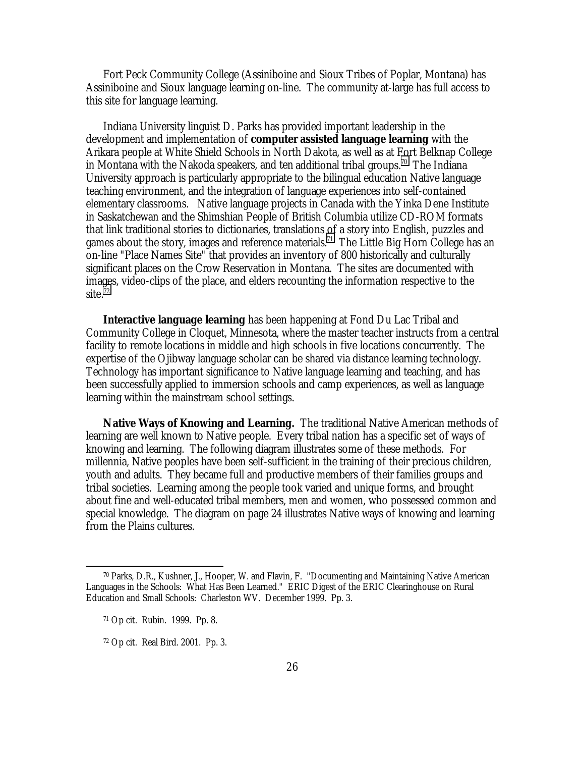Fort Peck Community College (Assiniboine and Sioux Tribes of Poplar, Montana) has Assiniboine and Sioux language learning on-line. The community at-large has full access to this site for language learning.

 Indiana University linguist D. Parks has provided important leadership in the development and implementation of **computer assisted language learning** with the Arikara people at White Shield Schools in North Dakota, as well as at Fort Belknap College in Montana with the Nakoda speakers, and ten additional tribal groups.<sup>70</sup> The Indiana University approach is particularly appropriate to the bilingual education Native language teaching environment, and the integration of language experiences into self-contained elementary classrooms. Native language projects in Canada with the Yinka Dene Institute in Saskatchewan and the Shimshian People of British Columbia utilize CD-ROM formats that link traditional stories to dictionaries, translations of a story into English, puzzles and games about the story, images and reference materials.<sup>71</sup> The Little Big Horn College has an on-line "Place Names Site" that provides an inventory of 800 historically and culturally significant places on the Crow Reservation in Montana. The sites are documented with images, video-clips of the place, and elders recounting the information respective to the site. $72$ 

**Interactive language learning** has been happening at Fond Du Lac Tribal and Community College in Cloquet, Minnesota, where the master teacher instructs from a central facility to remote locations in middle and high schools in five locations concurrently. The expertise of the Ojibway language scholar can be shared via distance learning technology. Technology has important significance to Native language learning and teaching, and has been successfully applied to immersion schools and camp experiences, as well as language learning within the mainstream school settings.

**Native Ways of Knowing and Learning.** The traditional Native American methods of learning are well known to Native people. Every tribal nation has a specific set of ways of knowing and learning. The following diagram illustrates some of these methods. For millennia, Native peoples have been self-sufficient in the training of their precious children, youth and adults. They became full and productive members of their families groups and tribal societies. Learning among the people took varied and unique forms, and brought about fine and well-educated tribal members, men and women, who possessed common and special knowledge. The diagram on page 24 illustrates Native ways of knowing and learning from the Plains cultures.

 <sup>70</sup> Parks, D.R., Kushner, J., Hooper, W. and Flavin, F. "Documenting and Maintaining Native American Languages in the Schools: What Has Been Learned." ERIC Digest of the ERIC Clearinghouse on Rural Education and Small Schools: Charleston WV. December 1999. Pp. 3.

<sup>71</sup> Op cit. Rubin. 1999. Pp. 8.

<sup>72</sup> Op cit. Real Bird. 2001. Pp. 3.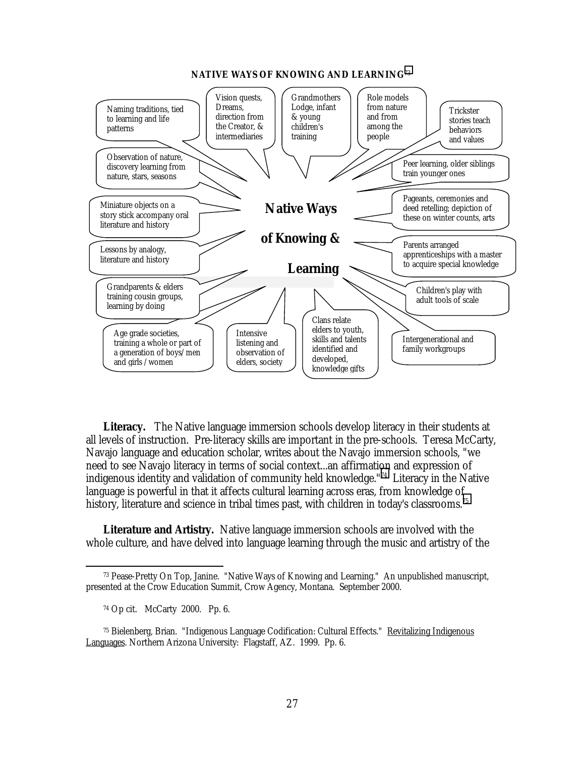

**NATIVE WAYS OF KNOWING AND LEARNING**<sup>73</sup>

**Literacy.** The Native language immersion schools develop literacy in their students at all levels of instruction. Pre-literacy skills are important in the pre-schools. Teresa McCarty, Navajo language and education scholar, writes about the Navajo immersion schools, "we need to see Navajo literacy in terms of social context...an affirmation and expression of indigenous identity and validation of community held knowledge."74Literacy in the Native language is powerful in that it affects cultural learning across eras, from knowledge of history, literature and science in tribal times past, with children in today's classrooms.<sup>75</sup>

**Literature and Artistry.** Native language immersion schools are involved with the whole culture, and have delved into language learning through the music and artistry of the

 <sup>73</sup> Pease-Pretty On Top, Janine. "Native Ways of Knowing and Learning." An unpublished manuscript, presented at the Crow Education Summit, Crow Agency, Montana. September 2000.

<sup>74</sup> Op cit. McCarty 2000. Pp. 6.

<sup>75</sup> Bielenberg, Brian. "Indigenous Language Codification: Cultural Effects." Revitalizing Indigenous Languages. Northern Arizona University: Flagstaff, AZ. 1999. Pp. 6.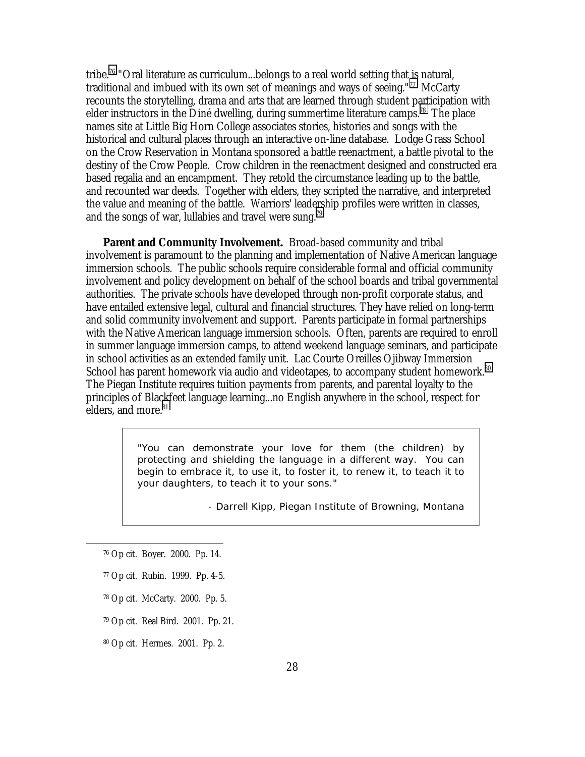tribe.76 "Oral literature as curriculum...belongs to a real world setting that is natural, traditional and imbued with its own set of meanings and ways of seeing."<sup>77</sup> McCarty recounts the storytelling, drama and arts that are learned through student participation with elder instructors in the Diné dwelling, during summertime literature camps.<sup>78</sup> The place names site at Little Big Horn College associates stories, histories and songs with the historical and cultural places through an interactive on-line database. Lodge Grass School on the Crow Reservation in Montana sponsored a battle reenactment, a battle pivotal to the destiny of the Crow People. Crow children in the reenactment designed and constructed era based regalia and an encampment. They retold the circumstance leading up to the battle, and recounted war deeds. Together with elders, they scripted the narrative, and interpreted the value and meaning of the battle. Warriors' leadership profiles were written in classes, and the songs of war, lullabies and travel were sung.<sup>79</sup>

**Parent and Community Involvement.** Broad-based community and tribal involvement is paramount to the planning and implementation of Native American language immersion schools. The public schools require considerable formal and official community involvement and policy development on behalf of the school boards and tribal governmental authorities. The private schools have developed through non-profit corporate status, and have entailed extensive legal, cultural and financial structures. They have relied on long-term and solid community involvement and support. Parents participate in formal partnerships with the Native American language immersion schools. Often, parents are required to enroll in summer language immersion camps, to attend weekend language seminars, and participate in school activities as an extended family unit. Lac Courte Oreilles Ojibway Immersion School has parent homework via audio and videotapes, to accompany student homework.<sup>80</sup> The Piegan Institute requires tuition payments from parents, and parental loyalty to the principles of Blackfeet language learning...no English anywhere in the school, respect for elders, and more.<sup>81</sup>

> *"You can demonstrate your love for them (the children) by protecting and shielding the language in a different way. You can begin to embrace it, to use it, to foster it, to renew it, to teach it to your daughters, to teach it to your sons."*

> > *- Darrell Kipp, Piegan Institute of Browning, Montana*

- 77 Op cit. Rubin. 1999. Pp. 4-5.
- 78 Op cit. McCarty. 2000. Pp. 5.
- 79 Op cit. Real Bird. 2001. Pp. 21.
- 80 Op cit. Hermes. 2001. Pp. 2.

 <sup>76</sup> Op cit. Boyer. 2000. Pp. 14.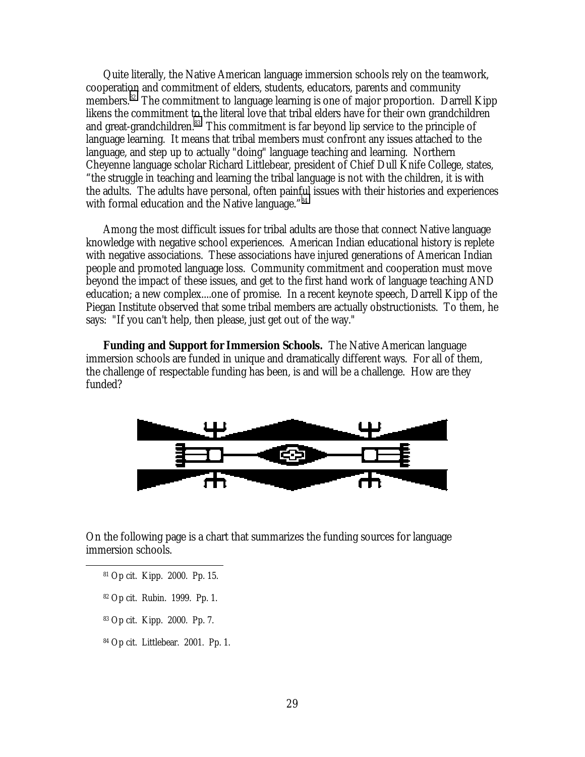Quite literally, the Native American language immersion schools rely on the teamwork, cooperation and commitment of elders, students, educators, parents and community members.<sup>82</sup> The commitment to language learning is one of major proportion. Darrell Kipp likens the commitment to the literal love that tribal elders have for their own grandchildren and great-grandchildren.<sup>83</sup> This commitment is far beyond lip service to the principle of language learning. It means that tribal members must confront any issues attached to the language, and step up to actually "doing" language teaching and learning. Northern Cheyenne language scholar Richard Littlebear, president of Chief Dull Knife College, states, "the struggle in teaching and learning the tribal language is not with the children, it is with the adults. The adults have personal, often painful issues with their histories and experiences with formal education and the Native language."<sup>84</sup>

 Among the most difficult issues for tribal adults are those that connect Native language knowledge with negative school experiences. American Indian educational history is replete with negative associations. These associations have injured generations of American Indian people and promoted language loss. Community commitment and cooperation must move beyond the impact of these issues, and get to the first hand work of language teaching AND education; a new complex....one of promise. In a recent keynote speech, Darrell Kipp of the Piegan Institute observed that some tribal members are actually obstructionists. To them, he says: "If you can't help, then please, just get out of the way."

**Funding and Support for Immersion Schools.** The Native American language immersion schools are funded in unique and dramatically different ways. For all of them, the challenge of respectable funding has been, is and will be a challenge. How are they funded?



On the following page is a chart that summarizes the funding sources for language immersion schools.

- 82 Op cit. Rubin. 1999. Pp. 1.
- 83 Op cit. Kipp. 2000. Pp. 7.
- 84 Op cit. Littlebear. 2001. Pp. 1.

 <sup>81</sup> Op cit. Kipp. 2000. Pp. 15.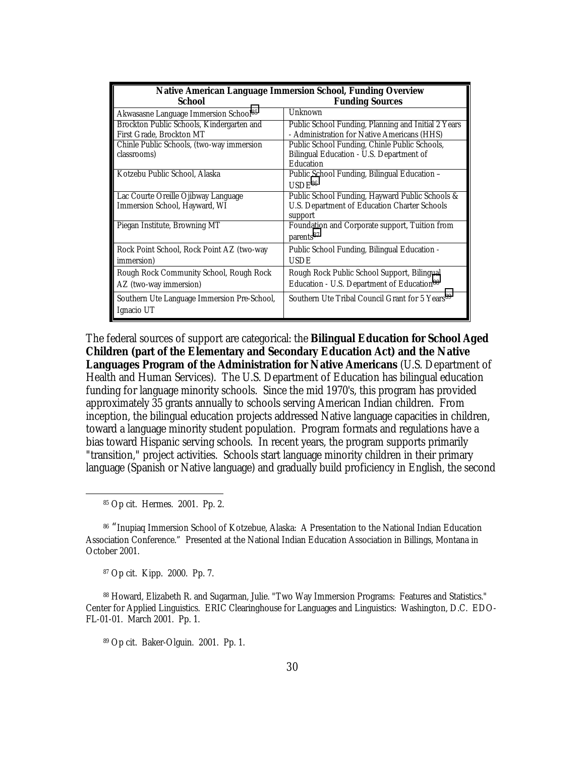| <b>Native American Language Immersion School, Funding Overview</b> |  |
|--------------------------------------------------------------------|--|
| <b>Funding Sources</b>                                             |  |
| Unknown                                                            |  |
| Public School Funding, Planning and Initial 2 Years                |  |
| - Administration for Native Americans (HHS)                        |  |
| Public School Funding, Chinle Public Schools,                      |  |
| Bilingual Education - U.S. Department of                           |  |
| Education                                                          |  |
| Public School Funding, Bilingual Education -                       |  |
| $I$ <sub>SD<math>E</math><sup>86</sup></sub>                       |  |
| Public School Funding, Hayward Public Schools &                    |  |
| U.S. Department of Education Charter Schools                       |  |
| support                                                            |  |
| Foundation and Corporate support, Tuition from                     |  |
| parents <sup>87</sup>                                              |  |
| <b>Public School Funding, Bilingual Education -</b>                |  |
| <b>USDE</b>                                                        |  |
| Rough Rock Public School Support, Bilingual                        |  |
| Education - U.S. Department of Education88                         |  |
| Southern Ute Tribal Council Grant for 5 Years <sup>89</sup>        |  |
|                                                                    |  |
|                                                                    |  |

The federal sources of support are categorical: the **Bilingual Education for School Aged Children (part of the Elementary and Secondary Education Act) and the Native Languages Program of the Administration for Native Americans** (U.S. Department of Health and Human Services). The U.S. Department of Education has bilingual education funding for language minority schools. Since the mid 1970's, this program has provided approximately 35 grants annually to schools serving American Indian children. From inception, the bilingual education projects addressed Native language capacities in children, toward a language minority student population. Program formats and regulations have a bias toward Hispanic serving schools. In recent years, the program supports primarily "transition," project activities. Schools start language minority children in their primary language (Spanish or Native language) and gradually build proficiency in English, the second

85 Op cit. Hermes. 2001. Pp. 2.

86 "Inupiaq Immersion School of Kotzebue, Alaska: A Presentation to the National Indian Education Association Conference." Presented at the National Indian Education Association in Billings, Montana in October 2001.

87 Op cit. Kipp. 2000. Pp. 7.

88 Howard, Elizabeth R. and Sugarman, Julie. "Two Way Immersion Programs: Features and Statistics." Center for Applied Linguistics. ERIC Clearinghouse for Languages and Linguistics: Washington, D.C. EDO-FL-01-01. March 2001. Pp. 1.

89 Op cit. Baker-Olguin. 2001. Pp. 1.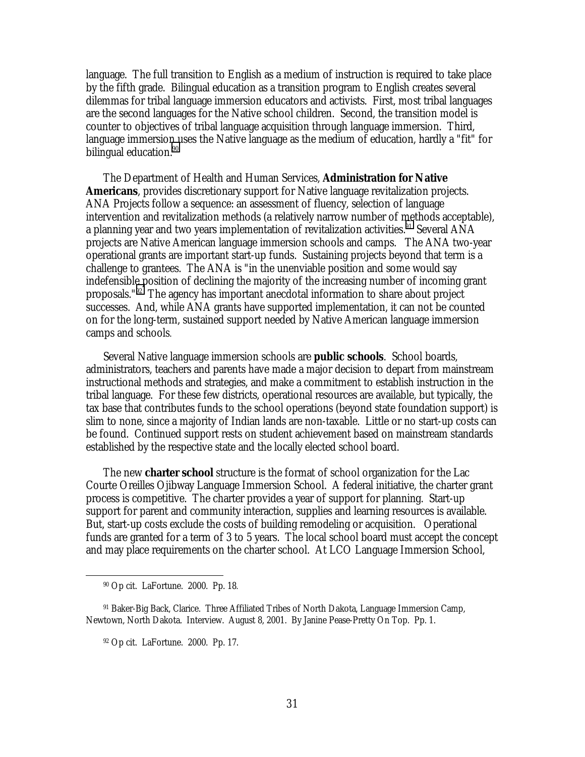language. The full transition to English as a medium of instruction is required to take place by the fifth grade. Bilingual education as a transition program to English creates several dilemmas for tribal language immersion educators and activists. First, most tribal languages are the second languages for the Native school children. Second, the transition model is counter to objectives of tribal language acquisition through language immersion. Third, language immersion uses the Native language as the medium of education, hardly a "fit" for bilingual education.<sup>90</sup>

 The Department of Health and Human Services, **Administration for Native Americans**, provides discretionary support for Native language revitalization projects. ANA Projects follow a sequence: an assessment of fluency, selection of language intervention and revitalization methods (a relatively narrow number of methods acceptable), a planning year and two years implementation of revitalization activities.<sup>91</sup> Several  $A\hat{N}A$ projects are Native American language immersion schools and camps. The ANA two-year operational grants are important start-up funds. Sustaining projects beyond that term is a challenge to grantees. The ANA is "in the unenviable position and some would say indefensible position of declining the majority of the increasing number of incoming grant proposals."92 The agency has important anecdotal information to share about project successes. And, while ANA grants have supported implementation, it can not be counted on for the long-term, sustained support needed by Native American language immersion camps and schools.

Several Native language immersion schools are **public schools**. School boards, administrators, teachers and parents have made a major decision to depart from mainstream instructional methods and strategies, and make a commitment to establish instruction in the tribal language. For these few districts, operational resources are available, but typically, the tax base that contributes funds to the school operations (beyond state foundation support) is slim to none, since a majority of Indian lands are non-taxable. Little or no start-up costs can be found. Continued support rests on student achievement based on mainstream standards established by the respective state and the locally elected school board.

 The new **charter school** structure is the format of school organization for the Lac Courte Oreilles Ojibway Language Immersion School. A federal initiative, the charter grant process is competitive. The charter provides a year of support for planning. Start-up support for parent and community interaction, supplies and learning resources is available. But, start-up costs exclude the costs of building remodeling or acquisition. Operational funds are granted for a term of 3 to 5 years. The local school board must accept the concept and may place requirements on the charter school. At LCO Language Immersion School,

 <sup>90</sup> Op cit. LaFortune. 2000. Pp. 18.

<sup>91</sup> Baker-Big Back, Clarice. Three Affiliated Tribes of North Dakota, Language Immersion Camp, Newtown, North Dakota. Interview. August 8, 2001. By Janine Pease-Pretty On Top. Pp. 1.

<sup>92</sup> Op cit. LaFortune. 2000. Pp. 17.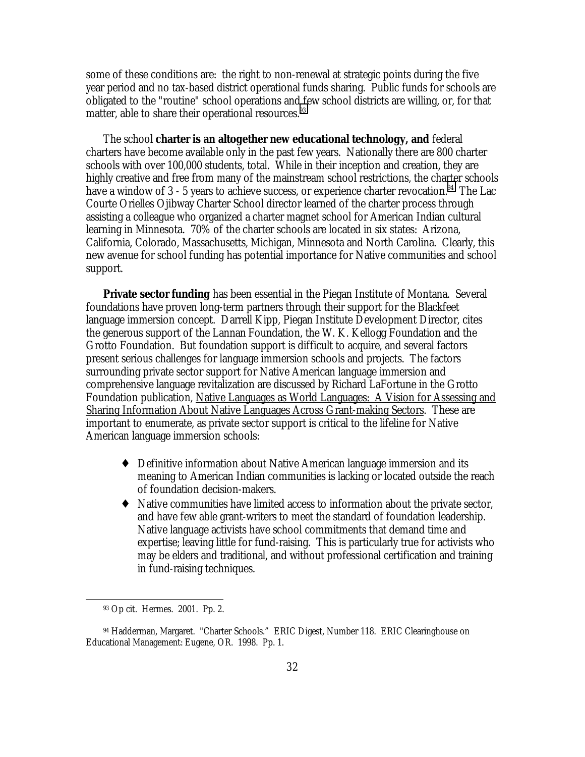some of these conditions are: the right to non-renewal at strategic points during the five year period and no tax-based district operational funds sharing. Public funds for schools are obligated to the "routine" school operations and few school districts are willing, or, for that matter, able to share their operational resources.<sup>93</sup>

 The school **charter is an altogether new educational technology, and** federal charters have become available only in the past few years. Nationally there are 800 charter schools with over 100,000 students, total. While in their inception and creation, they are highly creative and free from many of the mainstream school restrictions, the charter schools have a window of  $3 - 5$  years to achieve success, or experience charter revocation.<sup>94</sup> The Lac Courte Orielles Ojibway Charter School director learned of the charter process through assisting a colleague who organized a charter magnet school for American Indian cultural learning in Minnesota. 70% of the charter schools are located in six states: Arizona, California, Colorado, Massachusetts, Michigan, Minnesota and North Carolina. Clearly, this new avenue for school funding has potential importance for Native communities and school support.

**Private sector funding** has been essential in the Piegan Institute of Montana. Several foundations have proven long-term partners through their support for the Blackfeet language immersion concept. Darrell Kipp, Piegan Institute Development Director, cites the generous support of the Lannan Foundation, the W. K. Kellogg Foundation and the Grotto Foundation. But foundation support is difficult to acquire, and several factors present serious challenges for language immersion schools and projects. The factors surrounding private sector support for Native American language immersion and comprehensive language revitalization are discussed by Richard LaFortune in the Grotto Foundation publication, Native Languages as World Languages: A Vision for Assessing and Sharing Information About Native Languages Across Grant-making Sectors. These are important to enumerate, as private sector support is critical to the lifeline for Native American language immersion schools:

- ♦ Definitive information about Native American language immersion and its meaning to American Indian communities is lacking or located outside the reach of foundation decision-makers.
- ♦ Native communities have limited access to information about the private sector, and have few able grant-writers to meet the standard of foundation leadership. Native language activists have school commitments that demand time and expertise; leaving little for fund-raising. This is particularly true for activists who may be elders and traditional, and without professional certification and training in fund-raising techniques.

 <sup>93</sup> Op cit. Hermes. 2001. Pp. 2.

<sup>94</sup> Hadderman, Margaret. "Charter Schools." ERIC Digest, Number 118. ERIC Clearinghouse on Educational Management: Eugene, OR. 1998. Pp. 1.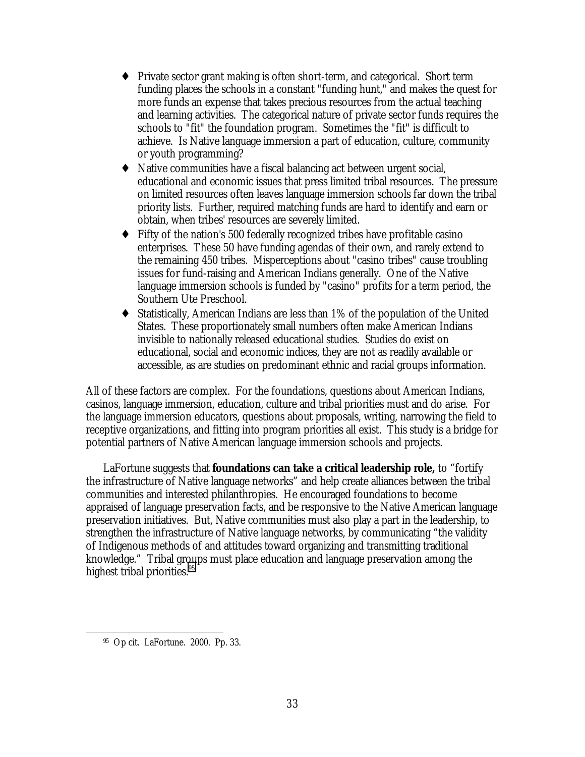- ♦ Private sector grant making is often short-term, and categorical. Short term funding places the schools in a constant "funding hunt," and makes the quest for more funds an expense that takes precious resources from the actual teaching and learning activities. The categorical nature of private sector funds requires the schools to "fit" the foundation program. Sometimes the "fit" is difficult to achieve. Is Native language immersion a part of education, culture, community or youth programming?
- ♦ Native communities have a fiscal balancing act between urgent social, educational and economic issues that press limited tribal resources. The pressure on limited resources often leaves language immersion schools far down the tribal priority lists. Further, required matching funds are hard to identify and earn or obtain, when tribes' resources are severely limited.
- $\blacklozenge$  Fifty of the nation's 500 federally recognized tribes have profitable casino enterprises. These 50 have funding agendas of their own, and rarely extend to the remaining 450 tribes. Misperceptions about "casino tribes" cause troubling issues for fund-raising and American Indians generally. One of the Native language immersion schools is funded by "casino" profits for a term period, the Southern Ute Preschool.
- ♦ Statistically, American Indians are less than 1% of the population of the United States. These proportionately small numbers often make American Indians invisible to nationally released educational studies. Studies do exist on educational, social and economic indices, they are not as readily available or accessible, as are studies on predominant ethnic and racial groups information.

All of these factors are complex. For the foundations, questions about American Indians, casinos, language immersion, education, culture and tribal priorities must and do arise. For the language immersion educators, questions about proposals, writing, narrowing the field to receptive organizations, and fitting into program priorities all exist. This study is a bridge for potential partners of Native American language immersion schools and projects.

 LaFortune suggests that **foundations can take a critical leadership role,** to "fortify the infrastructure of Native language networks" and help create alliances between the tribal communities and interested philanthropies. He encouraged foundations to become appraised of language preservation facts, and be responsive to the Native American language preservation initiatives. But, Native communities must also play a part in the leadership, to strengthen the infrastructure of Native language networks, by communicating "the validity of Indigenous methods of and attitudes toward organizing and transmitting traditional knowledge." Tribal groups must place education and language preservation among the highest tribal priorities. $95$ 

 <sup>95</sup> Op cit. LaFortune. 2000. Pp. 33.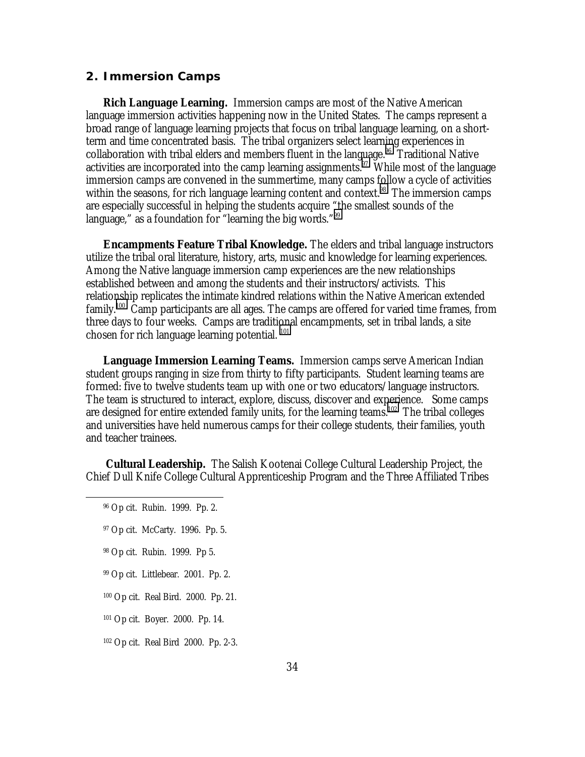### **2. Immersion Camps**

**Rich Language Learning.** Immersion camps are most of the Native American language immersion activities happening now in the United States. The camps represent a broad range of language learning projects that focus on tribal language learning, on a shortterm and time concentrated basis. The tribal organizers select learning experiences in collaboration with tribal elders and members fluent in the language.<sup>96</sup> Traditional Native activities are incorporated into the camp learning assignments.<sup>97</sup> While most of the language immersion camps are convened in the summertime, many camps follow a cycle of activities within the seasons, for rich language learning content and context.<sup>98</sup> The immersion camps are especially successful in helping the students acquire "the smallest sounds of the language," as a foundation for "learning the big words."<sup>99</sup>

**Encampments Feature Tribal Knowledge.** The elders and tribal language instructors utilize the tribal oral literature, history, arts, music and knowledge for learning experiences. Among the Native language immersion camp experiences are the new relationships established between and among the students and their instructors/activists. This relationship replicates the intimate kindred relations within the Native American extended family.<sup>100</sup> Camp participants are all ages. The camps are offered for varied time frames, from three days to four weeks. Camps are traditional encampments, set in tribal lands, a site chosen for rich language learning potential.<sup>101</sup>

**Language Immersion Learning Teams.** Immersion camps serve American Indian student groups ranging in size from thirty to fifty participants. Student learning teams are formed: five to twelve students team up with one or two educators/language instructors. The team is structured to interact, explore, discuss, discover and experience. Some camps are designed for entire extended family units, for the learning teams.<sup>102</sup> The tribal colleges and universities have held numerous camps for their college students, their families, youth and teacher trainees.

**Cultural Leadership.** The Salish Kootenai College Cultural Leadership Project, the Chief Dull Knife College Cultural Apprenticeship Program and the Three Affiliated Tribes

- 98 Op cit. Rubin. 1999. Pp 5.
- 99 Op cit. Littlebear. 2001. Pp. 2.
- 100 Op cit. Real Bird. 2000. Pp. 21.
- 101 Op cit. Boyer. 2000. Pp. 14.

102 Op cit. Real Bird 2000. Pp. 2-3.

 <sup>96</sup> Op cit. Rubin. 1999. Pp. 2.

<sup>97</sup> Op cit. McCarty. 1996. Pp. 5.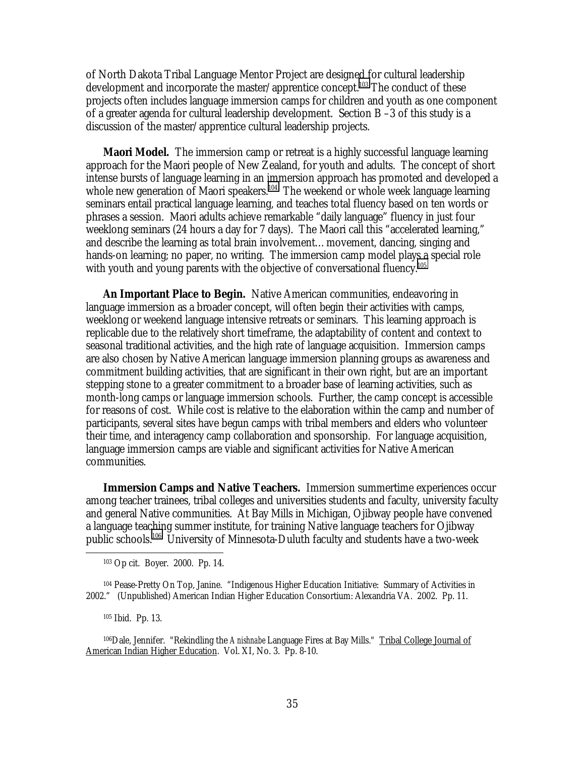of North Dakota Tribal Language Mentor Project are designed for cultural leadership development and incorporate the master/apprentice concept.<sup>103</sup> The conduct of these projects often includes language immersion camps for children and youth as one component of a greater agenda for cultural leadership development. Section B –3 of this study is a discussion of the master/apprentice cultural leadership projects.

**Maori Model.** The immersion camp or retreat is a highly successful language learning approach for the Maori people of New Zealand, for youth and adults. The concept of short intense bursts of language learning in an immersion approach has promoted and developed a whole new generation of Maori speakers.<sup>104</sup> The weekend or whole week language learning seminars entail practical language learning, and teaches total fluency based on ten words or phrases a session. Maori adults achieve remarkable "daily language" fluency in just four weeklong seminars (24 hours a day for 7 days). The Maori call this "accelerated learning," and describe the learning as total brain involvement…movement, dancing, singing and hands-on learning; no paper, no writing. The immersion camp model plays a special role with youth and young parents with the objective of conversational fluency.<sup>105</sup>

**An Important Place to Begin.** Native American communities, endeavoring in language immersion as a broader concept, will often begin their activities with camps, weeklong or weekend language intensive retreats or seminars. This learning approach is replicable due to the relatively short timeframe, the adaptability of content and context to seasonal traditional activities, and the high rate of language acquisition. Immersion camps are also chosen by Native American language immersion planning groups as awareness and commitment building activities, that are significant in their own right, but are an important stepping stone to a greater commitment to a broader base of learning activities, such as month-long camps or language immersion schools. Further, the camp concept is accessible for reasons of cost. While cost is relative to the elaboration within the camp and number of participants, several sites have begun camps with tribal members and elders who volunteer their time, and interagency camp collaboration and sponsorship. For language acquisition, language immersion camps are viable and significant activities for Native American communities.

**Immersion Camps and Native Teachers.** Immersion summertime experiences occur among teacher trainees, tribal colleges and universities students and faculty, university faculty and general Native communities. At Bay Mills in Michigan, Ojibway people have convened a language teaching summer institute, for training Native language teachers for Ojibway public schools.<sup>106</sup> University of Minnesota-Duluth faculty and students have a two-week

 <sup>103</sup> Op cit. Boyer. 2000. Pp. 14.

<sup>104</sup> Pease-Pretty On Top, Janine. "Indigenous Higher Education Initiative: Summary of Activities in 2002." (Unpublished) American Indian Higher Education Consortium: Alexandria VA. 2002. Pp. 11.

<sup>105</sup> Ibid. Pp. 13.

<sup>106</sup>Dale, Jennifer. "Rekindling the *Anishnabe* Language Fires at Bay Mills." Tribal College Journal of American Indian Higher Education. Vol. XI, No. 3. Pp. 8-10.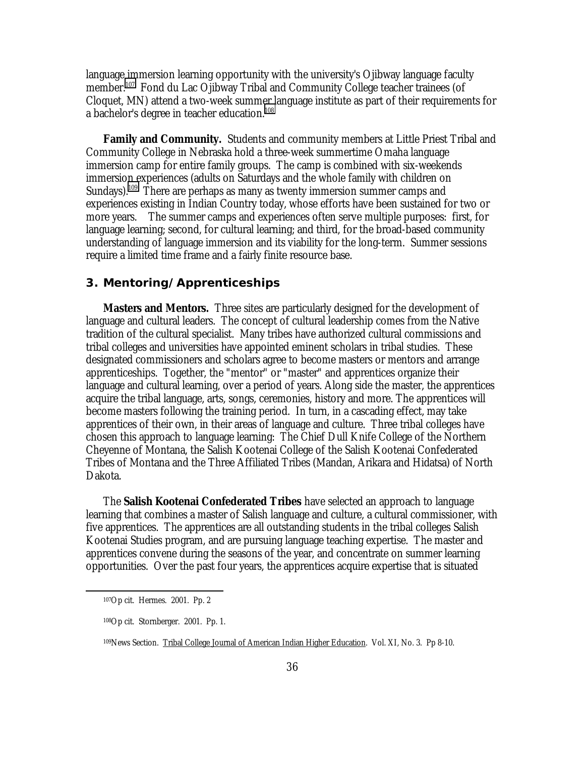language immersion learning opportunity with the university's Ojibway language faculty member.<sup>107</sup> Fond du Lac Ojibway Tribal and Community College teacher trainees (of Cloquet, MN) attend a two-week summer language institute as part of their requirements for a bachelor's degree in teacher education.<sup>108</sup>

**Family and Community.** Students and community members at Little Priest Tribal and Community College in Nebraska hold a three-week summertime Omaha language immersion camp for entire family groups. The camp is combined with six-weekends immersion experiences (adults on Saturdays and the whole family with children on Sundays).<sup>109</sup> There are perhaps as many as twenty immersion summer camps and experiences existing in Indian Country today, whose efforts have been sustained for two or more years. The summer camps and experiences often serve multiple purposes: first, for language learning; second, for cultural learning; and third, for the broad-based community understanding of language immersion and its viability for the long-term. Summer sessions require a limited time frame and a fairly finite resource base.

### **3. Mentoring/Apprenticeships**

**Masters and Mentors.** Three sites are particularly designed for the development of language and cultural leaders. The concept of cultural leadership comes from the Native tradition of the cultural specialist. Many tribes have authorized cultural commissions and tribal colleges and universities have appointed eminent scholars in tribal studies. These designated commissioners and scholars agree to become masters or mentors and arrange apprenticeships. Together, the "mentor" or "master" and apprentices organize their language and cultural learning, over a period of years. Along side the master, the apprentices acquire the tribal language, arts, songs, ceremonies, history and more. The apprentices will become masters following the training period. In turn, in a cascading effect, may take apprentices of their own, in their areas of language and culture. Three tribal colleges have chosen this approach to language learning: The Chief Dull Knife College of the Northern Cheyenne of Montana, the Salish Kootenai College of the Salish Kootenai Confederated Tribes of Montana and the Three Affiliated Tribes (Mandan, Arikara and Hidatsa) of North Dakota.

The **Salish Kootenai Confederated Tribes** have selected an approach to language learning that combines a master of Salish language and culture, a cultural commissioner, with five apprentices. The apprentices are all outstanding students in the tribal colleges Salish Kootenai Studies program, and are pursuing language teaching expertise. The master and apprentices convene during the seasons of the year, and concentrate on summer learning opportunities. Over the past four years, the apprentices acquire expertise that is situated

 <sup>107</sup>Op cit. Hermes. 2001. Pp. 2

<sup>108</sup>Op cit. Stornberger. 2001. Pp. 1.

<sup>109</sup>News Section. Tribal College Journal of American Indian Higher Education. Vol. XI, No. 3. Pp 8-10.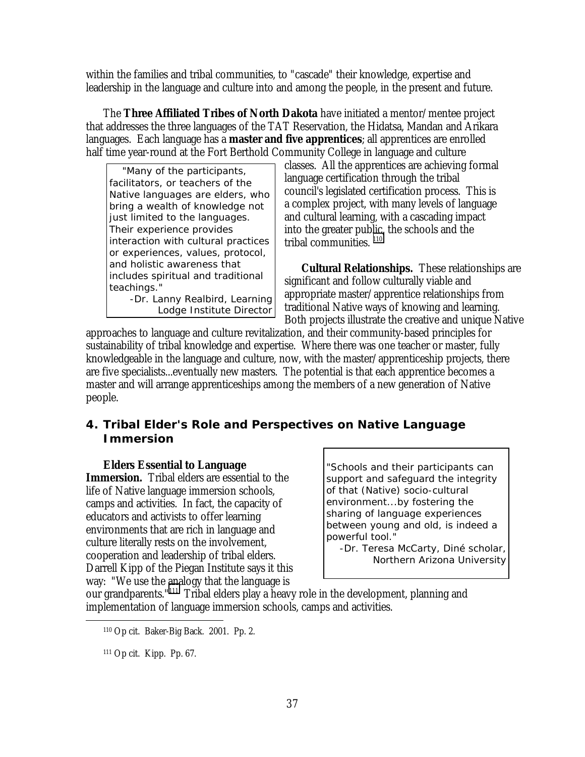within the families and tribal communities, to "cascade" their knowledge, expertise and leadership in the language and culture into and among the people, in the present and future.

 The **Three Affiliated Tribes of North Dakota** have initiated a mentor/mentee project that addresses the three languages of the TAT Reservation, the Hidatsa, Mandan and Arikara languages. Each language has a **master and five apprentices**; all apprentices are enrolled half time year-round at the Fort Berthold Community College in language and culture

*"Many of the participants, facilitators, or teachers of the Native languages are elders, who bring a wealth of knowledge not just limited to the languages. Their experience provides interaction with cultural practices or experiences, values, protocol, and holistic awareness that includes spiritual and traditional teachings." -Dr. Lanny Realbird, Learning Lodge Institute Director* classes. All the apprentices are achieving formal language certification through the tribal council's legislated certification process. This is a complex project, with many levels of language and cultural learning, with a cascading impact into the greater public, the schools and the tribal communities.<sup>110</sup>

**Cultural Relationships.** These relationships are significant and follow culturally viable and appropriate master/apprentice relationships from traditional Native ways of knowing and learning. Both projects illustrate the creative and unique Native

approaches to language and culture revitalization, and their community-based principles for sustainability of tribal knowledge and expertise. Where there was one teacher or master, fully knowledgeable in the language and culture, now, with the master/apprenticeship projects, there are five specialists...eventually new masters. The potential is that each apprentice becomes a master and will arrange apprenticeships among the members of a new generation of Native people.

# **4. Tribal Elder's Role and Perspectives on Native Language Immersion**

**Elders Essential to Language Immersion.** Tribal elders are essential to the life of Native language immersion schools, camps and activities. In fact, the capacity of educators and activists to offer learning environments that are rich in language and culture literally rests on the involvement, cooperation and leadership of tribal elders. Darrell Kipp of the Piegan Institute says it this way: "We use the analogy that the language is

*"Schools and their participants can support and safeguard the integrity of that (Native) socio-cultural environment...by fostering the sharing of language experiences between young and old, is indeed a powerful tool."* 

 *-Dr. Teresa McCarty, Diné scholar, Northern Arizona University* 

our grandparents."<sup>111</sup> Tribal elders play a heavy role in the development, planning and implementation of language immersion schools, camps and activities.

 <sup>110</sup> Op cit. Baker-Big Back. 2001. Pp. 2.

<sup>111</sup> Op cit. Kipp. Pp. 67.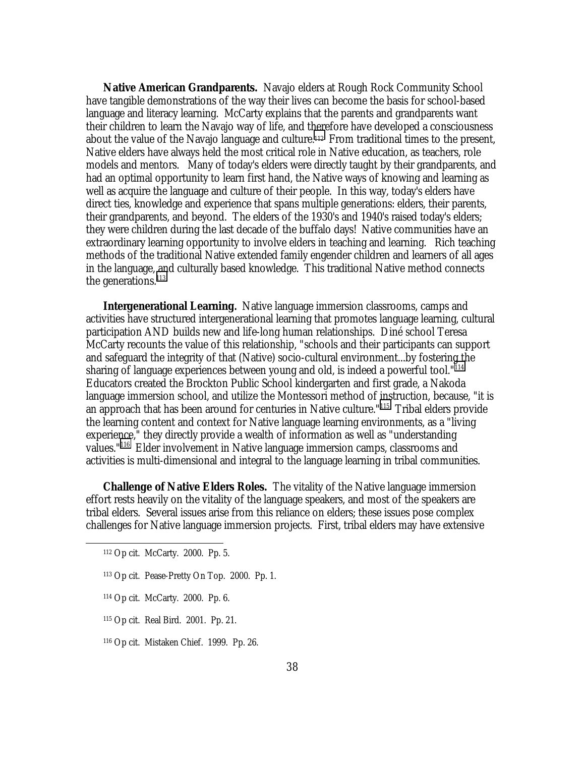**Native American Grandparents.** Navajo elders at Rough Rock Community School have tangible demonstrations of the way their lives can become the basis for school-based language and literacy learning. McCarty explains that the parents and grandparents want their children to learn the Navajo way of life, and therefore have developed a consciousness about the value of the Navajo language and culture. 112 From traditional times to the present, Native elders have always held the most critical role in Native education, as teachers, role models and mentors. Many of today's elders were directly taught by their grandparents, and had an optimal opportunity to learn first hand, the Native ways of knowing and learning as well as acquire the language and culture of their people. In this way, today's elders have direct ties, knowledge and experience that spans multiple generations: elders, their parents, their grandparents, and beyond. The elders of the 1930's and 1940's raised today's elders; they were children during the last decade of the buffalo days! Native communities have an extraordinary learning opportunity to involve elders in teaching and learning. Rich teaching methods of the traditional Native extended family engender children and learners of all ages in the language, and culturally based knowledge. This traditional Native method connects the generations. $^{113}$ 

**Intergenerational Learning.** Native language immersion classrooms, camps and activities have structured intergenerational learning that promotes language learning, cultural participation AND builds new and life-long human relationships. Diné school Teresa McCarty recounts the value of this relationship, "schools and their participants can support and safeguard the integrity of that (Native) socio-cultural environment...by fostering the sharing of language experiences between young and old, is indeed a powerful tool."<sup>114</sup> Educators created the Brockton Public School kindergarten and first grade, a Nakoda language immersion school, and utilize the Montessori method of instruction, because, "it is an approach that has been around for centuries in Native culture."115 Tribal elders provide the learning content and context for Native language learning environments, as a "living experience," they directly provide a wealth of information as well as "understanding values."116 Elder involvement in Native language immersion camps, classrooms and activities is multi-dimensional and integral to the language learning in tribal communities.

**Challenge of Native Elders Roles.** The vitality of the Native language immersion effort rests heavily on the vitality of the language speakers, and most of the speakers are tribal elders. Several issues arise from this reliance on elders; these issues pose complex challenges for Native language immersion projects. First, tribal elders may have extensive

- 114 Op cit. McCarty. 2000. Pp. 6.
- 115 Op cit. Real Bird. 2001. Pp. 21.
- 116 Op cit. Mistaken Chief. 1999. Pp. 26.

 <sup>112</sup> Op cit. McCarty. 2000. Pp. 5.

<sup>113</sup> Op cit. Pease-Pretty On Top. 2000. Pp. 1.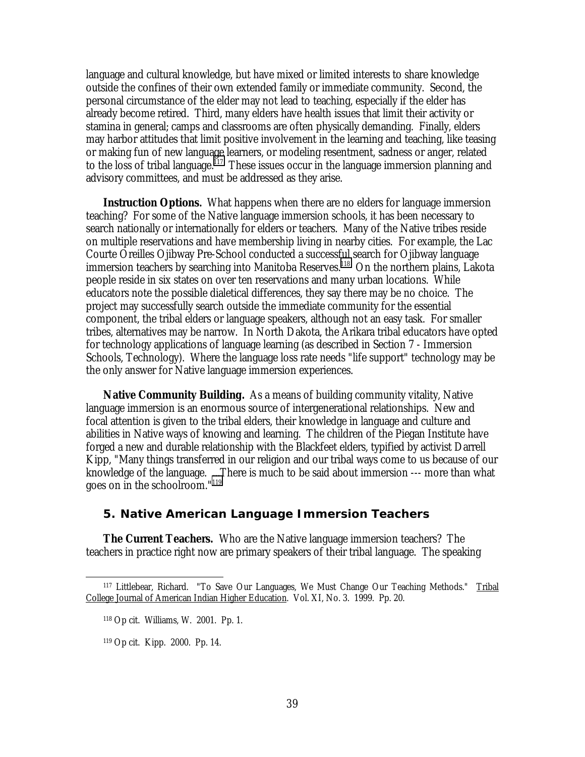language and cultural knowledge, but have mixed or limited interests to share knowledge outside the confines of their own extended family or immediate community. Second, the personal circumstance of the elder may not lead to teaching, especially if the elder has already become retired. Third, many elders have health issues that limit their activity or stamina in general; camps and classrooms are often physically demanding. Finally, elders may harbor attitudes that limit positive involvement in the learning and teaching, like teasing or making fun of new language learners, or modeling resentment, sadness or anger, related to the loss of tribal language.<sup>117</sup> These issues occur in the language immersion planning and advisory committees, and must be addressed as they arise.

**Instruction Options.** What happens when there are no elders for language immersion teaching? For some of the Native language immersion schools, it has been necessary to search nationally or internationally for elders or teachers. Many of the Native tribes reside on multiple reservations and have membership living in nearby cities. For example, the Lac Courte Oreilles Ojibway Pre-School conducted a successful search for Ojibway language immersion teachers by searching into Manitoba Reserves.<sup>118</sup> On the northern plains, Lakota people reside in six states on over ten reservations and many urban locations. While educators note the possible dialetical differences, they say there may be no choice. The project may successfully search outside the immediate community for the essential component, the tribal elders or language speakers, although not an easy task. For smaller tribes, alternatives may be narrow. In North Dakota, the Arikara tribal educators have opted for technology applications of language learning (as described in Section 7 - Immersion Schools, Technology). Where the language loss rate needs "life support" technology may be the only answer for Native language immersion experiences.

**Native Community Building.** As a means of building community vitality, Native language immersion is an enormous source of intergenerational relationships. New and focal attention is given to the tribal elders, their knowledge in language and culture and abilities in Native ways of knowing and learning. The children of the Piegan Institute have forged a new and durable relationship with the Blackfeet elders, typified by activist Darrell Kipp, "Many things transferred in our religion and our tribal ways come to us because of our knowledge of the language. ...There is much to be said about immersion --- more than what goes on in the schoolroom."119

#### **5. Native American Language Immersion Teachers**

**The Current Teachers.** Who are the Native language immersion teachers? The teachers in practice right now are primary speakers of their tribal language. The speaking

119 Op cit. Kipp. 2000. Pp. 14.

<sup>&</sup>lt;sup>117</sup> Littlebear, Richard. "To Save Our Languages, We Must Change Our Teaching Methods." Tribal College Journal of American Indian Higher Education. Vol. XI, No. 3. 1999. Pp. 20.

<sup>118</sup> Op cit. Williams, W. 2001. Pp. 1.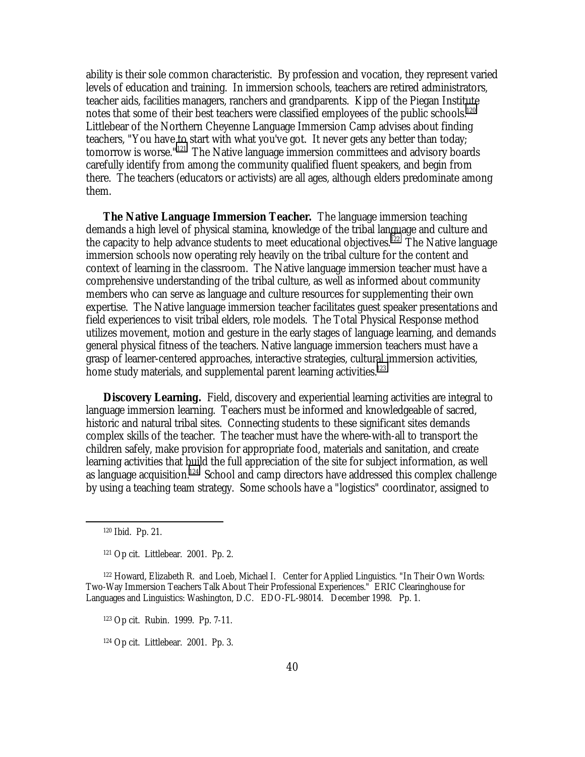ability is their sole common characteristic. By profession and vocation, they represent varied levels of education and training. In immersion schools, teachers are retired administrators, teacher aids, facilities managers, ranchers and grandparents. Kipp of the Piegan Institute notes that some of their best teachers were classified employees of the public schools.<sup>120</sup> Littlebear of the Northern Cheyenne Language Immersion Camp advises about finding teachers, "You have to start with what you've got. It never gets any better than today; tomorrow is worse."121 The Native language immersion committees and advisory boards carefully identify from among the community qualified fluent speakers, and begin from there. The teachers (educators or activists) are all ages, although elders predominate among them.

**The Native Language Immersion Teacher.** The language immersion teaching demands a high level of physical stamina, knowledge of the tribal language and culture and the capacity to help advance students to meet educational objectives.<sup>122</sup> The Native language immersion schools now operating rely heavily on the tribal culture for the content and context of learning in the classroom. The Native language immersion teacher must have a comprehensive understanding of the tribal culture, as well as informed about community members who can serve as language and culture resources for supplementing their own expertise. The Native language immersion teacher facilitates guest speaker presentations and field experiences to visit tribal elders, role models. The Total Physical Response method utilizes movement, motion and gesture in the early stages of language learning, and demands general physical fitness of the teachers. Native language immersion teachers must have a grasp of learner-centered approaches, interactive strategies, cultural immersion activities, home study materials, and supplemental parent learning activities.<sup>123</sup>

**Discovery Learning.** Field, discovery and experiential learning activities are integral to language immersion learning. Teachers must be informed and knowledgeable of sacred, historic and natural tribal sites. Connecting students to these significant sites demands complex skills of the teacher. The teacher must have the where-with-all to transport the children safely, make provision for appropriate food, materials and sanitation, and create learning activities that build the full appreciation of the site for subject information, as well as language acquisition.<sup>124</sup> School and camp directors have addressed this complex challenge by using a teaching team strategy. Some schools have a "logistics" coordinator, assigned to

 <sup>120</sup> Ibid. Pp. 21.

<sup>121</sup> Op cit. Littlebear. 2001. Pp. 2.

<sup>122</sup> Howard, Elizabeth R. and Loeb, Michael I. Center for Applied Linguistics. "In Their Own Words: Two-Way Immersion Teachers Talk About Their Professional Experiences." ERIC Clearinghouse for Languages and Linguistics: Washington, D.C. EDO-FL-98014. December 1998. Pp. 1.

<sup>123</sup> Op cit. Rubin. 1999. Pp. 7-11.

<sup>124</sup> Op cit. Littlebear. 2001. Pp. 3.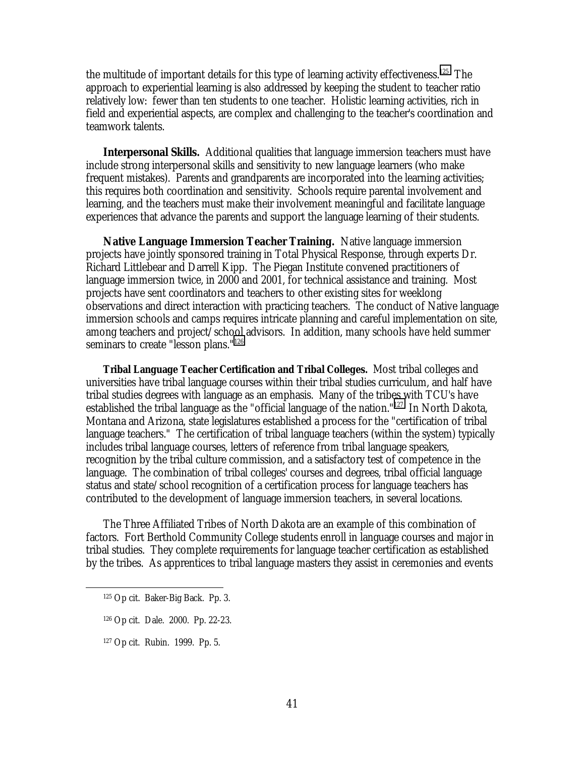the multitude of important details for this type of learning activity effectiveness.<sup>125</sup> The approach to experiential learning is also addressed by keeping the student to teacher ratio relatively low: fewer than ten students to one teacher. Holistic learning activities, rich in field and experiential aspects, are complex and challenging to the teacher's coordination and teamwork talents.

**Interpersonal Skills.** Additional qualities that language immersion teachers must have include strong interpersonal skills and sensitivity to new language learners (who make frequent mistakes). Parents and grandparents are incorporated into the learning activities; this requires both coordination and sensitivity. Schools require parental involvement and learning, and the teachers must make their involvement meaningful and facilitate language experiences that advance the parents and support the language learning of their students.

**Native Language Immersion Teacher Training.** Native language immersion projects have jointly sponsored training in Total Physical Response, through experts Dr. Richard Littlebear and Darrell Kipp. The Piegan Institute convened practitioners of language immersion twice, in 2000 and 2001, for technical assistance and training. Most projects have sent coordinators and teachers to other existing sites for weeklong observations and direct interaction with practicing teachers. The conduct of Native language immersion schools and camps requires intricate planning and careful implementation on site, among teachers and project/school advisors. In addition, many schools have held summer seminars to create "lesson plans."<sup>126</sup>

**Tribal Language Teacher Certification and Tribal Colleges.** Most tribal colleges and universities have tribal language courses within their tribal studies curriculum, and half have tribal studies degrees with language as an emphasis. Many of the tribes with TCU's have established the tribal language as the "official language of the nation."<sup>127</sup> In North Dakota, Montana and Arizona, state legislatures established a process for the "certification of tribal language teachers." The certification of tribal language teachers (within the system) typically includes tribal language courses, letters of reference from tribal language speakers, recognition by the tribal culture commission, and a satisfactory test of competence in the language. The combination of tribal colleges' courses and degrees, tribal official language status and state/school recognition of a certification process for language teachers has contributed to the development of language immersion teachers, in several locations.

The Three Affiliated Tribes of North Dakota are an example of this combination of factors. Fort Berthold Community College students enroll in language courses and major in tribal studies. They complete requirements for language teacher certification as established by the tribes. As apprentices to tribal language masters they assist in ceremonies and events

 <sup>125</sup> Op cit. Baker-Big Back. Pp. 3.

<sup>126</sup> Op cit. Dale. 2000. Pp. 22-23.

<sup>127</sup> Op cit. Rubin. 1999. Pp. 5.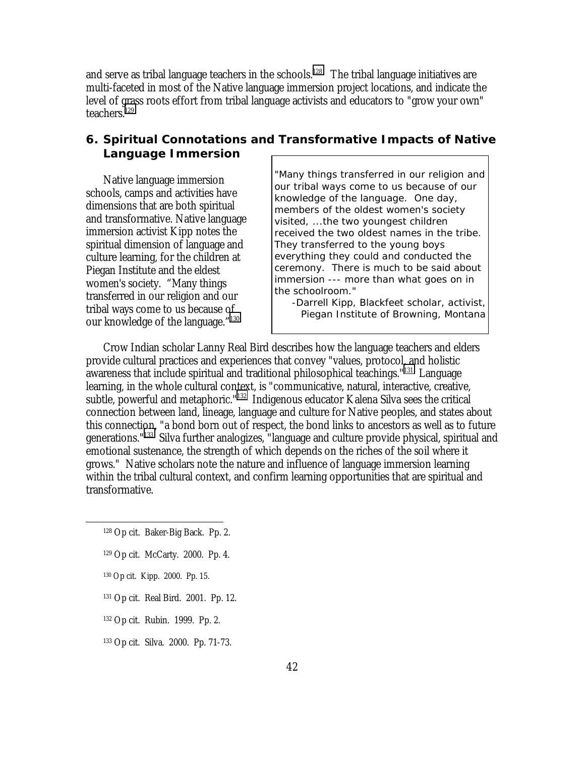and serve as tribal language teachers in the schools.<sup>128</sup> The tribal language initiatives are multi-faceted in most of the Native language immersion project locations, and indicate the level of grass roots effort from tribal language activists and educators to "grow your own" teachers.<sup>129</sup>

## **6. Spiritual Connotations and Transformative Impacts of Native Language Immersion**

 Native language immersion schools, camps and activities have dimensions that are both spiritual and transformative. Native language immersion activist Kipp notes the spiritual dimension of language and culture learning, for the children at Piegan Institute and the eldest women's society. "Many things transferred in our religion and our tribal ways come to us because of our knowledge of the language."130

*"Many things transferred in our religion and our tribal ways come to us because of our knowledge of the language. One day, members of the oldest women's society visited, ...the two youngest children received the two oldest names in the tribe. They transferred to the young boys everything they could and conducted the ceremony. There is much to be said about immersion --- more than what goes on in the schoolroom*."

*-Darrell Kipp, Blackfeet scholar, activist, Piegan Institute of Browning, Montana* 

Crow Indian scholar Lanny Real Bird describes how the language teachers and elders provide cultural practices and experiences that convey "values, protocol, and holistic awareness that include spiritual and traditional philosophical teachings."131 Language learning, in the whole cultural context, is "communicative, natural, interactive, creative, subtle, powerful and metaphoric."<sup>132</sup> Indigenous educator Kalena Silva sees the critical connection between land, lineage, language and culture for Native peoples, and states about this connection, "a bond born out of respect, the bond links to ancestors as well as to future generations."133 Silva further analogizes, "language and culture provide physical, spiritual and emotional sustenance, the strength of which depends on the riches of the soil where it grows." Native scholars note the nature and influence of language immersion learning within the tribal cultural context, and confirm learning opportunities that are spiritual and transformative.

- 128 Op cit. Baker-Big Back. Pp. 2.
- 129 Op cit. McCarty. 2000. Pp. 4.
- 130 Op cit. Kipp. 2000. Pp. 15.
- 131 Op cit. Real Bird. 2001. Pp. 12.
- 132 Op cit. Rubin. 1999. Pp. 2.
- 133 Op cit. Silva. 2000. Pp. 71-73.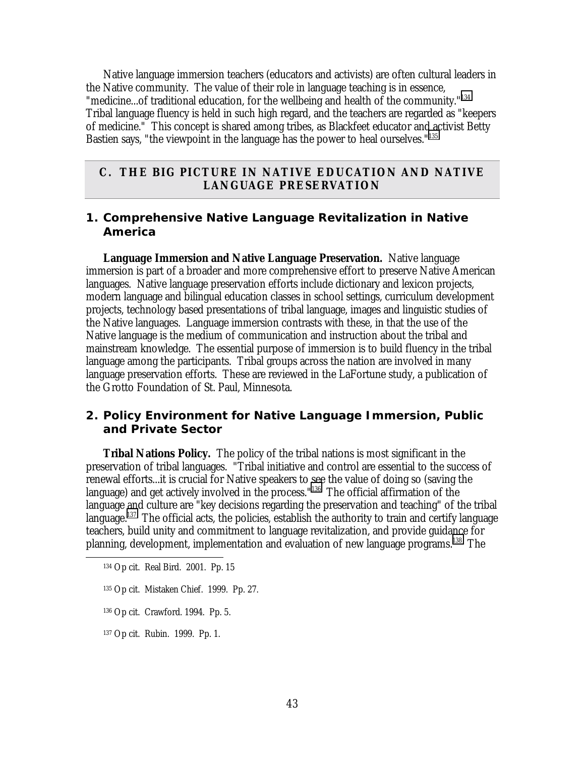Native language immersion teachers (educators and activists) are often cultural leaders in the Native community. The value of their role in language teaching is in essence, "medicine...of traditional education, for the wellbeing and health of the community."134 Tribal language fluency is held in such high regard, and the teachers are regarded as "keepers of medicine." This concept is shared among tribes, as Blackfeet educator and activist Betty Bastien says, "the viewpoint in the language has the power to heal ourselves."<sup>135</sup>

### **C. THE BIG PICTURE IN NATIVE EDUCATION AND NATIVE LANGUAGE PRESERVATION**

## **1. Comprehensive Native Language Revitalization in Native America**

**Language Immersion and Native Language Preservation.** Native language immersion is part of a broader and more comprehensive effort to preserve Native American languages. Native language preservation efforts include dictionary and lexicon projects, modern language and bilingual education classes in school settings, curriculum development projects, technology based presentations of tribal language, images and linguistic studies of the Native languages. Language immersion contrasts with these, in that the use of the Native language is the medium of communication and instruction about the tribal and mainstream knowledge. The essential purpose of immersion is to build fluency in the tribal language among the participants. Tribal groups across the nation are involved in many language preservation efforts. These are reviewed in the LaFortune study, a publication of the Grotto Foundation of St. Paul, Minnesota.

## **2. Policy Environment for Native Language Immersion, Public and Private Sector**

**Tribal Nations Policy.** The policy of the tribal nations is most significant in the preservation of tribal languages. "Tribal initiative and control are essential to the success of renewal efforts...it is crucial for Native speakers to see the value of doing so (saving the language) and get actively involved in the process."<sup>136</sup> The official affirmation of the language and culture are "key decisions regarding the preservation and teaching" of the tribal language.<sup>137</sup> The official acts, the policies, establish the authority to train and certify language teachers, build unity and commitment to language revitalization, and provide guidance for planning, development, implementation and evaluation of new language programs.138 The

 <sup>134</sup> Op cit. Real Bird. 2001. Pp. 15

<sup>135</sup> Op cit. Mistaken Chief. 1999. Pp. 27.

<sup>136</sup> Op cit. Crawford. 1994. Pp. 5.

<sup>137</sup> Op cit. Rubin. 1999. Pp. 1.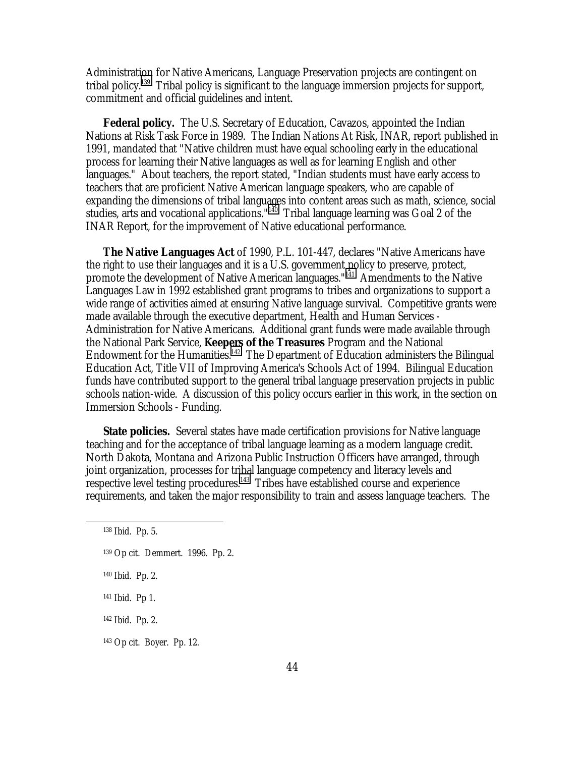Administration for Native Americans, Language Preservation projects are contingent on tribal policy.139 Tribal policy is significant to the language immersion projects for support, commitment and official guidelines and intent.

**Federal policy.** The U.S. Secretary of Education, Cavazos, appointed the Indian Nations at Risk Task Force in 1989. The Indian Nations At Risk, INAR, report published in 1991, mandated that "Native children must have equal schooling early in the educational process for learning their Native languages as well as for learning English and other languages." About teachers, the report stated, "Indian students must have early access to teachers that are proficient Native American language speakers, who are capable of expanding the dimensions of tribal languages into content areas such as math, science, social studies, arts and vocational applications."140 Tribal language learning was Goal 2 of the INAR Report, for the improvement of Native educational performance.

**The Native Languages Act** of 1990, P.L. 101-447, declares "Native Americans have the right to use their languages and it is a U.S. government policy to preserve, protect, promote the development of Native American languages."<sup>141</sup> Amendments to the Native Languages Law in 1992 established grant programs to tribes and organizations to support a wide range of activities aimed at ensuring Native language survival. Competitive grants were made available through the executive department, Health and Human Services - Administration for Native Americans. Additional grant funds were made available through the National Park Service, **Keepers of the Treasures** Program and the National Endowment for the Humanities.<sup>142</sup> The Department of Education administers the Bilingual Education Act, Title VII of Improving America's Schools Act of 1994. Bilingual Education funds have contributed support to the general tribal language preservation projects in public schools nation-wide. A discussion of this policy occurs earlier in this work, in the section on Immersion Schools - Funding.

**State policies.** Several states have made certification provisions for Native language teaching and for the acceptance of tribal language learning as a modern language credit. North Dakota, Montana and Arizona Public Instruction Officers have arranged, through joint organization, processes for tribal language competency and literacy levels and respective level testing procedures.<sup>143</sup> Tribes have established course and experience requirements, and taken the major responsibility to train and assess language teachers. The

 <sup>138</sup> Ibid. Pp. 5.

<sup>139</sup> Op cit. Demmert. 1996. Pp. 2.

<sup>140</sup> Ibid. Pp. 2.

<sup>141</sup> Ibid. Pp 1.

<sup>142</sup> Ibid. Pp. 2.

<sup>143</sup> Op cit. Boyer. Pp. 12.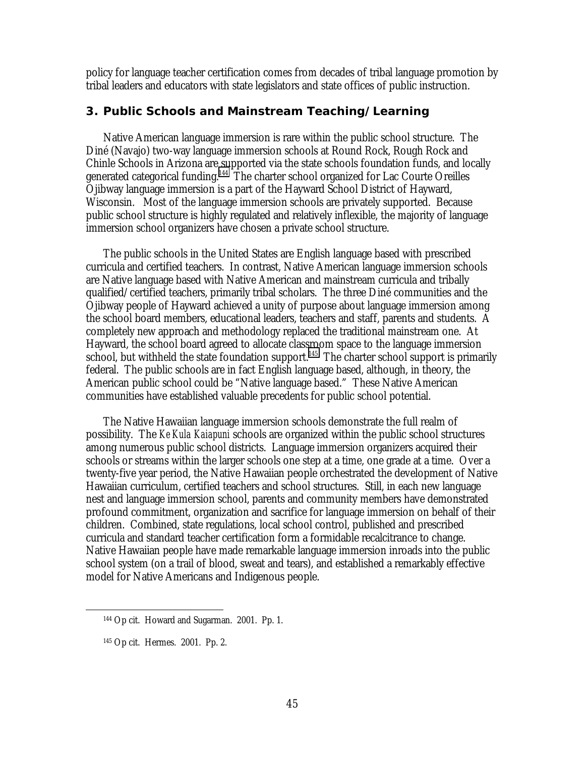policy for language teacher certification comes from decades of tribal language promotion by tribal leaders and educators with state legislators and state offices of public instruction.

### **3. Public Schools and Mainstream Teaching/Learning**

Native American language immersion is rare within the public school structure. The Diné (Navajo) two-way language immersion schools at Round Rock, Rough Rock and Chinle Schools in Arizona are supported via the state schools foundation funds, and locally generated categorical funding.<sup>144</sup> The charter school organized for Lac Courte Oreilles Ojibway language immersion is a part of the Hayward School District of Hayward, Wisconsin. Most of the language immersion schools are privately supported. Because public school structure is highly regulated and relatively inflexible, the majority of language immersion school organizers have chosen a private school structure.

The public schools in the United States are English language based with prescribed curricula and certified teachers. In contrast, Native American language immersion schools are Native language based with Native American and mainstream curricula and tribally qualified/certified teachers, primarily tribal scholars. The three Diné communities and the Ojibway people of Hayward achieved a unity of purpose about language immersion among the school board members, educational leaders, teachers and staff, parents and students. A completely new approach and methodology replaced the traditional mainstream one. At Hayward, the school board agreed to allocate classroom space to the language immersion school, but withheld the state foundation support.<sup>145</sup> The charter school support is primarily federal. The public schools are in fact English language based, although, in theory, the American public school could be "Native language based." These Native American communities have established valuable precedents for public school potential.

The Native Hawaiian language immersion schools demonstrate the full realm of possibility. The *Ke Kula Kaiapuni* schools are organized within the public school structures among numerous public school districts. Language immersion organizers acquired their schools or streams within the larger schools one step at a time, one grade at a time. Over a twenty-five year period, the Native Hawaiian people orchestrated the development of Native Hawaiian curriculum, certified teachers and school structures. Still, in each new language nest and language immersion school, parents and community members have demonstrated profound commitment, organization and sacrifice for language immersion on behalf of their children. Combined, state regulations, local school control, published and prescribed curricula and standard teacher certification form a formidable recalcitrance to change. Native Hawaiian people have made remarkable language immersion inroads into the public school system (on a trail of blood, sweat and tears), and established a remarkably effective model for Native Americans and Indigenous people.

 <sup>144</sup> Op cit. Howard and Sugarman. 2001. Pp. 1.

<sup>145</sup> Op cit. Hermes. 2001. Pp. 2.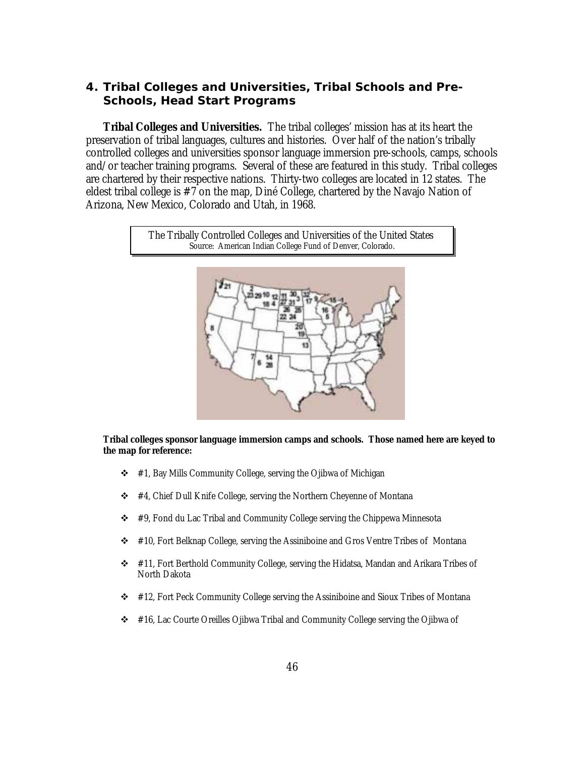### **4. Tribal Colleges and Universities, Tribal Schools and Pre-Schools, Head Start Programs**

**Tribal Colleges and Universities.** The tribal colleges' mission has at its heart the preservation of tribal languages, cultures and histories. Over half of the nation's tribally controlled colleges and universities sponsor language immersion pre-schools, camps, schools and/or teacher training programs. Several of these are featured in this study. Tribal colleges are chartered by their respective nations. Thirty-two colleges are located in 12 states. The eldest tribal college is #7 on the map, Diné College, chartered by the Navajo Nation of Arizona, New Mexico, Colorado and Utah, in 1968.

> The Tribally Controlled Colleges and Universities of the United States Source: American Indian College Fund of Denver, Colorado.



**Tribal colleges sponsor language immersion camps and schools. Those named here are keyed to the map for reference:** 

- $\div$  #1, Bay Mills Community College, serving the Ojibwa of Michigan
- $\div$  #4, Chief Dull Knife College, serving the Northern Cheyenne of Montana
- # #9, Fond du Lac Tribal and Community College serving the Chippewa Minnesota
- # #10, Fort Belknap College, serving the Assiniboine and Gros Ventre Tribes of Montana
- # #11, Fort Berthold Community College, serving the Hidatsa, Mandan and Arikara Tribes of North Dakota
- # #12, Fort Peck Community College serving the Assiniboine and Sioux Tribes of Montana
- # #16, Lac Courte Oreilles Ojibwa Tribal and Community College serving the Ojibwa of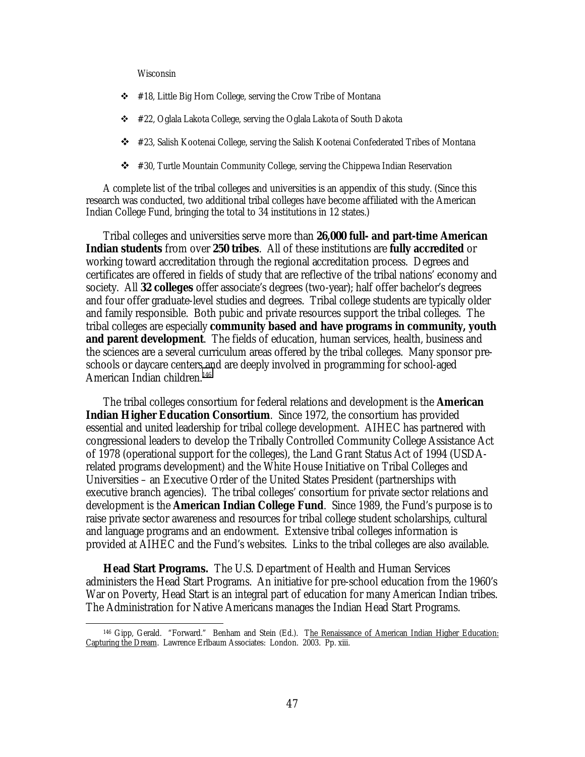Wisconsin

- $\div$  #18, Little Big Horn College, serving the Crow Tribe of Montana
- # #22, Oglala Lakota College, serving the Oglala Lakota of South Dakota
- # #23, Salish Kootenai College, serving the Salish Kootenai Confederated Tribes of Montana
- $\div$  #30, Turtle Mountain Community College, serving the Chippewa Indian Reservation

A complete list of the tribal colleges and universities is an appendix of this study. (Since this research was conducted, two additional tribal colleges have become affiliated with the American Indian College Fund, bringing the total to 34 institutions in 12 states.)

 Tribal colleges and universities serve more than **26,000 full- and part-time American Indian students** from over **250 tribes**. All of these institutions are **fully accredited** or working toward accreditation through the regional accreditation process. Degrees and certificates are offered in fields of study that are reflective of the tribal nations' economy and society. All **32 colleges** offer associate's degrees (two-year); half offer bachelor's degrees and four offer graduate-level studies and degrees. Tribal college students are typically older and family responsible. Both pubic and private resources support the tribal colleges. The tribal colleges are especially **community based and have programs in community, youth and parent development**. The fields of education, human services, health, business and the sciences are a several curriculum areas offered by the tribal colleges. Many sponsor preschools or daycare centers and are deeply involved in programming for school-aged American Indian children.<sup>146</sup>

 The tribal colleges consortium for federal relations and development is the **American Indian Higher Education Consortium**. Since 1972, the consortium has provided essential and united leadership for tribal college development. AIHEC has partnered with congressional leaders to develop the Tribally Controlled Community College Assistance Act of 1978 (operational support for the colleges), the Land Grant Status Act of 1994 (USDArelated programs development) and the White House Initiative on Tribal Colleges and Universities – an Executive Order of the United States President (partnerships with executive branch agencies). The tribal colleges' consortium for private sector relations and development is the **American Indian College Fund**. Since 1989, the Fund's purpose is to raise private sector awareness and resources for tribal college student scholarships, cultural and language programs and an endowment. Extensive tribal colleges information is provided at AIHEC and the Fund's websites. Links to the tribal colleges are also available.

**Head Start Programs.** The U.S. Department of Health and Human Services administers the Head Start Programs. An initiative for pre-school education from the 1960's War on Poverty, Head Start is an integral part of education for many American Indian tribes. The Administration for Native Americans manages the Indian Head Start Programs.

 <sup>146</sup> Gipp, Gerald. "Forward." Benham and Stein (Ed.). The Renaissance of American Indian Higher Education: Capturing the Dream. Lawrence Erlbaum Associates: London. 2003. Pp. xiii.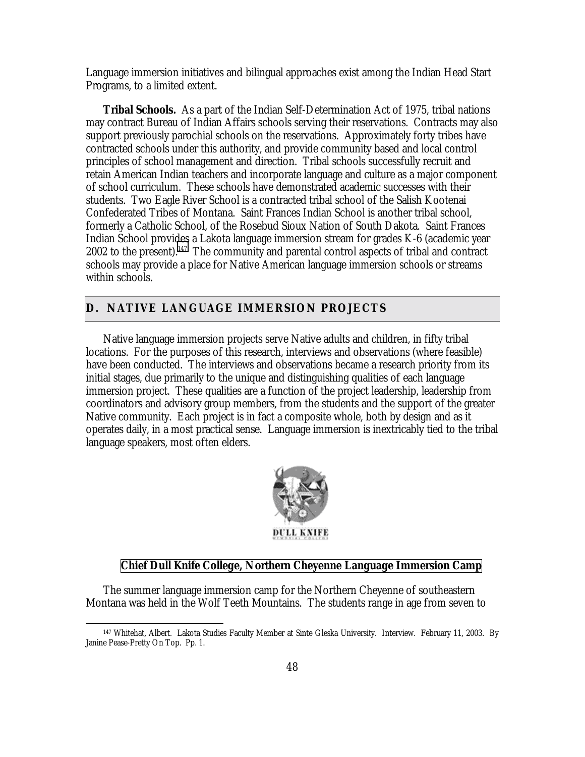Language immersion initiatives and bilingual approaches exist among the Indian Head Start Programs, to a limited extent.

**Tribal Schools.** As a part of the Indian Self-Determination Act of 1975, tribal nations may contract Bureau of Indian Affairs schools serving their reservations. Contracts may also support previously parochial schools on the reservations. Approximately forty tribes have contracted schools under this authority, and provide community based and local control principles of school management and direction. Tribal schools successfully recruit and retain American Indian teachers and incorporate language and culture as a major component of school curriculum. These schools have demonstrated academic successes with their students. Two Eagle River School is a contracted tribal school of the Salish Kootenai Confederated Tribes of Montana. Saint Frances Indian School is another tribal school, formerly a Catholic School, of the Rosebud Sioux Nation of South Dakota. Saint Frances Indian School provides a Lakota language immersion stream for grades K-6 (academic year 2002 to the present).<sup>147</sup> The community and parental control aspects of tribal and contract schools may provide a place for Native American language immersion schools or streams within schools.

#### **D. NATIVE LANGUAGE IMMERSION PROJECTS**

Native language immersion projects serve Native adults and children, in fifty tribal locations. For the purposes of this research, interviews and observations (where feasible) have been conducted. The interviews and observations became a research priority from its initial stages, due primarily to the unique and distinguishing qualities of each language immersion project. These qualities are a function of the project leadership, leadership from coordinators and advisory group members, from the students and the support of the greater Native community. Each project is in fact a composite whole, both by design and as it operates daily, in a most practical sense. Language immersion is inextricably tied to the tribal language speakers, most often elders.



### **Chief Dull Knife College, Northern Cheyenne Language Immersion Camp**

The summer language immersion camp for the Northern Cheyenne of southeastern Montana was held in the Wolf Teeth Mountains. The students range in age from seven to

 <sup>147</sup> Whitehat, Albert. Lakota Studies Faculty Member at Sinte Gleska University. Interview. February 11, 2003. By Janine Pease-Pretty On Top. Pp. 1.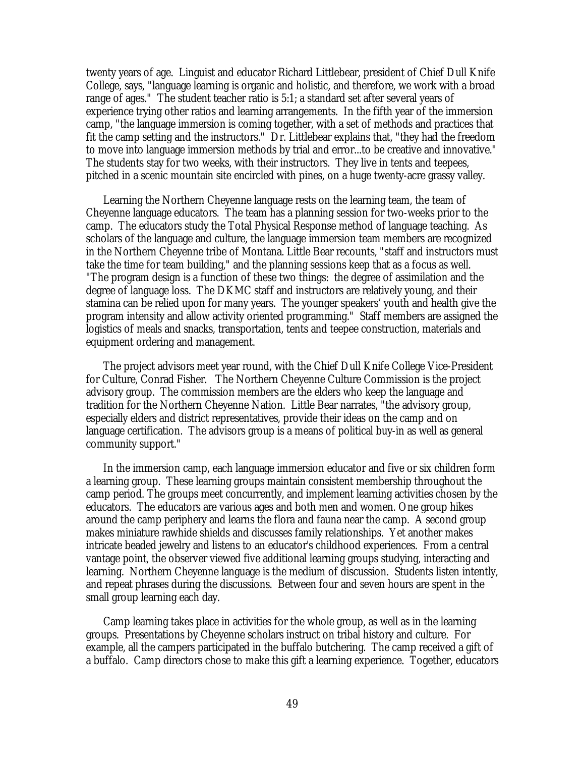twenty years of age. Linguist and educator Richard Littlebear, president of Chief Dull Knife College, says, "language learning is organic and holistic, and therefore, we work with a broad range of ages." The student teacher ratio is 5:1; a standard set after several years of experience trying other ratios and learning arrangements. In the fifth year of the immersion camp, "the language immersion is coming together, with a set of methods and practices that fit the camp setting and the instructors." Dr. Littlebear explains that, "they had the freedom to move into language immersion methods by trial and error...to be creative and innovative." The students stay for two weeks, with their instructors. They live in tents and teepees, pitched in a scenic mountain site encircled with pines, on a huge twenty-acre grassy valley.

Learning the Northern Cheyenne language rests on the learning team, the team of Cheyenne language educators. The team has a planning session for two-weeks prior to the camp. The educators study the Total Physical Response method of language teaching. As scholars of the language and culture, the language immersion team members are recognized in the Northern Cheyenne tribe of Montana. Little Bear recounts, "staff and instructors must take the time for team building," and the planning sessions keep that as a focus as well. "The program design is a function of these two things: the degree of assimilation and the degree of language loss. The DKMC staff and instructors are relatively young, and their stamina can be relied upon for many years. The younger speakers' youth and health give the program intensity and allow activity oriented programming." Staff members are assigned the logistics of meals and snacks, transportation, tents and teepee construction, materials and equipment ordering and management.

The project advisors meet year round, with the Chief Dull Knife College Vice-President for Culture, Conrad Fisher. The Northern Cheyenne Culture Commission is the project advisory group. The commission members are the elders who keep the language and tradition for the Northern Cheyenne Nation. Little Bear narrates, "the advisory group, especially elders and district representatives, provide their ideas on the camp and on language certification. The advisors group is a means of political buy-in as well as general community support."

In the immersion camp, each language immersion educator and five or six children form a learning group. These learning groups maintain consistent membership throughout the camp period. The groups meet concurrently, and implement learning activities chosen by the educators. The educators are various ages and both men and women. One group hikes around the camp periphery and learns the flora and fauna near the camp. A second group makes miniature rawhide shields and discusses family relationships. Yet another makes intricate beaded jewelry and listens to an educator's childhood experiences. From a central vantage point, the observer viewed five additional learning groups studying, interacting and learning. Northern Cheyenne language is the medium of discussion. Students listen intently, and repeat phrases during the discussions. Between four and seven hours are spent in the small group learning each day.

Camp learning takes place in activities for the whole group, as well as in the learning groups. Presentations by Cheyenne scholars instruct on tribal history and culture. For example, all the campers participated in the buffalo butchering. The camp received a gift of a buffalo. Camp directors chose to make this gift a learning experience. Together, educators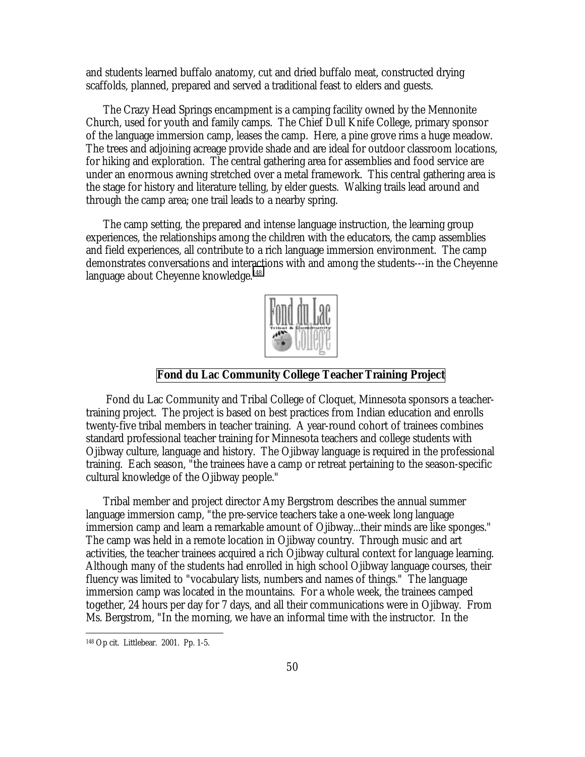and students learned buffalo anatomy, cut and dried buffalo meat, constructed drying scaffolds, planned, prepared and served a traditional feast to elders and guests.

The Crazy Head Springs encampment is a camping facility owned by the Mennonite Church, used for youth and family camps. The Chief Dull Knife College, primary sponsor of the language immersion camp, leases the camp. Here, a pine grove rims a huge meadow. The trees and adjoining acreage provide shade and are ideal for outdoor classroom locations, for hiking and exploration. The central gathering area for assemblies and food service are under an enormous awning stretched over a metal framework. This central gathering area is the stage for history and literature telling, by elder guests. Walking trails lead around and through the camp area; one trail leads to a nearby spring.

The camp setting, the prepared and intense language instruction, the learning group experiences, the relationships among the children with the educators, the camp assemblies and field experiences, all contribute to a rich language immersion environment. The camp demonstrates conversations and interactions with and among the students---in the Cheyenne language about Cheyenne knowledge.<sup>148</sup>

|--|

### **Fond du Lac Community College Teacher Training Project**

Fond du Lac Community and Tribal College of Cloquet, Minnesota sponsors a teachertraining project. The project is based on best practices from Indian education and enrolls twenty-five tribal members in teacher training. A year-round cohort of trainees combines standard professional teacher training for Minnesota teachers and college students with Ojibway culture, language and history. The Ojibway language is required in the professional training. Each season, "the trainees have a camp or retreat pertaining to the season-specific cultural knowledge of the Ojibway people."

Tribal member and project director Amy Bergstrom describes the annual summer language immersion camp, "the pre-service teachers take a one-week long language immersion camp and learn a remarkable amount of Ojibway...their minds are like sponges." The camp was held in a remote location in Ojibway country. Through music and art activities, the teacher trainees acquired a rich Ojibway cultural context for language learning. Although many of the students had enrolled in high school Ojibway language courses, their fluency was limited to "vocabulary lists, numbers and names of things." The language immersion camp was located in the mountains. For a whole week, the trainees camped together, 24 hours per day for 7 days, and all their communications were in Ojibway. From Ms. Bergstrom, "In the morning, we have an informal time with the instructor. In the

 $\overline{a}$ 

<sup>148</sup> Op cit. Littlebear. 2001. Pp. 1-5.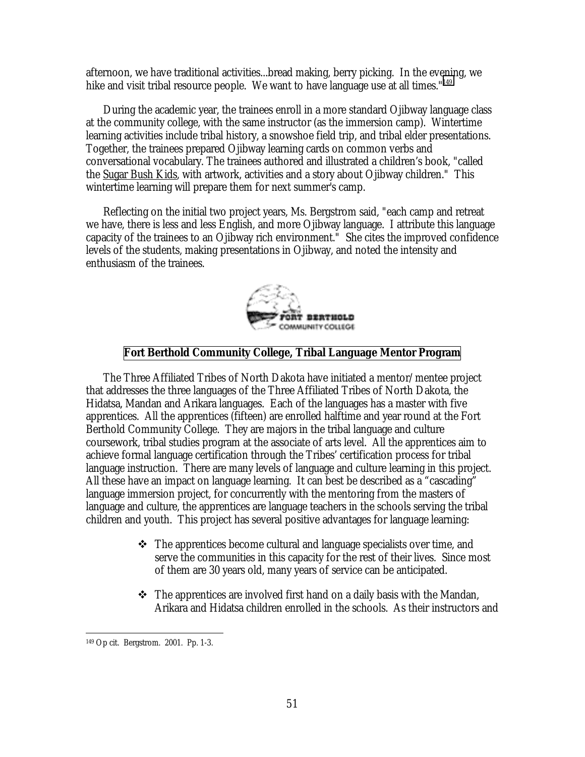afternoon, we have traditional activities...bread making, berry picking. In the evening, we hike and visit tribal resource people. We want to have language use at all times."<sup>149</sup>

During the academic year, the trainees enroll in a more standard Ojibway language class at the community college, with the same instructor (as the immersion camp). Wintertime learning activities include tribal history, a snowshoe field trip, and tribal elder presentations. Together, the trainees prepared Ojibway learning cards on common verbs and conversational vocabulary. The trainees authored and illustrated a children's book, "called the Sugar Bush Kids, with artwork, activities and a story about Ojibway children." This wintertime learning will prepare them for next summer's camp.

Reflecting on the initial two project years, Ms. Bergstrom said, "each camp and retreat we have, there is less and less English, and more Ojibway language. I attribute this language capacity of the trainees to an Ojibway rich environment." She cites the improved confidence levels of the students, making presentations in Ojibway, and noted the intensity and enthusiasm of the trainees.



### **Fort Berthold Community College, Tribal Language Mentor Program**

The Three Affiliated Tribes of North Dakota have initiated a mentor/mentee project that addresses the three languages of the Three Affiliated Tribes of North Dakota, the Hidatsa, Mandan and Arikara languages. Each of the languages has a master with five apprentices. All the apprentices (fifteen) are enrolled halftime and year round at the Fort Berthold Community College. They are majors in the tribal language and culture coursework, tribal studies program at the associate of arts level. All the apprentices aim to achieve formal language certification through the Tribes' certification process for tribal language instruction. There are many levels of language and culture learning in this project. All these have an impact on language learning. It can best be described as a "cascading" language immersion project, for concurrently with the mentoring from the masters of language and culture, the apprentices are language teachers in the schools serving the tribal children and youth. This project has several positive advantages for language learning:

- $\cdot \cdot$  The apprentices become cultural and language specialists over time, and serve the communities in this capacity for the rest of their lives. Since most of them are 30 years old, many years of service can be anticipated.
- $\cdot \cdot$  The apprentices are involved first hand on a daily basis with the Mandan, Arikara and Hidatsa children enrolled in the schools. As their instructors and

 $\overline{a}$ 149 Op cit. Bergstrom. 2001. Pp. 1-3.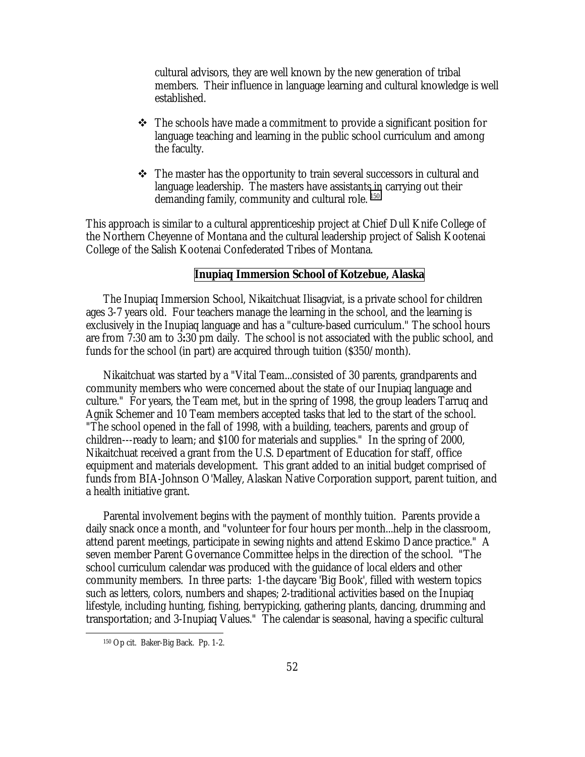cultural advisors, they are well known by the new generation of tribal members. Their influence in language learning and cultural knowledge is well established.

- $\div$  The schools have made a commitment to provide a significant position for language teaching and learning in the public school curriculum and among the faculty.
- $\cdot \cdot$  The master has the opportunity to train several successors in cultural and language leadership. The masters have assistants in carrying out their demanding family, community and cultural role.<sup>150</sup>

This approach is similar to a cultural apprenticeship project at Chief Dull Knife College of the Northern Cheyenne of Montana and the cultural leadership project of Salish Kootenai College of the Salish Kootenai Confederated Tribes of Montana.

### **Inupiaq Immersion School of Kotzebue, Alaska**

The Inupiaq Immersion School, Nikaitchuat Ilisagviat, is a private school for children ages 3-7 years old. Four teachers manage the learning in the school, and the learning is exclusively in the Inupiaq language and has a "culture-based curriculum." The school hours are from 7:30 am to 3**:**30 pm daily. The school is not associated with the public school, and funds for the school (in part) are acquired through tuition (\$350/month).

Nikaitchuat was started by a "Vital Team...consisted of 30 parents, grandparents and community members who were concerned about the state of our Inupiaq language and culture." For years, the Team met, but in the spring of 1998, the group leaders Tarruq and Agnik Schemer and 10 Team members accepted tasks that led to the start of the school. "The school opened in the fall of 1998, with a building, teachers, parents and group of children---ready to learn; and \$100 for materials and supplies." In the spring of 2000, Nikaitchuat received a grant from the U.S. Department of Education for staff, office equipment and materials development. This grant added to an initial budget comprised of funds from BIA-Johnson O'Malley, Alaskan Native Corporation support, parent tuition, and a health initiative grant.

Parental involvement begins with the payment of monthly tuition. Parents provide a daily snack once a month, and "volunteer for four hours per month...help in the classroom, attend parent meetings, participate in sewing nights and attend Eskimo Dance practice." A seven member Parent Governance Committee helps in the direction of the school. "The school curriculum calendar was produced with the guidance of local elders and other community members. In three parts: 1-the daycare 'Big Book', filled with western topics such as letters, colors, numbers and shapes; 2-traditional activities based on the Inupiaq lifestyle, including hunting, fishing, berrypicking, gathering plants, dancing, drumming and transportation; and 3-Inupiaq Values." The calendar is seasonal, having a specific cultural

 <sup>150</sup> Op cit. Baker-Big Back. Pp. 1-2.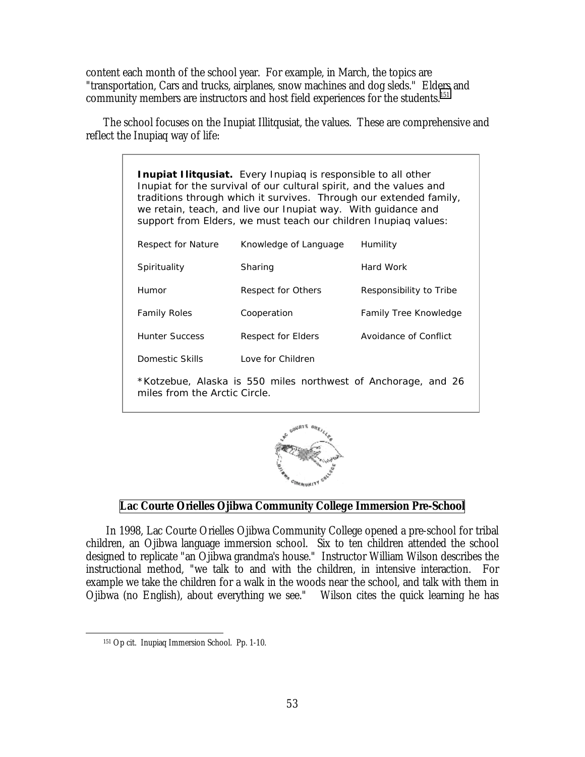content each month of the school year. For example, in March, the topics are "transportation, Cars and trucks, airplanes, snow machines and dog sleds." Elders and community members are instructors and host field experiences for the students.<sup>151</sup>

The school focuses on the Inupiat Illitqusiat, the values. These are comprehensive and reflect the Inupiaq way of life:

> *Inupiat Ilitqusiat. Every Inupiaq is responsible to all other Inupiat for the survival of our cultural spirit, and the values and traditions through which it survives. Through our extended family, we retain, teach, and live our Inupiat way. With guidance and support from Elders, we must teach our children Inupiaq values:*

| <b>Respect for Nature</b>                                                                      | Knowledge of Language     | Humility                     |  |
|------------------------------------------------------------------------------------------------|---------------------------|------------------------------|--|
| Spirituality                                                                                   | Sharing                   | Hard Work                    |  |
| Humor                                                                                          | Respect for Others        | Responsibility to Tribe      |  |
| <b>Family Roles</b>                                                                            | Cooperation               | <b>Family Tree Knowledge</b> |  |
| <b>Hunter Success</b>                                                                          | <b>Respect for Elders</b> | <i>Avoidance of Conflict</i> |  |
| Domestic Skills                                                                                | Love for Children         |                              |  |
| *Kotzebue, Alaska is 550 miles northwest of Anchorage, and 26<br>miles from the Arctic Circle. |                           |                              |  |



## **Lac Courte Orielles Ojibwa Community College Immersion Pre-School**

In 1998, Lac Courte Orielles Ojibwa Community College opened a pre-school for tribal children, an Ojibwa language immersion school. Six to ten children attended the school designed to replicate "an Ojibwa grandma's house." Instructor William Wilson describes the instructional method, "we talk to and with the children, in intensive interaction. For example we take the children for a walk in the woods near the school, and talk with them in Ojibwa (no English), about everything we see." Wilson cites the quick learning he has

 <sup>151</sup> Op cit. Inupiaq Immersion School. Pp. 1-10.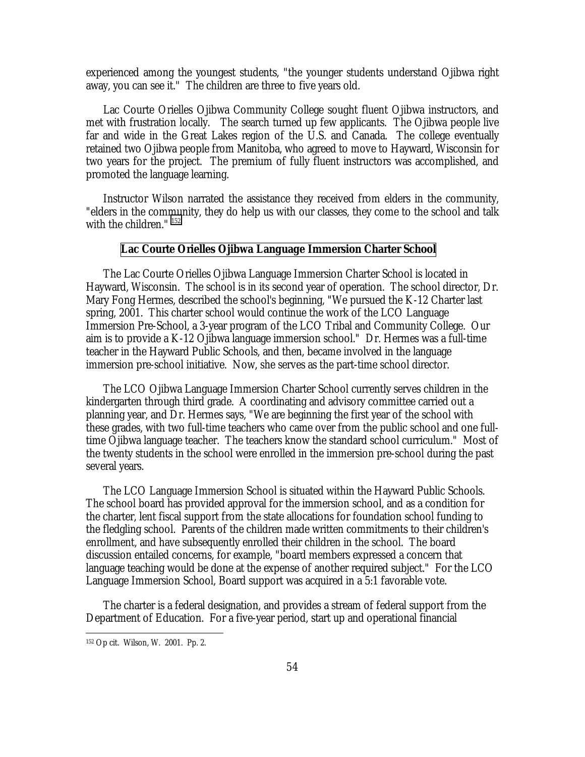experienced among the youngest students, "the younger students understand Ojibwa right away, you can see it." The children are three to five years old.

Lac Courte Orielles Ojibwa Community College sought fluent Ojibwa instructors, and met with frustration locally. The search turned up few applicants. The Ojibwa people live far and wide in the Great Lakes region of the U.S. and Canada. The college eventually retained two Ojibwa people from Manitoba, who agreed to move to Hayward, Wisconsin for two years for the project. The premium of fully fluent instructors was accomplished, and promoted the language learning.

Instructor Wilson narrated the assistance they received from elders in the community, "elders in the community, they do help us with our classes, they come to the school and talk with the children." <sup>152</sup>

### **Lac Courte Orielles Ojibwa Language Immersion Charter School**

The Lac Courte Orielles Ojibwa Language Immersion Charter School is located in Hayward, Wisconsin. The school is in its second year of operation. The school director, Dr. Mary Fong Hermes, described the school's beginning, "We pursued the K-12 Charter last spring, 2001. This charter school would continue the work of the LCO Language Immersion Pre-School, a 3-year program of the LCO Tribal and Community College. Our aim is to provide a K-12 Ojibwa language immersion school." Dr. Hermes was a full-time teacher in the Hayward Public Schools, and then, became involved in the language immersion pre-school initiative. Now, she serves as the part-time school director.

The LCO Ojibwa Language Immersion Charter School currently serves children in the kindergarten through third grade. A coordinating and advisory committee carried out a planning year, and Dr. Hermes says, "We are beginning the first year of the school with these grades, with two full-time teachers who came over from the public school and one fulltime Ojibwa language teacher. The teachers know the standard school curriculum." Most of the twenty students in the school were enrolled in the immersion pre-school during the past several years.

The LCO Language Immersion School is situated within the Hayward Public Schools. The school board has provided approval for the immersion school, and as a condition for the charter, lent fiscal support from the state allocations for foundation school funding to the fledgling school. Parents of the children made written commitments to their children's enrollment, and have subsequently enrolled their children in the school. The board discussion entailed concerns, for example, "board members expressed a concern that language teaching would be done at the expense of another required subject." For the LCO Language Immersion School, Board support was acquired in a 5:1 favorable vote.

The charter is a federal designation, and provides a stream of federal support from the Department of Education. For a five-year period, start up and operational financial

 $\overline{a}$ 

<sup>152</sup> Op cit. Wilson, W. 2001. Pp. 2.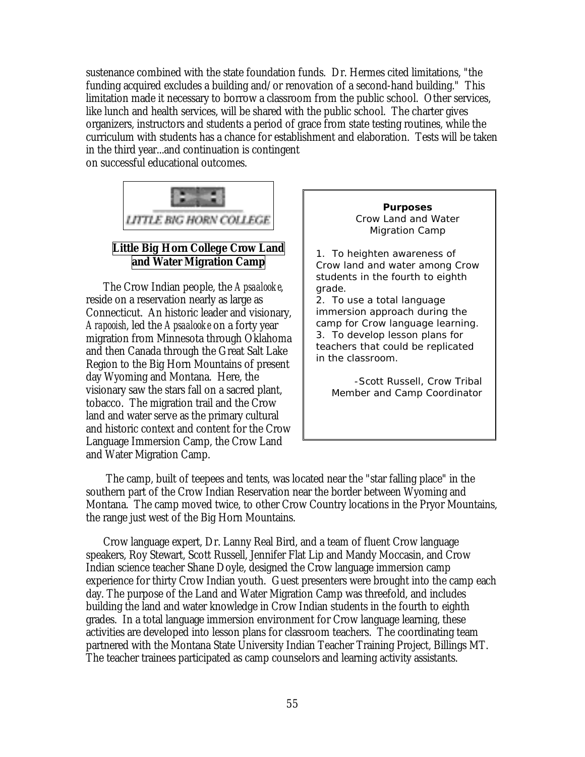sustenance combined with the state foundation funds. Dr. Hermes cited limitations, "the funding acquired excludes a building and/or renovation of a second-hand building." This limitation made it necessary to borrow a classroom from the public school. Other services, like lunch and health services, will be shared with the public school. The charter gives organizers, instructors and students a period of grace from state testing routines, while the curriculum with students has a chance for establishment and elaboration. Tests will be taken in the third year...and continuation is contingent on successful educational outcomes.



## **Little Big Horn College Crow Land and Water Migration Camp**

The Crow Indian people, the *Apsaalooke*, reside on a reservation nearly as large as Connecticut. An historic leader and visionary, *Arapooish*, led the *Apsaalooke* on a forty year migration from Minnesota through Oklahoma and then Canada through the Great Salt Lake Region to the Big Horn Mountains of present day Wyoming and Montana. Here, the visionary saw the stars fall on a sacred plant, tobacco. The migration trail and the Crow land and water serve as the primary cultural and historic context and content for the Crow Language Immersion Camp, the Crow Land and Water Migration Camp.



teachers that could be replicated in the classroom.

-Scott Russell, Crow Tribal Member and Camp Coordinator

 The camp, built of teepees and tents, was located near the "star falling place" in the southern part of the Crow Indian Reservation near the border between Wyoming and Montana. The camp moved twice, to other Crow Country locations in the Pryor Mountains, the range just west of the Big Horn Mountains.

Crow language expert, Dr. Lanny Real Bird, and a team of fluent Crow language speakers, Roy Stewart, Scott Russell, Jennifer Flat Lip and Mandy Moccasin, and Crow Indian science teacher Shane Doyle, designed the Crow language immersion camp experience for thirty Crow Indian youth. Guest presenters were brought into the camp each day. The purpose of the Land and Water Migration Camp was threefold, and includes building the land and water knowledge in Crow Indian students in the fourth to eighth grades. In a total language immersion environment for Crow language learning, these activities are developed into lesson plans for classroom teachers. The coordinating team partnered with the Montana State University Indian Teacher Training Project, Billings MT. The teacher trainees participated as camp counselors and learning activity assistants.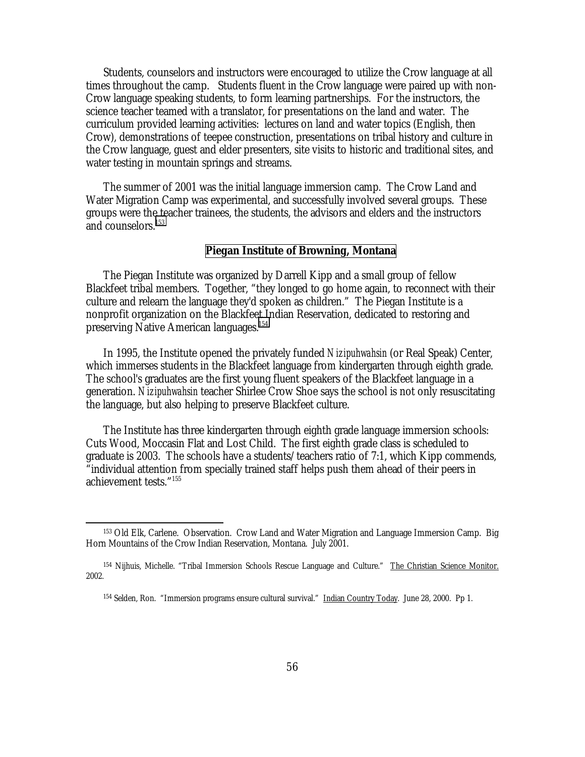Students, counselors and instructors were encouraged to utilize the Crow language at all times throughout the camp. Students fluent in the Crow language were paired up with non-Crow language speaking students, to form learning partnerships. For the instructors, the science teacher teamed with a translator, for presentations on the land and water. The curriculum provided learning activities: lectures on land and water topics (English, then Crow), demonstrations of teepee construction, presentations on tribal history and culture in the Crow language, guest and elder presenters, site visits to historic and traditional sites, and water testing in mountain springs and streams.

The summer of 2001 was the initial language immersion camp. The Crow Land and Water Migration Camp was experimental, and successfully involved several groups. These groups were the teacher trainees, the students, the advisors and elders and the instructors and counselors.<sup>153</sup>

### **Piegan Institute of Browning, Montana**

The Piegan Institute was organized by Darrell Kipp and a small group of fellow Blackfeet tribal members. Together, "they longed to go home again, to reconnect with their culture and relearn the language they'd spoken as children." The Piegan Institute is a nonprofit organization on the Blackfeet Indian Reservation, dedicated to restoring and preserving Native American languages.154

In 1995, the Institute opened the privately funded *Nizipuhwahsin* (or Real Speak) Center, which immerses students in the Blackfeet language from kindergarten through eighth grade. The school's graduates are the first young fluent speakers of the Blackfeet language in a generation. *Nizipuhwahsin* teacher Shirlee Crow Shoe says the school is not only resuscitating the language, but also helping to preserve Blackfeet culture.

The Institute has three kindergarten through eighth grade language immersion schools: Cuts Wood, Moccasin Flat and Lost Child. The first eighth grade class is scheduled to graduate is 2003. The schools have a students/teachers ratio of 7:1, which Kipp commends, "individual attention from specially trained staff helps push them ahead of their peers in achievement tests."155

 <sup>153</sup> Old Elk, Carlene. Observation. Crow Land and Water Migration and Language Immersion Camp. Big Horn Mountains of the Crow Indian Reservation, Montana. July 2001.

<sup>154</sup> Nijhuis, Michelle. "Tribal Immersion Schools Rescue Language and Culture." The Christian Science Monitor. 2002.

<sup>&</sup>lt;sup>154</sup> Selden, Ron. "Immersion programs ensure cultural survival." Indian Country Today. June 28, 2000. Pp 1.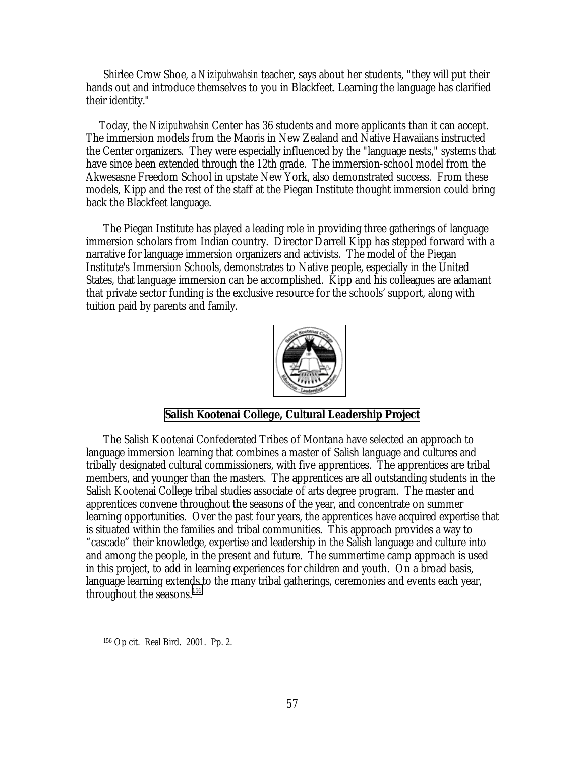Shirlee Crow Shoe, a *Nizipuhwahsin* teacher, says about her students, "they will put their hands out and introduce themselves to you in Blackfeet. Learning the language has clarified their identity."

 Today, the *Nizipuhwahsin* Center has 36 students and more applicants than it can accept. The immersion models from the Maoris in New Zealand and Native Hawaiians instructed the Center organizers. They were especially influenced by the "language nests," systems that have since been extended through the 12th grade. The immersion-school model from the Akwesasne Freedom School in upstate New York, also demonstrated success. From these models, Kipp and the rest of the staff at the Piegan Institute thought immersion could bring back the Blackfeet language.

 The Piegan Institute has played a leading role in providing three gatherings of language immersion scholars from Indian country. Director Darrell Kipp has stepped forward with a narrative for language immersion organizers and activists. The model of the Piegan Institute's Immersion Schools, demonstrates to Native people, especially in the United States, that language immersion can be accomplished. Kipp and his colleagues are adamant that private sector funding is the exclusive resource for the schools' support, along with tuition paid by parents and family.



## **Salish Kootenai College, Cultural Leadership Project**

The Salish Kootenai Confederated Tribes of Montana have selected an approach to language immersion learning that combines a master of Salish language and cultures and tribally designated cultural commissioners, with five apprentices. The apprentices are tribal members, and younger than the masters. The apprentices are all outstanding students in the Salish Kootenai College tribal studies associate of arts degree program. The master and apprentices convene throughout the seasons of the year, and concentrate on summer learning opportunities. Over the past four years, the apprentices have acquired expertise that is situated within the families and tribal communities. This approach provides a way to "cascade" their knowledge, expertise and leadership in the Salish language and culture into and among the people, in the present and future. The summertime camp approach is used in this project, to add in learning experiences for children and youth. On a broad basis, language learning extends to the many tribal gatherings, ceremonies and events each year, throughout the seasons.<sup>156</sup>

 <sup>156</sup> Op cit. Real Bird. 2001. Pp. 2.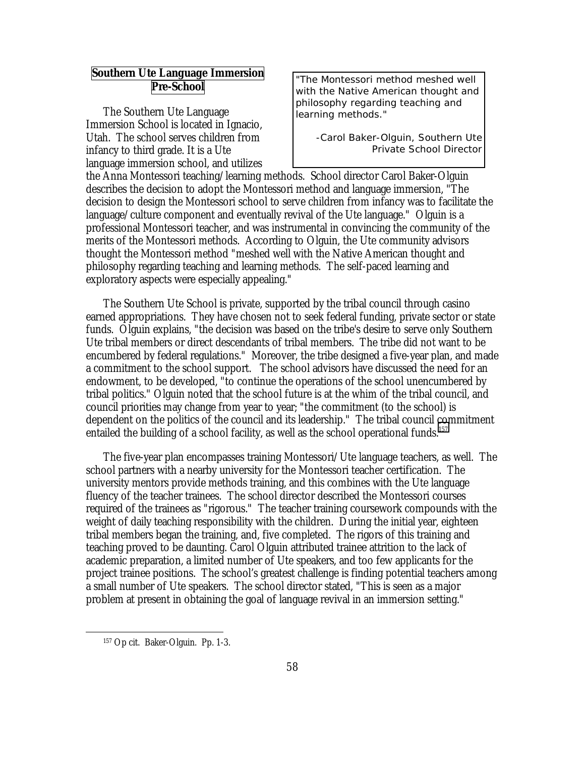## **Southern Ute Language Immersion Pre-School**

The Southern Ute Language Immersion School is located in Ignacio, Utah. The school serves children from infancy to third grade. It is a Ute language immersion school, and utilizes

*"The Montessori method meshed well with the Native American thought and philosophy regarding teaching and learning methods."* 

> *-Carol Baker-Olguin, Southern Ute Private School Director*

the Anna Montessori teaching/learning methods. School director Carol Baker-Olguin describes the decision to adopt the Montessori method and language immersion, "The decision to design the Montessori school to serve children from infancy was to facilitate the language/culture component and eventually revival of the Ute language." Olguin is a professional Montessori teacher, and was instrumental in convincing the community of the merits of the Montessori methods. According to Olguin, the Ute community advisors thought the Montessori method "meshed well with the Native American thought and philosophy regarding teaching and learning methods. The self-paced learning and exploratory aspects were especially appealing."

The Southern Ute School is private, supported by the tribal council through casino earned appropriations. They have chosen not to seek federal funding, private sector or state funds. Olguin explains, "the decision was based on the tribe's desire to serve only Southern Ute tribal members or direct descendants of tribal members. The tribe did not want to be encumbered by federal regulations." Moreover, the tribe designed a five-year plan, and made a commitment to the school support. The school advisors have discussed the need for an endowment, to be developed, "to continue the operations of the school unencumbered by tribal politics." Olguin noted that the school future is at the whim of the tribal council, and council priorities may change from year to year; "the commitment (to the school) is dependent on the politics of the council and its leadership." The tribal council commitment entailed the building of a school facility, as well as the school operational funds.<sup>157</sup>

The five-year plan encompasses training Montessori/Ute language teachers, as well. The school partners with a nearby university for the Montessori teacher certification. The university mentors provide methods training, and this combines with the Ute language fluency of the teacher trainees. The school director described the Montessori courses required of the trainees as "rigorous." The teacher training coursework compounds with the weight of daily teaching responsibility with the children. During the initial year, eighteen tribal members began the training, and, five completed. The rigors of this training and teaching proved to be daunting. Carol Olguin attributed trainee attrition to the lack of academic preparation, a limited number of Ute speakers, and too few applicants for the project trainee positions. The school's greatest challenge is finding potential teachers among a small number of Ute speakers. The school director stated, "This is seen as a major problem at present in obtaining the goal of language revival in an immersion setting."

 <sup>157</sup> Op cit. Baker-Olguin. Pp. 1-3.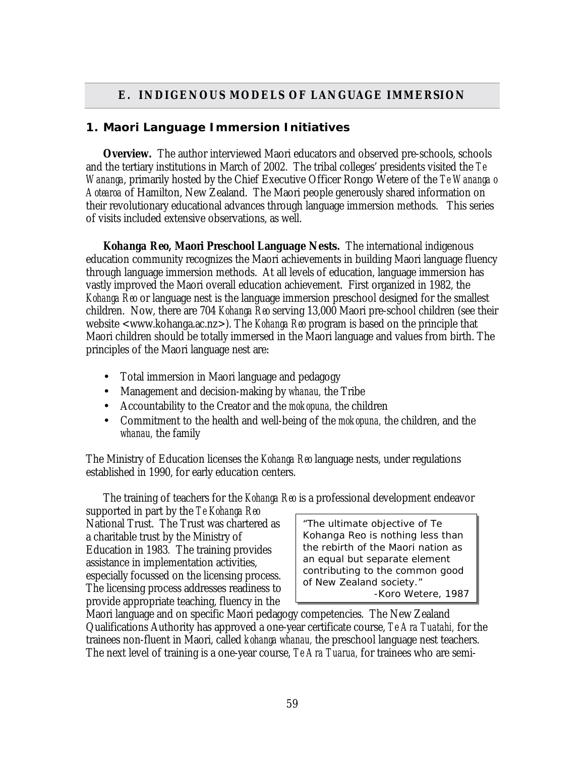# **E. INDIGENOUS MODELS OF LANGUAGE IMMERSION**

## **1. Maori Language Immersion Initiatives**

**Overview.** The author interviewed Maori educators and observed pre-schools, schools and the tertiary institutions in March of 2002. The tribal colleges' presidents visited the *Te Wananga*, primarily hosted by the Chief Executive Officer Rongo Wetere of the *Te Wananga o Aotearoa* of Hamilton, New Zealand. The Maori people generously shared information on their revolutionary educational advances through language immersion methods. This series of visits included extensive observations, as well.

*Kohanga Reo,* **Maori Preschool Language Nests.** The international indigenous education community recognizes the Maori achievements in building Maori language fluency through language immersion methods. At all levels of education, language immersion has vastly improved the Maori overall education achievement. First organized in 1982, the *Kohanga Reo* or language nest is the language immersion preschool designed for the smallest children. Now, there are 704 *Kohanga Reo* serving 13,000 Maori pre-school children (see their website <www.kohanga.ac.nz>). The *Kohanga Reo* program is based on the principle that Maori children should be totally immersed in the Maori language and values from birth. The principles of the Maori language nest are:

- Total immersion in Maori language and pedagogy
- Management and decision-making by *whanau,* the Tribe
- Accountability to the Creator and the *mokopuna,* the children
- Commitment to the health and well-being of the *mokopuna,* the children, and the *whanau,* the family

The Ministry of Education licenses the *Kohanga Reo* language nests, under regulations established in 1990, for early education centers.

The training of teachers for the *Kohanga Reo* is a professional development endeavor supported in part by the *Te Kohanga Reo* 

National Trust. The Trust was chartered as a charitable trust by the Ministry of Education in 1983*.* The training provides assistance in implementation activities, especially focussed on the licensing process. The licensing process addresses readiness to provide appropriate teaching, fluency in the

*"The ultimate objective of Te Kohanga Reo is nothing less than the rebirth of the Maori nation as an equal but separate element contributing to the common good of New Zealand society." -Koro Wetere, 1987*

Maori language and on specific Maori pedagogy competencies. The New Zealand Qualifications Authority has approved a one-year certificate course, *Te Ara Tuatahi,* for the trainees non-fluent in Maori, called *kohanga whanau,* the preschool language nest teachers. The next level of training is a one-year course, *Te Ara Tuarua,* for trainees who are semi-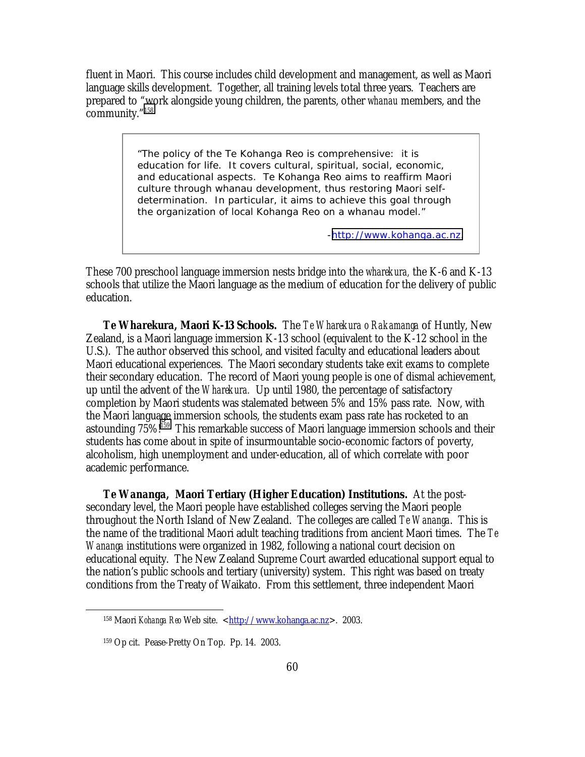fluent in Maori. This course includes child development and management, as well as Maori language skills development. Together, all training levels total three years. Teachers are prepared to "work alongside young children, the parents, other *whanau* members, and the community."158

> "The policy of the *Te Kohanga Reo* is comprehensive: it is education for life. It covers cultural, spiritual, social, economic, and educational aspects. *Te Kohanga Reo* aims to reaffirm Maori culture through *whanau* development, thus restoring Maori selfdetermination. In particular, it aims to achieve this goal through the organization of local Kohanga Reo on a *whanau* model."

> > -[http://www.kohanga.ac.nz.](http://www.kohanga.ac.nz/)

These 700 preschool language immersion nests bridge into the *wharekura,* the K-6 and K-13 schools that utilize the Maori language as the medium of education for the delivery of public education.

*Te Wharekura,* **Maori K-13 Schools.** The *Te Wharekura o Rakamanga* of Huntly, New Zealand, is a Maori language immersion K-13 school (equivalent to the K-12 school in the U.S.). The author observed this school, and visited faculty and educational leaders about Maori educational experiences. The Maori secondary students take exit exams to complete their secondary education. The record of Maori young people is one of dismal achievement, up until the advent of the *Wharekura.* Up until 1980, the percentage of satisfactory completion by Maori students was stalemated between 5% and 15% pass rate. Now, with the Maori language immersion schools, the students exam pass rate has rocketed to an astounding  $75\%$ !<sup>159</sup> This remarkable success of Maori language immersion schools and their students has come about in spite of insurmountable socio-economic factors of poverty, alcoholism, high unemployment and under-education, all of which correlate with poor academic performance.

*Te Wananga,* **Maori Tertiary (Higher Education) Institutions.** At the postsecondary level, the Maori people have established colleges serving the Maori people throughout the North Island of New Zealand. The colleges are called *Te Wananga*. This is the name of the traditional Maori adult teaching traditions from ancient Maori times. The *Te Wananga* institutions were organized in 1982, following a national court decision on educational equity. The New Zealand Supreme Court awarded educational support equal to the nation's public schools and tertiary (university) system. This right was based on treaty conditions from the Treaty of Waikato. From this settlement, three independent Maori

<sup>&</sup>lt;sup>158</sup> Maori *Kohanga Reo* Web site. <http://www.kohanga.ac.nz>. 2003.

<sup>159</sup> Op cit. Pease-Pretty On Top. Pp. 14. 2003.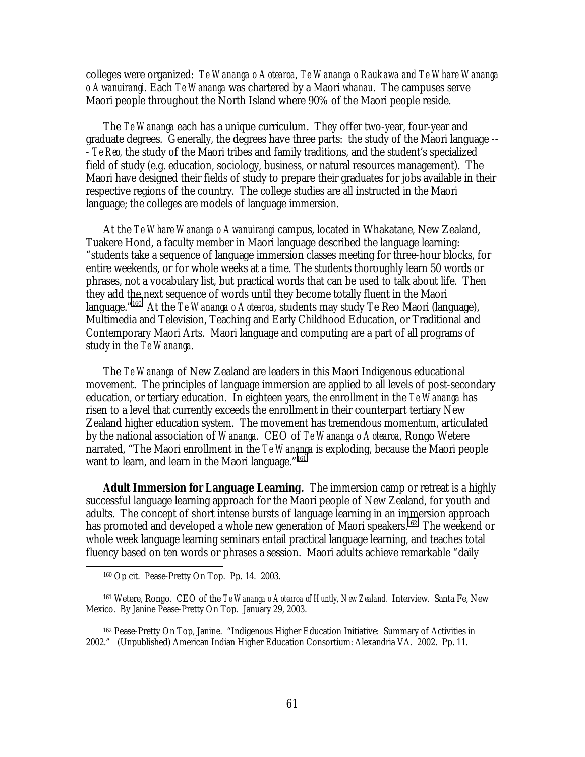colleges were organized: *Te Wananga o Aotearoa, Te Wananga o Raukawa and Te Whare Wananga o Awanuirangi.* Each *Te Wananga* was chartered by a Maori *whanau*. The campuses serve Maori people throughout the North Island where 90% of the Maori people reside.

 The *Te Wananga* each has a unique curriculum. They offer two-year, four-year and graduate degrees. Generally, the degrees have three parts: the study of the Maori language -- - *Te Reo,* the study of the Maori tribes and family traditions, and the student's specialized field of study (e.g. education, sociology, business, or natural resources management). The Maori have designed their fields of study to prepare their graduates for jobs available in their respective regions of the country. The college studies are all instructed in the Maori language; the colleges are models of language immersion.

At the *Te Whare Wananga o Awanuirangi* campus, located in Whakatane, New Zealand, Tuakere Hond, a faculty member in Maori language described the language learning: "students take a sequence of language immersion classes meeting for three-hour blocks, for entire weekends, or for whole weeks at a time. The students thoroughly learn 50 words or phrases, not a vocabulary list, but practical words that can be used to talk about life. Then they add the next sequence of words until they become totally fluent in the Maori language."160 At the *Te Wananga o Aotearoa*, students may study Te Reo Maori (language), Multimedia and Television, Teaching and Early Childhood Education, or Traditional and Contemporary Maori Arts. Maori language and computing are a part of all programs of study in the *Te Wananga.*

The *Te Wananga* of New Zealand are leaders in this Maori Indigenous educational movement. The principles of language immersion are applied to all levels of post-secondary education, or tertiary education. In eighteen years, the enrollment in the *Te Wananga* has risen to a level that currently exceeds the enrollment in their counterpart tertiary New Zealand higher education system. The movement has tremendous momentum, articulated by the national association of *Wananga*. CEO of *Te Wananga o Aotearoa,* Rongo Wetere narrated, "The Maori enrollment in the *Te Wananga* is exploding, because the Maori people want to learn, and learn in the Maori language."<sup>161</sup>

**Adult Immersion for Language Learning.** The immersion camp or retreat is a highly successful language learning approach for the Maori people of New Zealand, for youth and adults. The concept of short intense bursts of language learning in an immersion approach has promoted and developed a whole new generation of Maori speakers.<sup>162</sup> The weekend or whole week language learning seminars entail practical language learning, and teaches total fluency based on ten words or phrases a session. Maori adults achieve remarkable "daily

 <sup>160</sup> Op cit. Pease-Pretty On Top. Pp. 14. 2003.

<sup>161</sup> Wetere, Rongo. CEO of the *Te Wananga o Aotearoa of Huntly, New Zealand.* Interview. Santa Fe, New Mexico. By Janine Pease-Pretty On Top. January 29, 2003.

<sup>162</sup> Pease-Pretty On Top, Janine. "Indigenous Higher Education Initiative: Summary of Activities in 2002." (Unpublished) American Indian Higher Education Consortium: Alexandria VA. 2002. Pp. 11.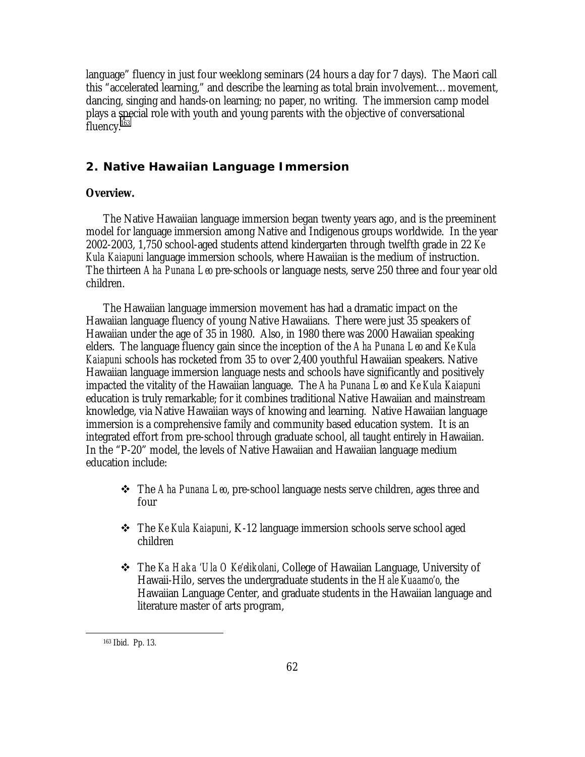language" fluency in just four weeklong seminars (24 hours a day for 7 days). The Maori call this "accelerated learning," and describe the learning as total brain involvement…movement, dancing, singing and hands-on learning; no paper, no writing. The immersion camp model plays a special role with youth and young parents with the objective of conversational fluency.<sup>163</sup>

### **2. Native Hawaiian Language Immersion**

#### **Overview.**

The Native Hawaiian language immersion began twenty years ago, and is the preeminent model for language immersion among Native and Indigenous groups worldwide. In the year 2002-2003, 1,750 school-aged students attend kindergarten through twelfth grade in 22 *Ke Kula Kaiapuni* language immersion schools, where Hawaiian is the medium of instruction. The thirteen *Aha Punana Leo* pre-schools or language nests, serve 250 three and four year old children.

The Hawaiian language immersion movement has had a dramatic impact on the Hawaiian language fluency of young Native Hawaiians. There were just 35 speakers of Hawaiian under the age of 35 in 1980. Also, in 1980 there was 2000 Hawaiian speaking elders. The language fluency gain since the inception of the *Aha Punana Leo* and *Ke Kula Kaiapuni* schools has rocketed from 35 to over 2,400 youthful Hawaiian speakers. Native Hawaiian language immersion language nests and schools have significantly and positively impacted the vitality of the Hawaiian language. The *Aha Punana Leo* and *Ke Kula Kaiapuni* education is truly remarkable; for it combines traditional Native Hawaiian and mainstream knowledge, via Native Hawaiian ways of knowing and learning. Native Hawaiian language immersion is a comprehensive family and community based education system. It is an integrated effort from pre-school through graduate school, all taught entirely in Hawaiian. In the "P-20" model, the levels of Native Hawaiian and Hawaiian language medium education include:

- # The *Aha Punana Leo*, pre-school language nests serve children, ages three and four
- \* The *Ke Kula Kaiapuni*, K-12 language immersion schools serve school aged children
- \* The *Ka Haka 'Ula O Ke'elikolani*, College of Hawaiian Language, University of Hawaii-Hilo, serves the undergraduate students in the *Hale Kuaamo'o*, the Hawaiian Language Center, and graduate students in the Hawaiian language and literature master of arts program,

 <sup>163</sup> Ibid. Pp. 13.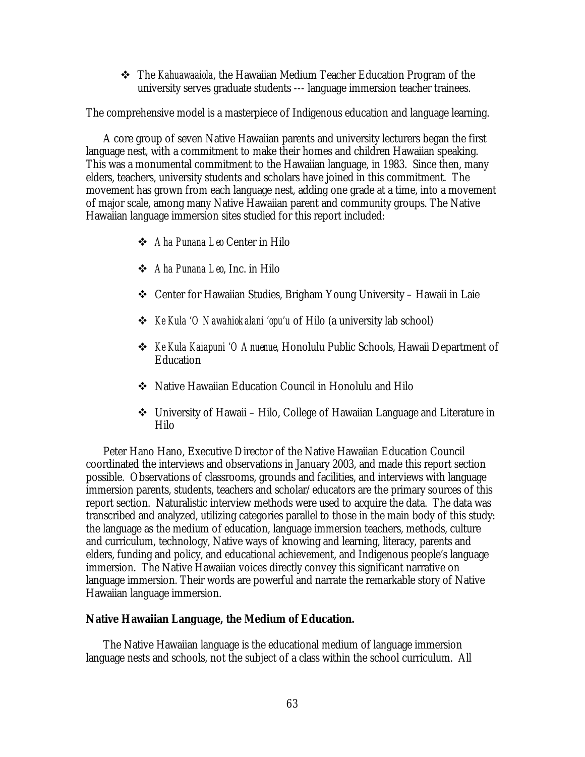\* The *Kahuawaaiola*, the Hawaiian Medium Teacher Education Program of the university serves graduate students --- language immersion teacher trainees.

The comprehensive model is a masterpiece of Indigenous education and language learning.

 A core group of seven Native Hawaiian parents and university lecturers began the first language nest, with a commitment to make their homes and children Hawaiian speaking. This was a monumental commitment to the Hawaiian language, in 1983. Since then, many elders, teachers, university students and scholars have joined in this commitment. The movement has grown from each language nest, adding one grade at a time, into a movement of major scale, among many Native Hawaiian parent and community groups. The Native Hawaiian language immersion sites studied for this report included:

- # *Aha Punana Leo* Center in Hilo
- # *Aha Punana Leo*, Inc. in Hilo
- ◆ Center for Hawaiian Studies, Brigham Young University Hawaii in Laie
- # *Ke Kula 'O Nawahiokalani 'opu'u* of Hilo (a university lab school)
- # *Ke Kula Kaiapuni 'O Anuenue*, Honolulu Public Schools, Hawaii Department of Education
- ◆ Native Hawaiian Education Council in Honolulu and Hilo
- $\triangleleft$  University of Hawaii Hilo, College of Hawaiian Language and Literature in Hilo

Peter Hano Hano, Executive Director of the Native Hawaiian Education Council coordinated the interviews and observations in January 2003, and made this report section possible. Observations of classrooms, grounds and facilities, and interviews with language immersion parents, students, teachers and scholar/educators are the primary sources of this report section. Naturalistic interview methods were used to acquire the data. The data was transcribed and analyzed, utilizing categories parallel to those in the main body of this study: the language as the medium of education, language immersion teachers, methods, culture and curriculum, technology, Native ways of knowing and learning, literacy, parents and elders, funding and policy, and educational achievement, and Indigenous people's language immersion. The Native Hawaiian voices directly convey this significant narrative on language immersion. Their words are powerful and narrate the remarkable story of Native Hawaiian language immersion.

#### **Native Hawaiian Language, the Medium of Education.**

The Native Hawaiian language is the educational medium of language immersion language nests and schools, not the subject of a class within the school curriculum. All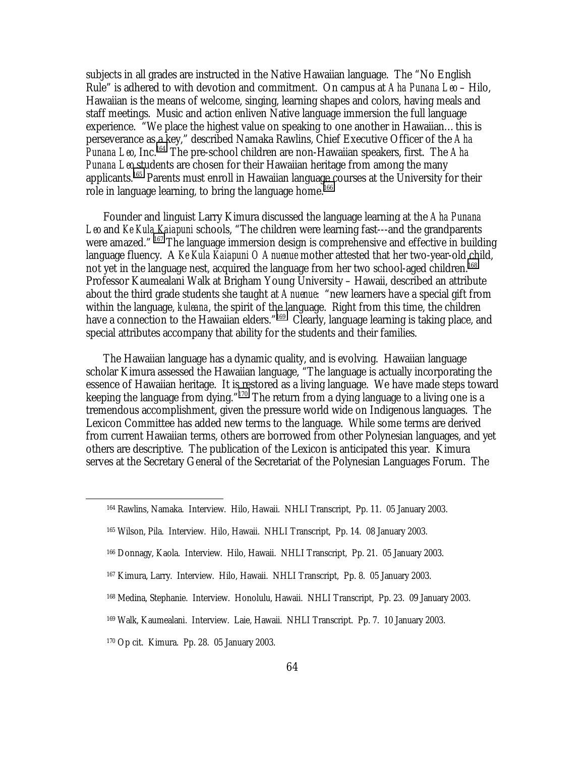subjects in all grades are instructed in the Native Hawaiian language. The "No English Rule" is adhered to with devotion and commitment. On campus at *Aha Punana Leo* – Hilo, Hawaiian is the means of welcome, singing, learning shapes and colors, having meals and staff meetings. Music and action enliven Native language immersion the full language experience. "We place the highest value on speaking to one another in Hawaiian…this is perseverance as a key," described Namaka Rawlins, Chief Executive Officer of the *Aha Punana Leo*, Inc.164 The pre-school children are non-Hawaiian speakers, first. The *Aha Punana Leo* students are chosen for their Hawaiian heritage from among the many applicants.165 Parents must enroll in Hawaiian language courses at the University for their role in language learning, to bring the language home.<sup>166</sup>

Founder and linguist Larry Kimura discussed the language learning at the *Aha Punana Leo* and *Ke Kula Kaiapuni* schools, "The children were learning fast---and the grandparents were amazed." <sup>167</sup> The language immersion design is comprehensive and effective in building language fluency. A *Ke Kula Kaiapuni O Anuenue* mother attested that her two-year-old child, not yet in the language nest, acquired the language from her two school-aged children.<sup>168</sup> Professor Kaumealani Walk at Brigham Young University – Hawaii, described an attribute about the third grade students she taught at *Anuenue*: "new learners have a special gift from within the language, *kuleana*, the spirit of the language. Right from this time, the children have a connection to the Hawaiian elders."<sup>169</sup> Clearly, language learning is taking place, and special attributes accompany that ability for the students and their families.

The Hawaiian language has a dynamic quality, and is evolving. Hawaiian language scholar Kimura assessed the Hawaiian language, "The language is actually incorporating the essence of Hawaiian heritage. It is restored as a living language. We have made steps toward keeping the language from dying."170 The return from a dying language to a living one is a tremendous accomplishment, given the pressure world wide on Indigenous languages. The Lexicon Committee has added new terms to the language. While some terms are derived from current Hawaiian terms, others are borrowed from other Polynesian languages, and yet others are descriptive. The publication of the Lexicon is anticipated this year. Kimura serves at the Secretary General of the Secretariat of the Polynesian Languages Forum. The

 <sup>164</sup> Rawlins, Namaka. Interview. Hilo, Hawaii. NHLI Transcript, Pp. 11. 05 January 2003.

<sup>165</sup> Wilson, Pila. Interview. Hilo, Hawaii. NHLI Transcript, Pp. 14. 08 January 2003.

<sup>166</sup> Donnagy, Kaola. Interview. Hilo, Hawaii. NHLI Transcript, Pp. 21. 05 January 2003.

<sup>167</sup> Kimura, Larry. Interview. Hilo, Hawaii. NHLI Transcript, Pp. 8. 05 January 2003.

<sup>168</sup> Medina, Stephanie. Interview. Honolulu, Hawaii. NHLI Transcript, Pp. 23. 09 January 2003.

<sup>169</sup> Walk, Kaumealani. Interview. Laie, Hawaii. NHLI Transcript. Pp. 7. 10 January 2003.

<sup>170</sup> Op cit. Kimura. Pp. 28. 05 January 2003.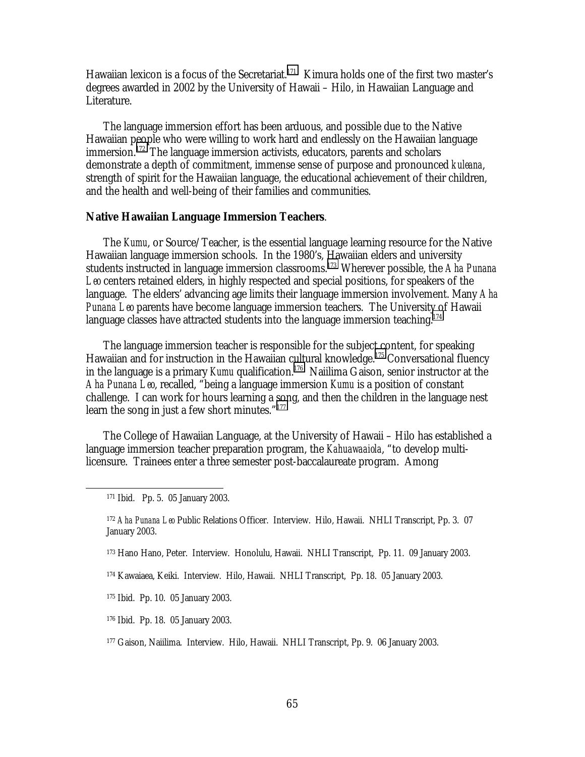Hawaiian lexicon is a focus of the Secretariat.<sup>171</sup> Kimura holds one of the first two master's degrees awarded in 2002 by the University of Hawaii – Hilo, in Hawaiian Language and Literature.

The language immersion effort has been arduous, and possible due to the Native Hawaiian people who were willing to work hard and endlessly on the Hawaiian language immersion.<sup>172</sup> The language immersion activists, educators, parents and scholars demonstrate a depth of commitment, immense sense of purpose and pronounced *kuleana*, strength of spirit for the Hawaiian language, the educational achievement of their children, and the health and well-being of their families and communities.

#### **Native Hawaiian Language Immersion Teachers**.

 The *Kumu*, or Source/Teacher, is the essential language learning resource for the Native Hawaiian language immersion schools. In the 1980's, Hawaiian elders and university students instructed in language immersion classrooms.173 Wherever possible, the *Aha Punana Leo* centers retained elders, in highly respected and special positions, for speakers of the language. The elders' advancing age limits their language immersion involvement. Many *Aha Punana Leo* parents have become language immersion teachers. The University of Hawaii language classes have attracted students into the language immersion teaching.<sup>174</sup>

The language immersion teacher is responsible for the subject content, for speaking Hawaiian and for instruction in the Hawaiian cultural knowledge.<sup>175</sup> Conversational fluency in the language is a primary *Kumu* qualification.176 Naiilima Gaison, senior instructor at the *Aha Punana Leo*, recalled, "being a language immersion *Kumu* is a position of constant challenge. I can work for hours learning a song, and then the children in the language nest learn the song in just a few short minutes."<sup>177</sup>

The College of Hawaiian Language, at the University of Hawaii – Hilo has established a language immersion teacher preparation program, the *Kahuawaaiola*, "to develop multilicensure. Trainees enter a three semester post-baccalaureate program. Among

 <sup>171</sup> Ibid. Pp. 5. 05 January 2003.

<sup>172</sup> *Aha Punana Leo* Public Relations Officer. Interview. Hilo, Hawaii. NHLI Transcript, Pp. 3. 07 January 2003.

<sup>173</sup> Hano Hano, Peter. Interview. Honolulu, Hawaii. NHLI Transcript, Pp. 11. 09 January 2003.

<sup>174</sup> Kawaiaea, Keiki. Interview. Hilo, Hawaii. NHLI Transcript, Pp. 18. 05 January 2003.

<sup>175</sup> Ibid. Pp. 10. 05 January 2003.

<sup>176</sup> Ibid. Pp. 18. 05 January 2003.

<sup>177</sup> Gaison, Naiilima. Interview. Hilo, Hawaii. NHLI Transcript, Pp. 9. 06 January 2003.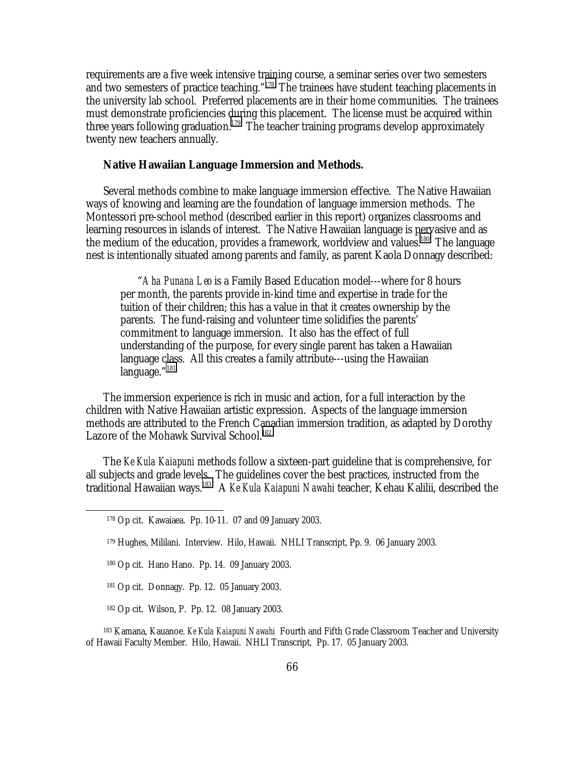requirements are a five week intensive training course, a seminar series over two semesters and two semesters of practice teaching."<sup>178</sup> The trainees have student teaching placements in the university lab school. Preferred placements are in their home communities. The trainees must demonstrate proficiencies during this placement. The license must be acquired within three years following graduation.<sup>179</sup> The teacher training programs develop approximately twenty new teachers annually.

#### **Native Hawaiian Language Immersion and Methods.**

Several methods combine to make language immersion effective. The Native Hawaiian ways of knowing and learning are the foundation of language immersion methods. The Montessori pre-school method (described earlier in this report) organizes classrooms and learning resources in islands of interest. The Native Hawaiian language is pervasive and as the medium of the education, provides a framework, worldview and values.<sup>180</sup> The language nest is intentionally situated among parents and family, as parent Kaola Donnagy described:

"*Aha Punana Leo* is a Family Based Education model---where for 8 hours per month, the parents provide in-kind time and expertise in trade for the tuition of their children; this has a value in that it creates ownership by the parents. The fund-raising and volunteer time solidifies the parents' commitment to language immersion. It also has the effect of full understanding of the purpose, for every single parent has taken a Hawaiian language class. All this creates a family attribute---using the Hawaiian language."<sup>181</sup>

The immersion experience is rich in music and action, for a full interaction by the children with Native Hawaiian artistic expression. Aspects of the language immersion methods are attributed to the French Canadian immersion tradition, as adapted by Dorothy Lazore of the Mohawk Survival School.<sup>182</sup>

The *Ke Kula Kaiapuni* methods follow a sixteen-part guideline that is comprehensive, for all subjects and grade levels. The guidelines cover the best practices, instructed from the traditional Hawaiian ways.183 A *Ke Kula Kaiapuni Nawahi* teacher, Kehau Kalilii, described the

- 180 Op cit. Hano Hano. Pp. 14. 09 January 2003.
- 181 Op cit. Donnagy. Pp. 12. 05 January 2003.
- 182 Op cit. Wilson, P. Pp. 12. 08 January 2003.

183 Kamana, Kauanoe. *Ke Kula Kaiapuni Nawahi* Fourth and Fifth Grade Classroom Teacher and University of Hawaii Faculty Member. Hilo, Hawaii. NHLI Transcript, Pp. 17. 05 January 2003.

 <sup>178</sup> Op cit. Kawaiaea. Pp. 10-11. 07 and 09 January 2003.

<sup>179</sup> Hughes, Mililani. Interview. Hilo, Hawaii. NHLI Transcript, Pp. 9. 06 January 2003.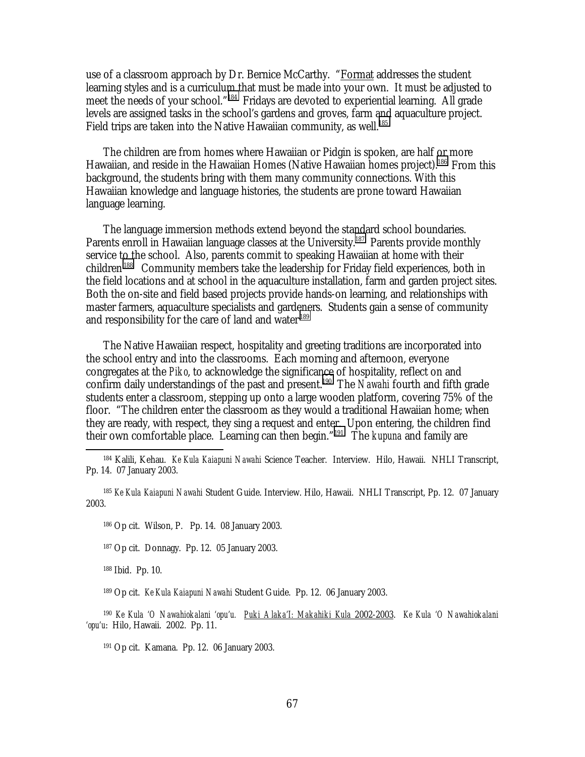use of a classroom approach by Dr. Bernice McCarthy. "Format addresses the student learning styles and is a curriculum that must be made into your own. It must be adjusted to meet the needs of your school."<sup>184</sup> Fridays are devoted to experiential learning. All grade levels are assigned tasks in the school's gardens and groves, farm and aquaculture project. Field trips are taken into the Native Hawaiian community, as well.<sup>185</sup>

The children are from homes where Hawaiian or Pidgin is spoken, are half or more Hawaiian, and reside in the Hawaiian Homes (Native Hawaiian homes project).<sup>186</sup> From this background, the students bring with them many community connections. With this Hawaiian knowledge and language histories, the students are prone toward Hawaiian language learning.

The language immersion methods extend beyond the standard school boundaries. Parents enroll in Hawaiian language classes at the University.<sup>187</sup> Parents provide monthly service to the school. Also, parents commit to speaking Hawaiian at home with their children<sup>188</sup> Community members take the leadership for Friday field experiences, both in the field locations and at school in the aquaculture installation, farm and garden project sites. Both the on-site and field based projects provide hands-on learning, and relationships with master farmers, aquaculture specialists and gardeners. Students gain a sense of community and responsibility for the care of land and water<sup>189</sup>

The Native Hawaiian respect, hospitality and greeting traditions are incorporated into the school entry and into the classrooms. Each morning and afternoon, everyone congregates at the *Piko*, to acknowledge the significance of hospitality, reflect on and confirm daily understandings of the past and present.<sup>190</sup> The *Nawahi* fourth and fifth grade students enter a classroom, stepping up onto a large wooden platform, covering 75% of the floor. "The children enter the classroom as they would a traditional Hawaiian home; when they are ready, with respect, they sing a request and enter. Upon entering, the children find their own comfortable place. Learning can then begin."191 The *kupuna* and family are

187 Op cit. Donnagy. Pp. 12. 05 January 2003.

188 Ibid. Pp. 10.

189 Op cit. *Ke Kula Kaiapuni Nawahi* Student Guide. Pp. 12. 06 January 2003.

<sup>190</sup> *Ke Kula 'O Nawahiokalani 'opu'u. Puki Alaka'I: Makahiki Kula* 2002-2003. *Ke Kula 'O Nawahiokalani 'opu'u*: Hilo, Hawaii. 2002. Pp. 11.

191 Op cit. Kamana. Pp. 12. 06 January 2003.

 <sup>184</sup> Kalili, Kehau. *Ke Kula Kaiapuni Nawahi* Science Teacher. Interview. Hilo, Hawaii. NHLI Transcript, Pp. 14. 07 January 2003.

<sup>185</sup> *Ke Kula Kaiapuni Nawahi* Student Guide. Interview. Hilo, Hawaii. NHLI Transcript, Pp. 12. 07 January 2003.

<sup>186</sup> Op cit. Wilson, P. Pp. 14. 08 January 2003.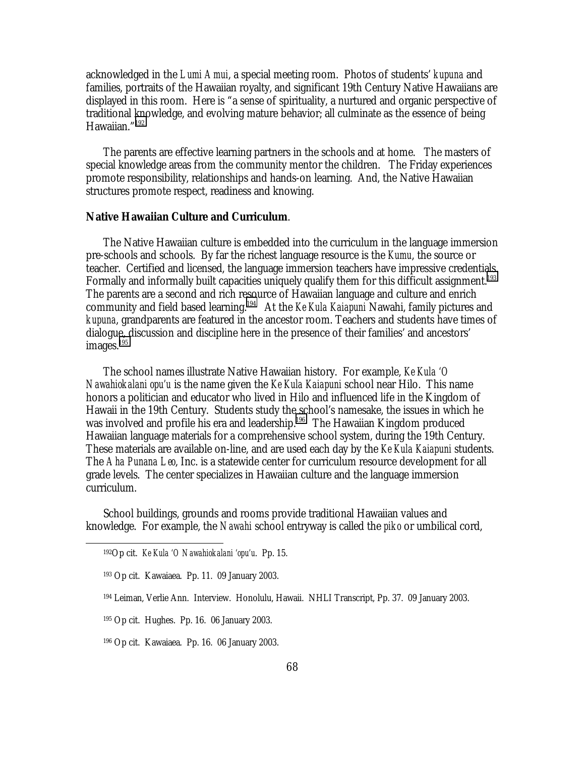acknowledged in the *Lumi Amui*, a special meeting room. Photos of students' *kupuna* and families, portraits of the Hawaiian royalty, and significant 19th Century Native Hawaiians are displayed in this room. Here is "a sense of spirituality, a nurtured and organic perspective of traditional knowledge, and evolving mature behavior; all culminate as the essence of being Hawaiian."192

The parents are effective learning partners in the schools and at home. The masters of special knowledge areas from the community mentor the children. The Friday experiences promote responsibility, relationships and hands-on learning. And, the Native Hawaiian structures promote respect, readiness and knowing.

#### **Native Hawaiian Culture and Curriculum**.

The Native Hawaiian culture is embedded into the curriculum in the language immersion pre-schools and schools. By far the richest language resource is the *Kumu*, the source or teacher. Certified and licensed, the language immersion teachers have impressive credentials. Formally and informally built capacities uniquely qualify them for this difficult assignment.<sup>193</sup> The parents are a second and rich resource of Hawaiian language and culture and enrich community and field based learning.194 At the *Ke Kula Kaiapuni* Nawahi, family pictures and *kupuna*, grandparents are featured in the ancestor room. Teachers and students have times of dialogue, discussion and discipline here in the presence of their families' and ancestors' images.<sup>195</sup>

The school names illustrate Native Hawaiian history. For example, *Ke Kula 'O Nawahiokalani opu'u* is the name given the *Ke Kula Kaiapuni* school near Hilo. This name honors a politician and educator who lived in Hilo and influenced life in the Kingdom of Hawaii in the 19th Century. Students study the school's namesake, the issues in which he was involved and profile his era and leadership.<sup>196</sup> The Hawaiian Kingdom produced Hawaiian language materials for a comprehensive school system, during the 19th Century. These materials are available on-line, and are used each day by the *Ke Kula Kaiapuni* students. The *Aha Punana Leo*, Inc. is a statewide center for curriculum resource development for all grade levels. The center specializes in Hawaiian culture and the language immersion curriculum.

School buildings, grounds and rooms provide traditional Hawaiian values and knowledge. For example, the *Nawahi* school entryway is called the *piko* or umbilical cord,

- 195 Op cit. Hughes. Pp. 16. 06 January 2003.
- 196 Op cit. Kawaiaea. Pp. 16. 06 January 2003.

 <sup>192</sup>Op cit. *Ke Kula 'O Nawahiokalani 'opu'u*. Pp. 15.

<sup>193</sup> Op cit. Kawaiaea. Pp. 11. 09 January 2003.

<sup>194</sup> Leiman, Verlie Ann. Interview. Honolulu, Hawaii. NHLI Transcript, Pp. 37. 09 January 2003.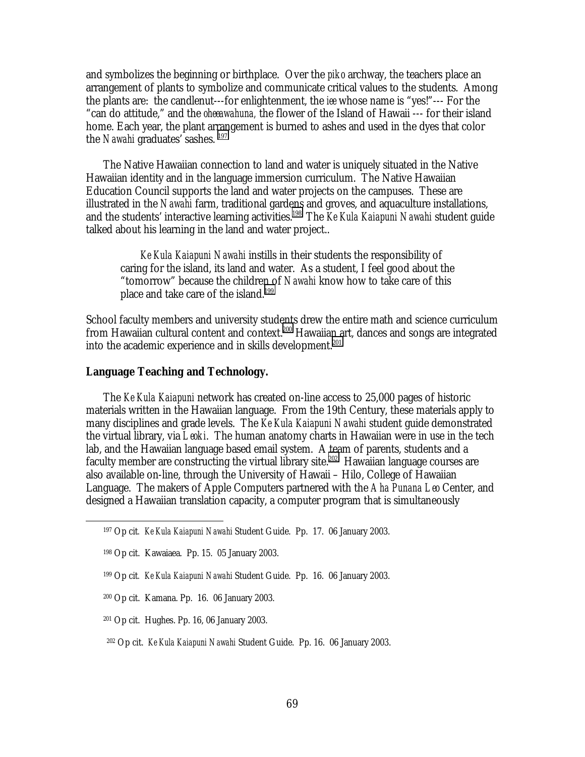and symbolizes the beginning or birthplace. Over the *piko* archway, the teachers place an arrangement of plants to symbolize and communicate critical values to the students. Among the plants are: the candlenut---for enlightenment, the *iee* whose name is "yes!"--- For the "can do attitude," and the *oheeawahuna,* the flower of the Island of Hawaii --- for their island home. Each year, the plant arrangement is burned to ashes and used in the dyes that color the *Nawahi* graduates' sashes.<sup>197</sup>

The Native Hawaiian connection to land and water is uniquely situated in the Native Hawaiian identity and in the language immersion curriculum. The Native Hawaiian Education Council supports the land and water projects on the campuses. These are illustrated in the *Nawahi* farm, traditional gardens and groves, and aquaculture installations, and the students' interactive learning activities.<sup>198</sup> The *Ke Kula Kaiapuni Nawahi* student guide talked about his learning in the land and water project..

*Ke Kula Kaiapuni Nawahi* instills in their students the responsibility of caring for the island, its land and water. As a student, I feel good about the "tomorrow" because the children of *Nawahi* know how to take care of this place and take care of the island.<sup>199</sup>

School faculty members and university students drew the entire math and science curriculum from Hawaiian cultural content and context.<sup>200</sup> Hawaiian art, dances and songs are integrated into the academic experience and in skills development.<sup>201</sup>

#### **Language Teaching and Technology.**

The *Ke Kula Kaiapuni* network has created on-line access to 25,000 pages of historic materials written in the Hawaiian language. From the 19th Century, these materials apply to many disciplines and grade levels. The *Ke Kula Kaiapuni Nawahi* student guide demonstrated the virtual library, via *Leoki*. The human anatomy charts in Hawaiian were in use in the tech lab, and the Hawaiian language based email system. A team of parents, students and a faculty member are constructing the virtual library site.<sup>202</sup> Hawaiian language courses are also available on-line, through the University of Hawaii – Hilo, College of Hawaiian Language. The makers of Apple Computers partnered with the *Aha Punana Leo* Center, and designed a Hawaiian translation capacity, a computer program that is simultaneously

- 201 Op cit. Hughes. Pp. 16, 06 January 2003.
- 202 Op cit. *Ke Kula Kaiapuni Nawahi* Student Guide. Pp. 16. 06 January 2003.

 <sup>197</sup> Op cit*. Ke Kula Kaiapuni Nawahi* Student Guide. Pp. 17. 06 January 2003.

<sup>198</sup> Op cit. Kawaiaea. Pp. 15. 05 January 2003.

<sup>199</sup> Op cit*. Ke Kula Kaiapuni Nawahi* Student Guide. Pp. 16. 06 January 2003.

<sup>200</sup> Op cit. Kamana. Pp. 16. 06 January 2003.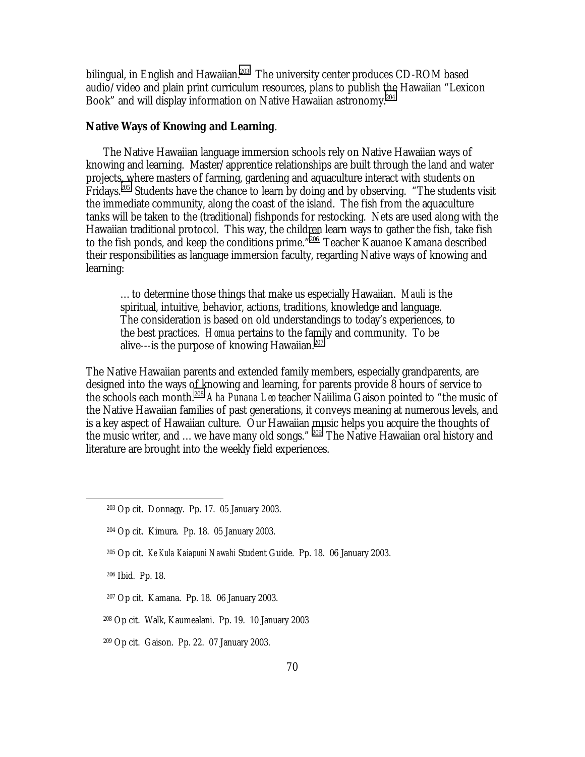bilingual, in English and Hawaiian.<sup>203</sup> The university center produces CD-ROM based audio/video and plain print curriculum resources, plans to publish the Hawaiian "Lexicon Book" and will display information on Native Hawaiian astronomy.204

#### **Native Ways of Knowing and Learning**.

 The Native Hawaiian language immersion schools rely on Native Hawaiian ways of knowing and learning. Master/apprentice relationships are built through the land and water projects, where masters of farming, gardening and aquaculture interact with students on Fridays.<sup>205</sup> Students have the chance to learn by doing and by observing. "The students visit the immediate community, along the coast of the island. The fish from the aquaculture tanks will be taken to the (traditional) fishponds for restocking. Nets are used along with the Hawaiian traditional protocol. This way, the children learn ways to gather the fish, take fish to the fish ponds, and keep the conditions prime."206 Teacher Kauanoe Kamana described their responsibilities as language immersion faculty, regarding Native ways of knowing and learning:

…to determine those things that make us especially Hawaiian. *Mauli* is the spiritual, intuitive, behavior, actions, traditions, knowledge and language. The consideration is based on old understandings to today's experiences, to the best practices. *Homua* pertains to the family and community. To be alive---is the purpose of knowing Hawaiian. $207$ 

The Native Hawaiian parents and extended family members, especially grandparents, are designed into the ways of knowing and learning, for parents provide 8 hours of service to the schools each month.208 *Aha Punana Leo* teacher Naiilima Gaison pointed to "the music of the Native Hawaiian families of past generations, it conveys meaning at numerous levels, and is a key aspect of Hawaiian culture. Our Hawaiian music helps you acquire the thoughts of the music writer, and …we have many old songs." <sup>209</sup> The Native Hawaiian oral history and literature are brought into the weekly field experiences.

206 Ibid. Pp. 18.

207 Op cit. Kamana. Pp. 18. 06 January 2003.

209 Op cit. Gaison. Pp. 22. 07 January 2003.

 <sup>203</sup> Op cit. Donnagy. Pp. 17. 05 January 2003.

<sup>204</sup> Op cit. Kimura. Pp. 18. 05 January 2003.

<sup>205</sup> Op cit. *Ke Kula Kaiapuni Nawahi* Student Guide. Pp. 18. 06 January 2003.

<sup>208</sup> Op cit. Walk, Kaumealani. Pp. 19. 10 January 2003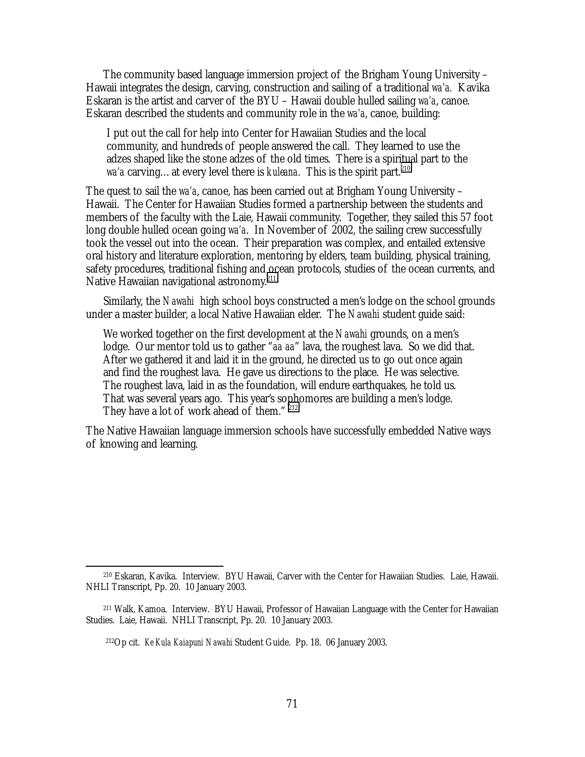The community based language immersion project of the Brigham Young University – Hawaii integrates the design, carving, construction and sailing of a traditional *wa'a.* Kavika Eskaran is the artist and carver of the BYU – Hawaii double hulled sailing *wa'a*, canoe. Eskaran described the students and community role in the *wa'a*, canoe, building:

I put out the call for help into Center for Hawaiian Studies and the local community, and hundreds of people answered the call. They learned to use the adzes shaped like the stone adzes of the old times. There is a spiritual part to the *wa'a* carving...at every level there is *kuleana*. This is the spirit part.<sup>210</sup>

The quest to sail the *wa'a*, canoe, has been carried out at Brigham Young University – Hawaii. The Center for Hawaiian Studies formed a partnership between the students and members of the faculty with the Laie, Hawaii community. Together, they sailed this 57 foot long double hulled ocean going *wa'a*. In November of 2002, the sailing crew successfully took the vessel out into the ocean. Their preparation was complex, and entailed extensive oral history and literature exploration, mentoring by elders, team building, physical training, safety procedures, traditional fishing and ocean protocols, studies of the ocean currents, and Native Hawaiian navigational astronomy.<sup>211</sup>

Similarly, the *Nawahi* high school boys constructed a men's lodge on the school grounds under a master builder, a local Native Hawaiian elder. The *Nawahi* student guide said:

We worked together on the first development at the *Nawahi* grounds, on a men's lodge. Our mentor told us to gather "*aa aa*" lava, the roughest lava. So we did that. After we gathered it and laid it in the ground, he directed us to go out once again and find the roughest lava. He gave us directions to the place. He was selective. The roughest lava, laid in as the foundation, will endure earthquakes, he told us. That was several years ago. This year's sophomores are building a men's lodge. They have a lot of work ahead of them."  $212$ 

The Native Hawaiian language immersion schools have successfully embedded Native ways of knowing and learning.

 <sup>210</sup> Eskaran, Kavika. Interview. BYU Hawaii, Carver with the Center for Hawaiian Studies. Laie, Hawaii. NHLI Transcript, Pp. 20. 10 January 2003.

<sup>211</sup> Walk, Kamoa. Interview. BYU Hawaii, Professor of Hawaiian Language with the Center for Hawaiian Studies. Laie, Hawaii. NHLI Transcript, Pp. 20. 10 January 2003.

<sup>212</sup>Op cit. *Ke Kula Kaiapuni Nawahi* Student Guide. Pp. 18. 06 January 2003.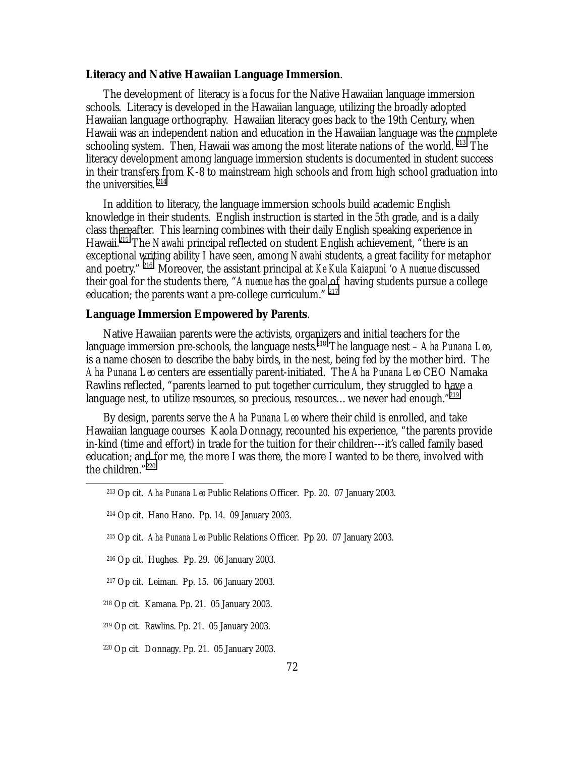#### **Literacy and Native Hawaiian Language Immersion**.

 The development of literacy is a focus for the Native Hawaiian language immersion schools. Literacy is developed in the Hawaiian language, utilizing the broadly adopted Hawaiian language orthography. Hawaiian literacy goes back to the 19th Century, when Hawaii was an independent nation and education in the Hawaiian language was the complete schooling system. Then, Hawaii was among the most literate nations of the world. <sup>213</sup> The literacy development among language immersion students is documented in student success in their transfers from K-8 to mainstream high schools and from high school graduation into the universities.<sup>214</sup>

 In addition to literacy, the language immersion schools build academic English knowledge in their students. English instruction is started in the 5th grade, and is a daily class thereafter. This learning combines with their daily English speaking experience in Hawaii.215 The *Nawahi* principal reflected on student English achievement, "there is an exceptional writing ability I have seen, among *Nawahi* students, a great facility for metaphor and poetry." 216 Moreover, the assistant principal at *Ke Kula Kaiapuni* 'o *Anuenue* discussed their goal for the students there, "*Anuenue* has the goal of having students pursue a college education; the parents want a pre-college curriculum." 217

#### **Language Immersion Empowered by Parents**.

Native Hawaiian parents were the activists, organizers and initial teachers for the language immersion pre-schools, the language nests.<sup>218</sup> The language nest – *Aha Punana Leo*, is a name chosen to describe the baby birds, in the nest, being fed by the mother bird. The *Aha Punana Leo* centers are essentially parent-initiated. The *Aha Punana Leo* CEO Namaka Rawlins reflected, "parents learned to put together curriculum, they struggled to have a language nest, to utilize resources, so precious, resources...we never had enough."<sup>219</sup>

By design, parents serve the *Aha Punana Leo* where their child is enrolled, and take Hawaiian language courses Kaola Donnagy, recounted his experience, "the parents provide in-kind (time and effort) in trade for the tuition for their children---it's called family based education; and for me, the more I was there, the more I wanted to be there, involved with the children."220

- 216 Op cit. Hughes. Pp. 29. 06 January 2003.
- 217 Op cit. Leiman. Pp. 15. 06 January 2003.
- 218 Op cit. Kamana. Pp. 21. 05 January 2003.
- 219 Op cit. Rawlins. Pp. 21. 05 January 2003.
- 220 Op cit. Donnagy. Pp. 21. 05 January 2003.

 <sup>213</sup> Op cit. *Aha Punana Leo* Public Relations Officer. Pp. 20. 07 January 2003.

<sup>214</sup> Op cit. Hano Hano. Pp. 14. 09 January 2003.

<sup>215</sup> Op cit. *Aha Punana Leo* Public Relations Officer. Pp 20. 07 January 2003.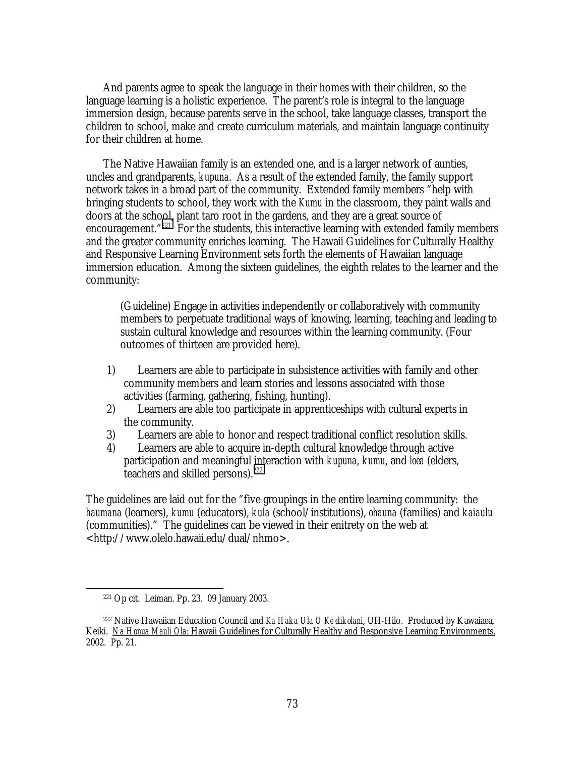And parents agree to speak the language in their homes with their children, so the language learning is a holistic experience. The parent's role is integral to the language immersion design, because parents serve in the school, take language classes, transport the children to school, make and create curriculum materials, and maintain language continuity for their children at home.

The Native Hawaiian family is an extended one, and is a larger network of aunties, uncles and grandparents, *kupuna*. As a result of the extended family, the family support network takes in a broad part of the community. Extended family members "help with bringing students to school, they work with the *Kumu* in the classroom, they paint walls and doors at the school, plant taro root in the gardens, and they are a great source of encouragement."<sup>221</sup> For the students, this interactive learning with extended family members and the greater community enriches learning. The Hawaii Guidelines for Culturally Healthy and Responsive Learning Environment sets forth the elements of Hawaiian language immersion education. Among the sixteen guidelines, the eighth relates to the learner and the community:

(Guideline) Engage in activities independently or collaboratively with community members to perpetuate traditional ways of knowing, learning, teaching and leading to sustain cultural knowledge and resources within the learning community. (Four outcomes of thirteen are provided here).

- 1) Learners are able to participate in subsistence activities with family and other community members and learn stories and lessons associated with those activities (farming, gathering, fishing, hunting).
- 2) Learners are able too participate in apprenticeships with cultural experts in the community.
- 3) Learners are able to honor and respect traditional conflict resolution skills.
- 4) Learners are able to acquire in-depth cultural knowledge through active participation and meaningful interaction with *kupuna*, *kumu*, and *loea* (elders, teachers and skilled persons).<sup>222</sup>

The guidelines are laid out for the "five groupings in the entire learning community: the *haumana* (learners), *kumu* (educators), *kula* (school/institutions), *ohauna* (families) and *kaiaulu*  (communities)." The guidelines can be viewed in their enitrety on the web at <http://www.olelo.hawaii.edu/dual/nhmo>.

 <sup>221</sup> Op cit. Leiman. Pp. 23.09 January 2003.

<sup>222</sup> Native Hawaiian Education Council and *Ka Haka Ula O Ke elikolani*, UH-Hilo. Produced by Kawaiaea, Keiki. *Na Honua Mauli Ola*: Hawaii Guidelines for Culturally Healthy and Responsive Learning Environments. 2002. Pp. 21.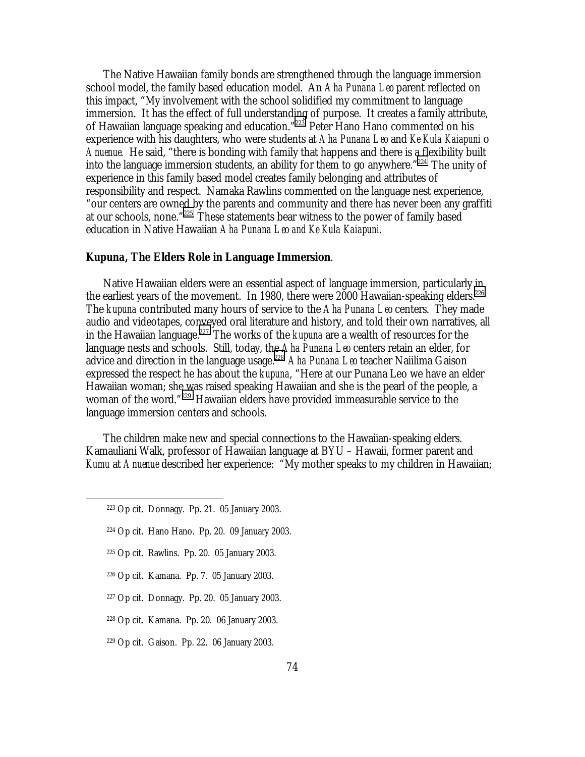The Native Hawaiian family bonds are strengthened through the language immersion school model, the family based education model. An *Aha Punana Leo* parent reflected on this impact, "My involvement with the school solidified my commitment to language immersion. It has the effect of full understanding of purpose. It creates a family attribute, of Hawaiian language speaking and education."<sup>223</sup> Peter Hano Hano commented on his experience with his daughters, who were students at *Aha Punana Leo* and *Ke Kula Kaiapuni* o *Anuenue.* He said, "there is bonding with family that happens and there is a flexibility built into the language immersion students, an ability for them to go anywhere."<sup>224</sup> The unity of experience in this family based model creates family belonging and attributes of responsibility and respect. Namaka Rawlins commented on the language nest experience, "our centers are owned by the parents and community and there has never been any graffiti at our schools, none."<sup>225</sup> These statements bear witness to the power of family based education in Native Hawaiian *Aha Punana Leo and Ke Kula Kaiapuni.* 

#### *Kupuna***, The Elders Role in Language Immersion**.

Native Hawaiian elders were an essential aspect of language immersion, particularly in the earliest years of the movement. In 1980, there were 2000 Hawaiian-speaking elders.<sup>226</sup> The *kupuna* contributed many hours of service to the *Aha Punana Leo* centers. They made audio and videotapes, conveyed oral literature and history, and told their own narratives, all in the Hawaiian language.227 The works of the *kupuna* are a wealth of resources for the language nests and schools. Still, today, the *Aha Punana Leo* centers retain an elder, for advice and direction in the language usage.228 *Aha Punana Leo* teacher Naiilima Gaison expressed the respect he has about the *kupuna*, "Here at our Punana Leo we have an elder Hawaiian woman; she was raised speaking Hawaiian and she is the pearl of the people, a woman of the word."<sup>229</sup> Hawaiian elders have provided immeasurable service to the language immersion centers and schools.

The children make new and special connections to the Hawaiian-speaking elders. Kamauliani Walk, professor of Hawaiian language at BYU – Hawaii, former parent and *Kumu* at *Anuenue* described her experience: "My mother speaks to my children in Hawaiian;

- 225 Op cit. Rawlins. Pp. 20. 05 January 2003.
- 226 Op cit. Kamana. Pp. 7. 05 January 2003.
- 227 Op cit. Donnagy. Pp. 20. 05 January 2003.
- 228 Op cit. Kamana. Pp. 20. 06 January 2003.
- 229 Op cit. Gaison. Pp. 22. 06 January 2003.

 <sup>223</sup> Op cit. Donnagy. Pp. 21. 05 January 2003.

<sup>224</sup> Op cit. Hano Hano. Pp. 20. 09 January 2003.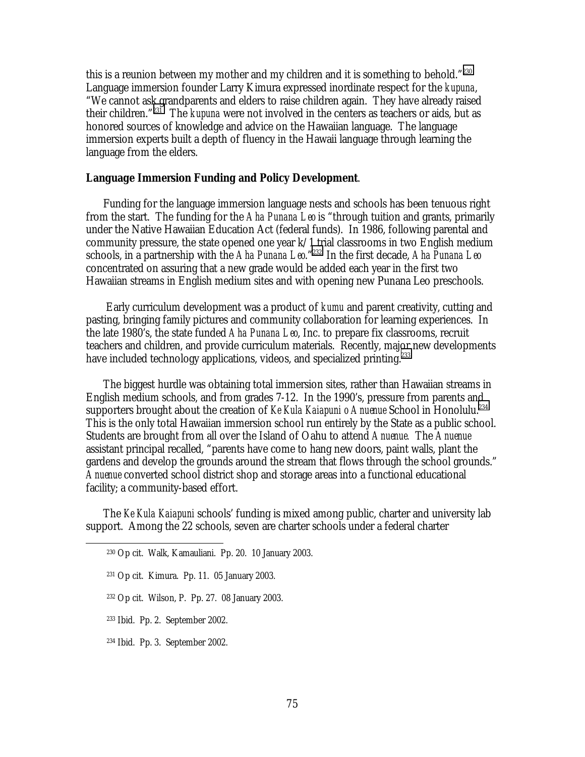this is a reunion between my mother and my children and it is something to behold."<sup>230</sup> Language immersion founder Larry Kimura expressed inordinate respect for the *kupuna*, "We cannot ask grandparents and elders to raise children again. They have already raised their children."231 The *kupuna* were not involved in the centers as teachers or aids, but as honored sources of knowledge and advice on the Hawaiian language. The language immersion experts built a depth of fluency in the Hawaii language through learning the language from the elders.

#### **Language Immersion Funding and Policy Development**.

Funding for the language immersion language nests and schools has been tenuous right from the start. The funding for the *Aha Punana Leo* is "through tuition and grants, primarily under the Native Hawaiian Education Act (federal funds). In 1986, following parental and community pressure, the state opened one year k/1 trial classrooms in two English medium schools, in a partnership with the *Aha Punana Leo*."232 In the first decade, *Aha Punana Leo* concentrated on assuring that a new grade would be added each year in the first two Hawaiian streams in English medium sites and with opening new Punana Leo preschools.

 Early curriculum development was a product of *kumu* and parent creativity, cutting and pasting, bringing family pictures and community collaboration for learning experiences. In the late 1980's, the state funded *Aha Punana Leo*, Inc. to prepare fix classrooms, recruit teachers and children, and provide curriculum materials. Recently, major new developments have included technology applications, videos, and specialized printing.<sup>233</sup>

The biggest hurdle was obtaining total immersion sites, rather than Hawaiian streams in English medium schools, and from grades 7-12. In the 1990's, pressure from parents and supporters brought about the creation of *Ke Kula Kaiapuni o Anuenue* School in Honolulu.<sup>234</sup> This is the only total Hawaiian immersion school run entirely by the State as a public school. Students are brought from all over the Island of Oahu to attend *Anuenue.* The *Anuenue* assistant principal recalled, "parents have come to hang new doors, paint walls, plant the gardens and develop the grounds around the stream that flows through the school grounds." *Anuenue* converted school district shop and storage areas into a functional educational facility; a community-based effort.

The *Ke Kula Kaiapuni* schools' funding is mixed among public, charter and university lab support. Among the 22 schools, seven are charter schools under a federal charter

- 232 Op cit. Wilson, P. Pp. 27. 08 January 2003.
- 233 Ibid. Pp. 2. September 2002.
- 234 Ibid. Pp. 3. September 2002.

 <sup>230</sup> Op cit. Walk, Kamauliani. Pp. 20. 10 January 2003.

<sup>231</sup> Op cit. Kimura. Pp. 11. 05 January 2003.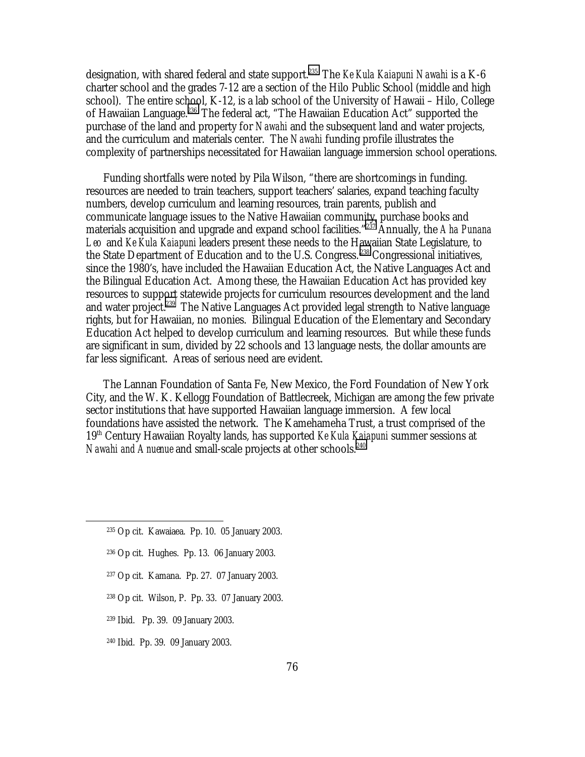designation, with shared federal and state support.235 The *Ke Kula Kaiapuni Nawahi* is a K-6 charter school and the grades 7-12 are a section of the Hilo Public School (middle and high school). The entire school, K-12, is a lab school of the University of Hawaii – Hilo, College of Hawaiian Language.<sup>236</sup> The federal act, "The Hawaiian Education Act" supported the purchase of the land and property for *Nawahi* and the subsequent land and water projects, and the curriculum and materials center. The *Nawahi* funding profile illustrates the complexity of partnerships necessitated for Hawaiian language immersion school operations.

Funding shortfalls were noted by Pila Wilson, "there are shortcomings in funding. resources are needed to train teachers, support teachers' salaries, expand teaching faculty numbers, develop curriculum and learning resources, train parents, publish and communicate language issues to the Native Hawaiian community, purchase books and materials acquisition and upgrade and expand school facilities."237 Annually, the *Aha Punana Leo* and *Ke Kula Kaiapuni* leaders present these needs to the Hawaiian State Legislature, to the State Department of Education and to the U.S. Congress..238 Congressional initiatives, since the 1980's, have included the Hawaiian Education Act, the Native Languages Act and the Bilingual Education Act. Among these, the Hawaiian Education Act has provided key resources to support statewide projects for curriculum resources development and the land and water project.<sup>239</sup> The Native Languages Act provided legal strength to Native language rights, but for Hawaiian, no monies. Bilingual Education of the Elementary and Secondary Education Act helped to develop curriculum and learning resources. But while these funds are significant in sum, divided by 22 schools and 13 language nests, the dollar amounts are far less significant. Areas of serious need are evident.

The Lannan Foundation of Santa Fe, New Mexico, the Ford Foundation of New York City, and the W. K. Kellogg Foundation of Battlecreek, Michigan are among the few private sector institutions that have supported Hawaiian language immersion. A few local foundations have assisted the network. The Kamehameha Trust, a trust comprised of the 19th Century Hawaiian Royalty lands, has supported *Ke Kula Kaiapuni* summer sessions at *Nawahi and Anuenue* and small-scale projects at other schools.<sup>240</sup>

- 235 Op cit. Kawaiaea. Pp. 10. 05 January 2003.
- 236 Op cit. Hughes. Pp. 13. 06 January 2003.
- 237 Op cit. Kamana. Pp. 27. 07 January 2003.
- 238 Op cit. Wilson, P. Pp. 33. 07 January 2003.
- 239 Ibid. Pp. 39. 09 January 2003.
- 240 Ibid. Pp. 39. 09 January 2003.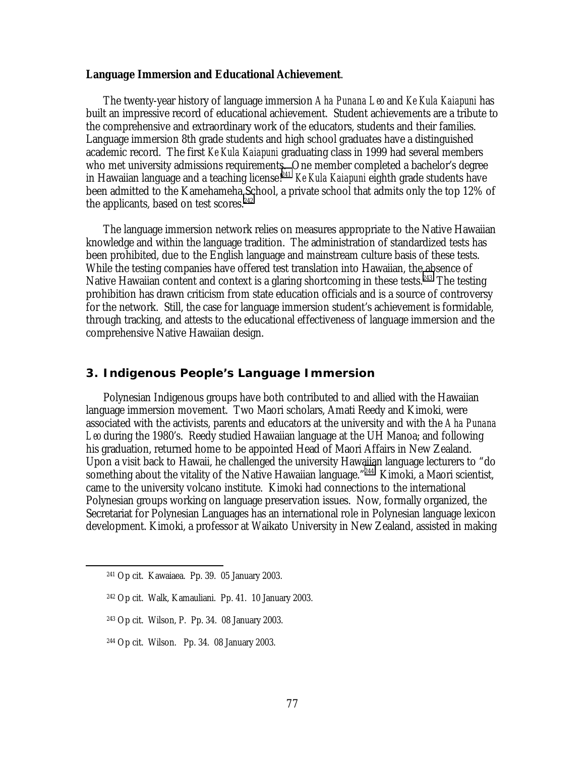#### **Language Immersion and Educational Achievement**.

The twenty-year history of language immersion *Aha Punana Leo* and *Ke Kula Kaiapuni* has built an impressive record of educational achievement. Student achievements are a tribute to the comprehensive and extraordinary work of the educators, students and their families. Language immersion 8th grade students and high school graduates have a distinguished academic record. The first *Ke Kula Kaiapuni* graduating class in 1999 had several members who met university admissions requirements. One member completed a bachelor's degree in Hawaiian language and a teaching license!241 *Ke Kula Kaiapuni* eighth grade students have been admitted to the Kamehameha School, a private school that admits only the top 12% of the applicants, based on test scores. $242$ 

The language immersion network relies on measures appropriate to the Native Hawaiian knowledge and within the language tradition. The administration of standardized tests has been prohibited, due to the English language and mainstream culture basis of these tests. While the testing companies have offered test translation into Hawaiian, the absence of Native Hawaiian content and context is a glaring shortcoming in these tests.<sup>243</sup> The testing prohibition has drawn criticism from state education officials and is a source of controversy for the network. Still, the case for language immersion student's achievement is formidable, through tracking, and attests to the educational effectiveness of language immersion and the comprehensive Native Hawaiian design.

#### **3. Indigenous People's Language Immersion**

Polynesian Indigenous groups have both contributed to and allied with the Hawaiian language immersion movement. Two Maori scholars, Amati Reedy and Kimoki, were associated with the activists, parents and educators at the university and with the *Aha Punana Leo* during the 1980's. Reedy studied Hawaiian language at the UH Manoa; and following his graduation, returned home to be appointed Head of Maori Affairs in New Zealand. Upon a visit back to Hawaii, he challenged the university Hawaiian language lecturers to "do something about the vitality of the Native Hawaiian language."<sup>244</sup> Kimoki, a Maori scientist, came to the university volcano institute. Kimoki had connections to the international Polynesian groups working on language preservation issues. Now, formally organized, the Secretariat for Polynesian Languages has an international role in Polynesian language lexicon development. Kimoki, a professor at Waikato University in New Zealand, assisted in making

- 243 Op cit. Wilson, P. Pp. 34. 08 January 2003.
- 244 Op cit. Wilson. Pp. 34. 08 January 2003.

 <sup>241</sup> Op cit. Kawaiaea. Pp. 39. 05 January 2003.

<sup>242</sup> Op cit. Walk, Kamauliani. Pp. 41. 10 January 2003.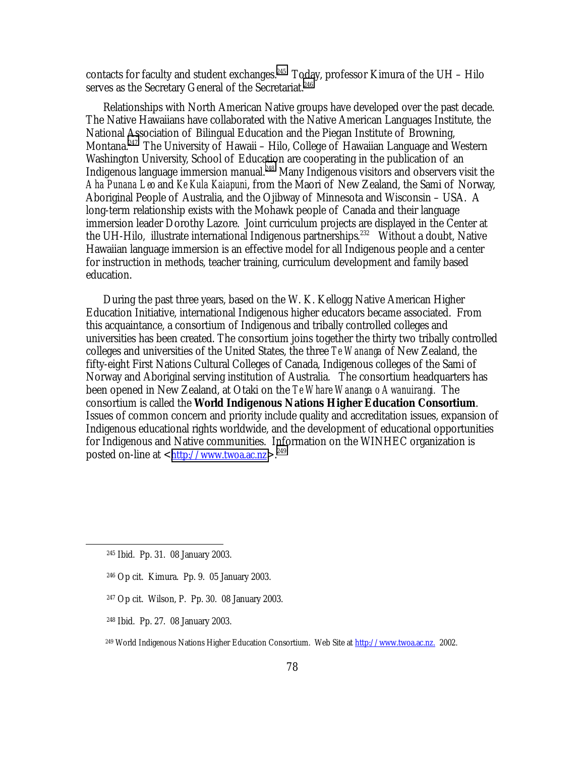contacts for faculty and student exchanges.<sup>245</sup> Today, professor Kimura of the UH - Hilo serves as the Secretary General of the Secretariat.<sup>246</sup>

 Relationships with North American Native groups have developed over the past decade. The Native Hawaiians have collaborated with the Native American Languages Institute, the National Association of Bilingual Education and the Piegan Institute of Browning, Montana.<sup>247</sup> The University of Hawaii – Hilo, College of Hawaiian Language and Western Washington University, School of Education are cooperating in the publication of an Indigenous language immersion manual.<sup>248</sup> Many Indigenous visitors and observers visit the *Aha Punana Leo* and *Ke Kula Kaiapuni*, from the Maori of New Zealand, the Sami of Norway, Aboriginal People of Australia, and the Ojibway of Minnesota and Wisconsin – USA. A long-term relationship exists with the Mohawk people of Canada and their language immersion leader Dorothy Lazore. Joint curriculum projects are displayed in the Center at the UH-Hilo, illustrate international Indigenous partnerships.<sup>232</sup> Without a doubt, Native Hawaiian language immersion is an effective model for all Indigenous people and a center for instruction in methods, teacher training, curriculum development and family based education.

During the past three years, based on the W. K. Kellogg Native American Higher Education Initiative, international Indigenous higher educators became associated. From this acquaintance, a consortium of Indigenous and tribally controlled colleges and universities has been created. The consortium joins together the thirty two tribally controlled colleges and universities of the United States, the three *Te Wananga* of New Zealand, the fifty-eight First Nations Cultural Colleges of Canada, Indigenous colleges of the Sami of Norway and Aboriginal serving institution of Australia. The consortium headquarters has been opened in New Zealand, at Otaki on the *Te Whare Wananga o Awanuirangi.* The consortium is called the **World Indigenous Nations Higher Education Consortium**. Issues of common concern and priority include quality and accreditation issues, expansion of Indigenous educational rights worldwide, and the development of educational opportunities for Indigenous and Native communities. Information on the WINHEC organization is posted on-line at <[http://www.twoa.ac.nz>](http://www.twoa.ac.nz/).<sup>249</sup>

248 Ibid. Pp. 27. 08 January 2003.

 <sup>245</sup> Ibid. Pp. 31. 08 January 2003.

<sup>246</sup> Op cit. Kimura. Pp. 9. 05 January 2003.

<sup>247</sup> Op cit. Wilson, P. Pp. 30. 08 January 2003.

<sup>&</sup>lt;sup>249</sup> World Indigenous Nations Higher Education Consortium. Web Site at http://www.twoa.ac.nz. 2002.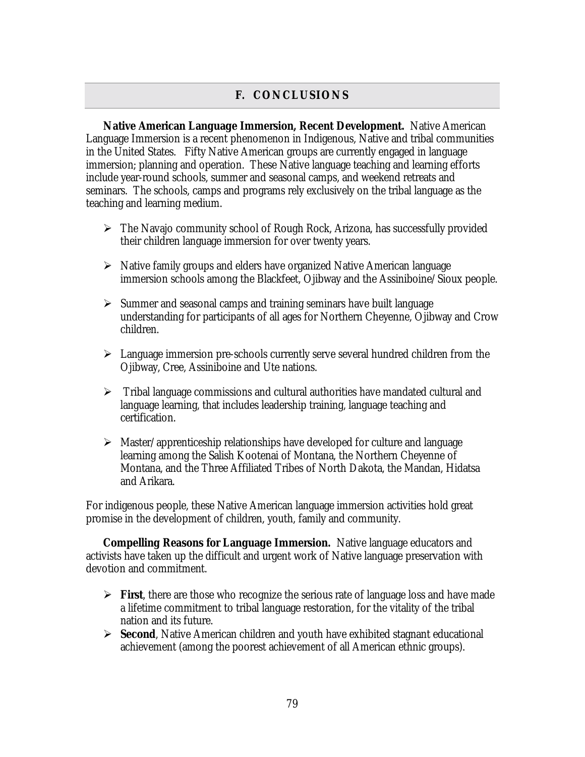## **F. CONCLUSIONS**

**Native American Language Immersion, Recent Development.** Native American Language Immersion is a recent phenomenon in Indigenous, Native and tribal communities in the United States. Fifty Native American groups are currently engaged in language immersion; planning and operation. These Native language teaching and learning efforts include year-round schools, summer and seasonal camps, and weekend retreats and seminars. The schools, camps and programs rely exclusively on the tribal language as the teaching and learning medium.

- $\triangleright$  The Navajo community school of Rough Rock, Arizona, has successfully provided their children language immersion for over twenty years.
- $\triangleright$  Native family groups and elders have organized Native American language immersion schools among the Blackfeet, Ojibway and the Assiniboine/Sioux people.
- $\triangleright$  Summer and seasonal camps and training seminars have built language understanding for participants of all ages for Northern Cheyenne, Ojibway and Crow children.
- $\triangleright$  Language immersion pre-schools currently serve several hundred children from the Ojibway, Cree, Assiniboine and Ute nations.
- $\triangleright$  Tribal language commissions and cultural authorities have mandated cultural and language learning, that includes leadership training, language teaching and certification.
- $\triangleright$  Master/apprenticeship relationships have developed for culture and language learning among the Salish Kootenai of Montana, the Northern Cheyenne of Montana, and the Three Affiliated Tribes of North Dakota, the Mandan, Hidatsa and Arikara.

For indigenous people, these Native American language immersion activities hold great promise in the development of children, youth, family and community.

**Compelling Reasons for Language Immersion.** Native language educators and activists have taken up the difficult and urgent work of Native language preservation with devotion and commitment.

- $\triangleright$  **First**, there are those who recognize the serious rate of language loss and have made a lifetime commitment to tribal language restoration, for the vitality of the tribal nation and its future.
- $\triangleright$  **Second**, Native American children and youth have exhibited stagnant educational achievement (among the poorest achievement of all American ethnic groups).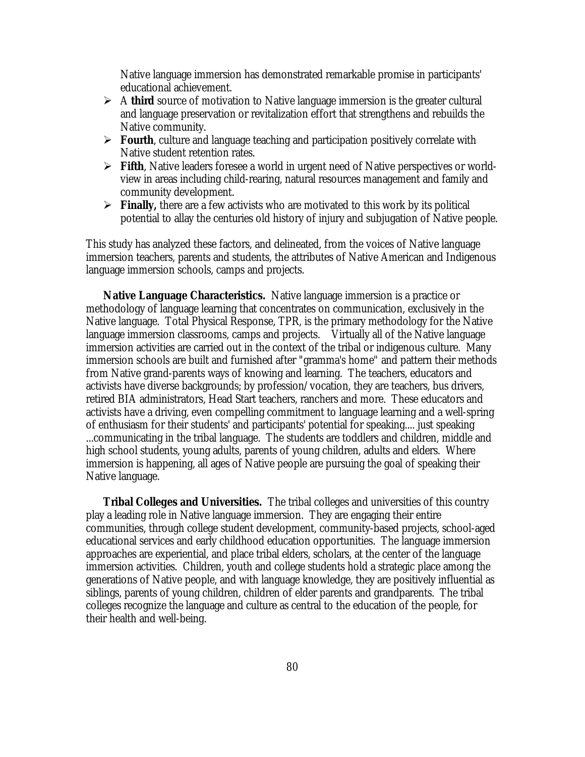Native language immersion has demonstrated remarkable promise in participants' educational achievement.

- $\triangleright$  A **third** source of motivation to Native language immersion is the greater cultural and language preservation or revitalization effort that strengthens and rebuilds the Native community.
- ! **Fourth**, culture and language teaching and participation positively correlate with Native student retention rates.
- ! **Fifth**, Native leaders foresee a world in urgent need of Native perspectives or worldview in areas including child-rearing, natural resources management and family and community development.
- $\triangleright$  **Finally,** there are a few activists who are motivated to this work by its political potential to allay the centuries old history of injury and subjugation of Native people.

This study has analyzed these factors, and delineated, from the voices of Native language immersion teachers, parents and students, the attributes of Native American and Indigenous language immersion schools, camps and projects.

**Native Language Characteristics.** Native language immersion is a practice or methodology of language learning that concentrates on communication, exclusively in the Native language. Total Physical Response, TPR, is the primary methodology for the Native language immersion classrooms, camps and projects. Virtually all of the Native language immersion activities are carried out in the context of the tribal or indigenous culture. Many immersion schools are built and furnished after "gramma's home" and pattern their methods from Native grand-parents ways of knowing and learning. The teachers, educators and activists have diverse backgrounds; by profession/vocation, they are teachers, bus drivers, retired BIA administrators, Head Start teachers, ranchers and more. These educators and activists have a driving, even compelling commitment to language learning and a well-spring of enthusiasm for their students' and participants' potential for speaking.... just speaking ...communicating in the tribal language. The students are toddlers and children, middle and high school students, young adults, parents of young children, adults and elders. Where immersion is happening, all ages of Native people are pursuing the goal of speaking their Native language.

**Tribal Colleges and Universities.** The tribal colleges and universities of this country play a leading role in Native language immersion. They are engaging their entire communities, through college student development, community-based projects, school-aged educational services and early childhood education opportunities. The language immersion approaches are experiential, and place tribal elders, scholars, at the center of the language immersion activities. Children, youth and college students hold a strategic place among the generations of Native people, and with language knowledge, they are positively influential as siblings, parents of young children, children of elder parents and grandparents. The tribal colleges recognize the language and culture as central to the education of the people, for their health and well-being.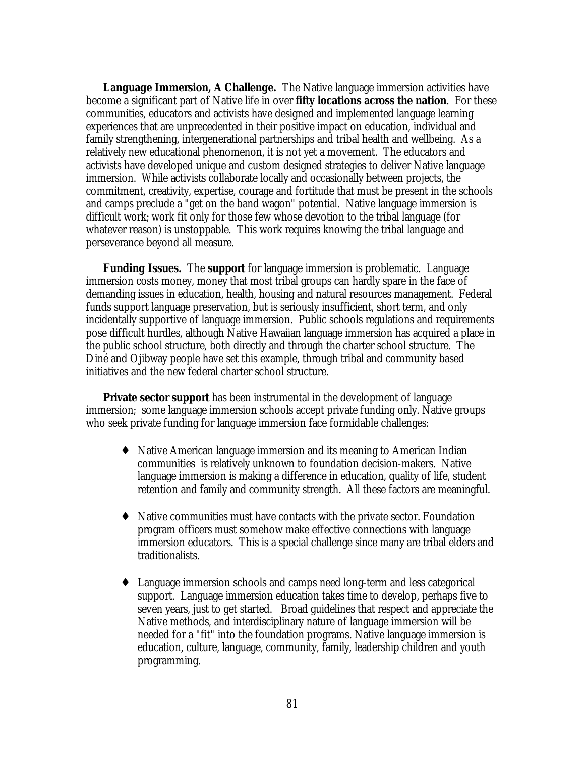**Language Immersion, A Challenge.** The Native language immersion activities have become a significant part of Native life in over **fifty locations across the nation**. For these communities, educators and activists have designed and implemented language learning experiences that are unprecedented in their positive impact on education, individual and family strengthening, intergenerational partnerships and tribal health and wellbeing. As a relatively new educational phenomenon, it is not yet a movement. The educators and activists have developed unique and custom designed strategies to deliver Native language immersion. While activists collaborate locally and occasionally between projects, the commitment, creativity, expertise, courage and fortitude that must be present in the schools and camps preclude a "get on the band wagon" potential. Native language immersion is difficult work; work fit only for those few whose devotion to the tribal language (for whatever reason) is unstoppable. This work requires knowing the tribal language and perseverance beyond all measure.

**Funding Issues.** The **support** for language immersion is problematic. Language immersion costs money, money that most tribal groups can hardly spare in the face of demanding issues in education, health, housing and natural resources management. Federal funds support language preservation, but is seriously insufficient, short term, and only incidentally supportive of language immersion. Public schools regulations and requirements pose difficult hurdles, although Native Hawaiian language immersion has acquired a place in the public school structure, both directly and through the charter school structure. The Diné and Ojibway people have set this example, through tribal and community based initiatives and the new federal charter school structure.

**Private sector support** has been instrumental in the development of language immersion; some language immersion schools accept private funding only. Native groups who seek private funding for language immersion face formidable challenges:

- ♦ Native American language immersion and its meaning to American Indian communities is relatively unknown to foundation decision-makers. Native language immersion is making a difference in education, quality of life, student retention and family and community strength. All these factors are meaningful.
- $\blacklozenge$  Native communities must have contacts with the private sector. Foundation program officers must somehow make effective connections with language immersion educators. This is a special challenge since many are tribal elders and traditionalists.
- ♦ Language immersion schools and camps need long-term and less categorical support. Language immersion education takes time to develop, perhaps five to seven years, just to get started. Broad guidelines that respect and appreciate the Native methods, and interdisciplinary nature of language immersion will be needed for a "fit" into the foundation programs. Native language immersion is education, culture, language, community, family, leadership children and youth programming.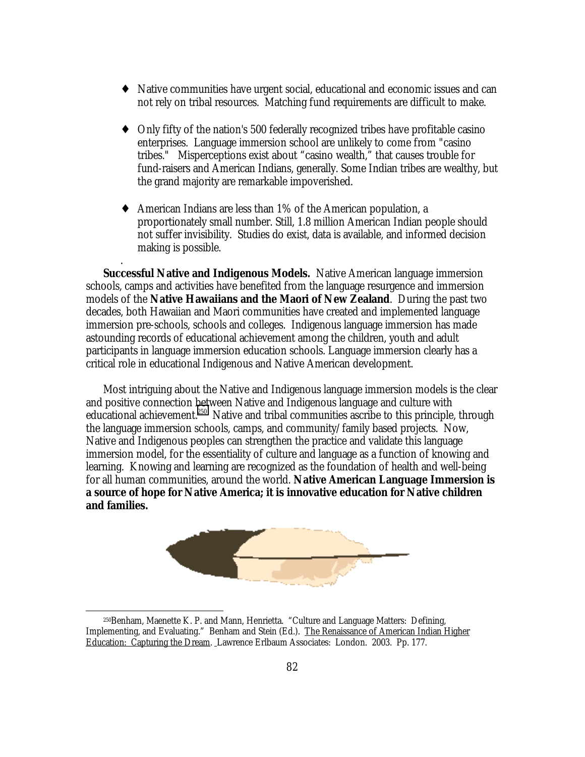- ♦ Native communities have urgent social, educational and economic issues and can not rely on tribal resources. Matching fund requirements are difficult to make.
- ♦ Only fifty of the nation's 500 federally recognized tribes have profitable casino enterprises. Language immersion school are unlikely to come from "casino tribes." Misperceptions exist about "casino wealth," that causes trouble for fund-raisers and American Indians, generally. Some Indian tribes are wealthy, but the grand majority are remarkable impoverished.
- ♦ American Indians are less than 1% of the American population, a proportionately small number. Still, 1.8 million American Indian people should not suffer invisibility. Studies do exist, data is available, and informed decision making is possible.

**Successful Native and Indigenous Models.** Native American language immersion schools, camps and activities have benefited from the language resurgence and immersion models of the **Native Hawaiians and the Maori of New Zealand**. During the past two decades, both Hawaiian and Maori communities have created and implemented language immersion pre-schools, schools and colleges. Indigenous language immersion has made astounding records of educational achievement among the children, youth and adult participants in language immersion education schools. Language immersion clearly has a critical role in educational Indigenous and Native American development.

.

Most intriguing about the Native and Indigenous language immersion models is the clear and positive connection between Native and Indigenous language and culture with educational achievement.<sup>250</sup> Native and tribal communities ascribe to this principle, through the language immersion schools, camps, and community/family based projects. Now, Native and Indigenous peoples can strengthen the practice and validate this language immersion model, for the essentiality of culture and language as a function of knowing and learning. Knowing and learning are recognized as the foundation of health and well-being for all human communities, around the world. **Native American Language Immersion is a source of hope for Native America; it is innovative education for Native children and families.** 



 <sup>250</sup>Benham, Maenette K. P. and Mann, Henrietta. "Culture and Language Matters: Defining, Implementing, and Evaluating." Benham and Stein (Ed.). The Renaissance of American Indian Higher Education: Capturing the Dream. Lawrence Erlbaum Associates: London. 2003. Pp. 177.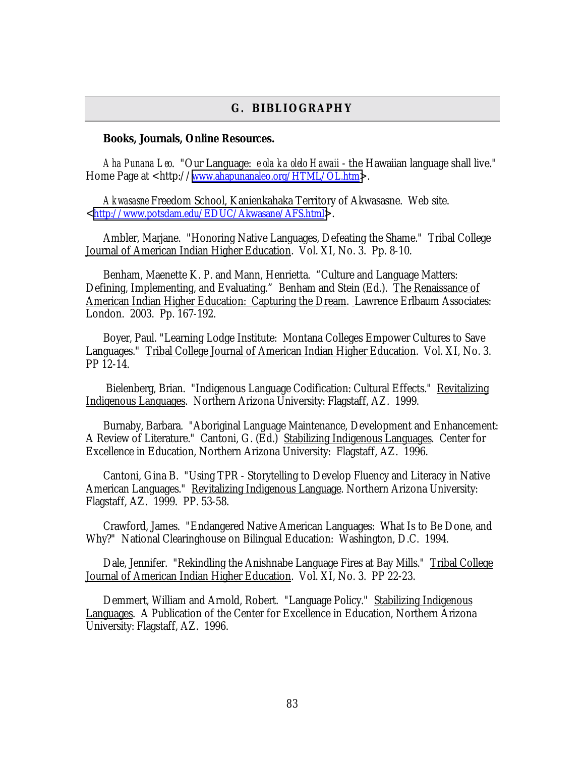### **G. BIBLIOGRAPHY**

#### **Books, Journals, Online Resources.**

*Aha Punana Leo*. "Our Language: *e ola ka olelo Hawaii* - the Hawaiian language shall live." Home Page at <http://[www.ahapunanaleo.org/HTML/OL.htm>](http://www.ahapunanaleo.org/HTML/OL.htm).

*Akwasasne* Freedom School, Kanienkahaka Territory of Akwasasne. Web site. [<http://www.potsdam.edu/EDUC/Akwasane/AFS.html>](http://www.potsdam.edu/EDUC/Akwasane/AFS.html).

Ambler, Marjane. "Honoring Native Languages, Defeating the Shame." Tribal College Journal of American Indian Higher Education. Vol. XI, No. 3. Pp. 8-10.

Benham, Maenette K. P. and Mann, Henrietta. "Culture and Language Matters: Defining, Implementing, and Evaluating." Benham and Stein (Ed.). The Renaissance of American Indian Higher Education: Capturing the Dream. Lawrence Erlbaum Associates: London. 2003. Pp. 167-192.

Boyer, Paul. "Learning Lodge Institute: Montana Colleges Empower Cultures to Save Languages." Tribal College Journal of American Indian Higher Education. Vol. XI, No. 3. PP 12-14.

 Bielenberg, Brian. "Indigenous Language Codification: Cultural Effects." Revitalizing Indigenous Languages. Northern Arizona University: Flagstaff, AZ. 1999.

Burnaby, Barbara. "Aboriginal Language Maintenance, Development and Enhancement: A Review of Literature." Cantoni, G. (Ed.) Stabilizing Indigenous Languages. Center for Excellence in Education, Northern Arizona University: Flagstaff, AZ. 1996.

Cantoni, Gina B. "Using TPR - Storytelling to Develop Fluency and Literacy in Native American Languages." Revitalizing Indigenous Language. Northern Arizona University: Flagstaff, AZ. 1999. PP. 53-58.

Crawford, James. "Endangered Native American Languages: What Is to Be Done, and Why?" National Clearinghouse on Bilingual Education: Washington, D.C. 1994.

Dale, Jennifer. "Rekindling the Anishnabe Language Fires at Bay Mills." Tribal College Journal of American Indian Higher Education. Vol. XI, No. 3. PP 22-23.

Demmert, William and Arnold, Robert. "Language Policy." Stabilizing Indigenous Languages. A Publication of the Center for Excellence in Education, Northern Arizona University: Flagstaff, AZ. 1996.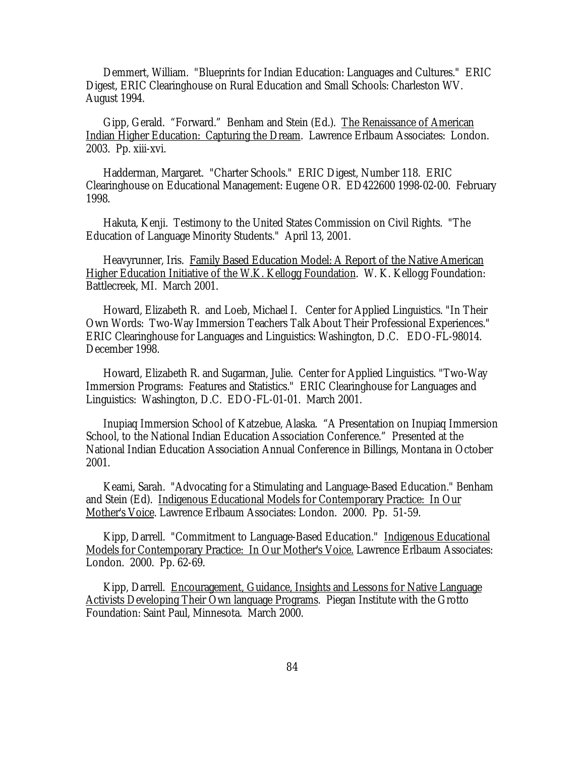Demmert, William. "Blueprints for Indian Education: Languages and Cultures." ERIC Digest, ERIC Clearinghouse on Rural Education and Small Schools: Charleston WV. August 1994.

Gipp, Gerald. "Forward." Benham and Stein (Ed.). The Renaissance of American Indian Higher Education: Capturing the Dream. Lawrence Erlbaum Associates: London. 2003. Pp. xiii-xvi.

Hadderman, Margaret. "Charter Schools." ERIC Digest, Number 118. ERIC Clearinghouse on Educational Management: Eugene OR. ED422600 1998-02-00. February 1998.

Hakuta, Kenji. Testimony to the United States Commission on Civil Rights. "The Education of Language Minority Students." April 13, 2001.

Heavyrunner, Iris. Family Based Education Model: A Report of the Native American Higher Education Initiative of the W.K. Kellogg Foundation. W. K. Kellogg Foundation: Battlecreek, MI. March 2001.

Howard, Elizabeth R. and Loeb, Michael I. Center for Applied Linguistics. "In Their Own Words: Two-Way Immersion Teachers Talk About Their Professional Experiences." ERIC Clearinghouse for Languages and Linguistics: Washington, D.C. EDO-FL-98014. December 1998.

Howard, Elizabeth R. and Sugarman, Julie. Center for Applied Linguistics. "Two-Way Immersion Programs: Features and Statistics." ERIC Clearinghouse for Languages and Linguistics: Washington, D.C. EDO-FL-01-01. March 2001.

Inupiaq Immersion School of Katzebue, Alaska. "A Presentation on Inupiaq Immersion School, to the National Indian Education Association Conference." Presented at the National Indian Education Association Annual Conference in Billings, Montana in October 2001.

Keami, Sarah. "Advocating for a Stimulating and Language-Based Education." Benham and Stein (Ed). Indigenous Educational Models for Contemporary Practice: In Our Mother's Voice. Lawrence Erlbaum Associates: London. 2000. Pp. 51-59.

Kipp, Darrell. "Commitment to Language-Based Education." Indigenous Educational Models for Contemporary Practice: In Our Mother's Voice. Lawrence Erlbaum Associates: London. 2000. Pp. 62-69.

Kipp, Darrell. Encouragement, Guidance, Insights and Lessons for Native Language Activists Developing Their Own language Programs. Piegan Institute with the Grotto Foundation: Saint Paul, Minnesota. March 2000.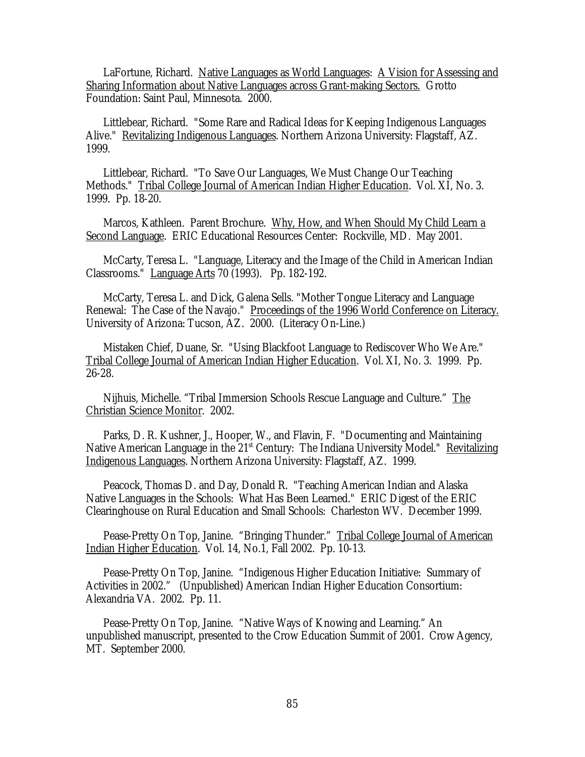LaFortune, Richard. Native Languages as World Languages: A Vision for Assessing and Sharing Information about Native Languages across Grant-making Sectors. Grotto Foundation: Saint Paul, Minnesota. 2000.

Littlebear, Richard. "Some Rare and Radical Ideas for Keeping Indigenous Languages Alive." Revitalizing Indigenous Languages. Northern Arizona University: Flagstaff, AZ. 1999.

Littlebear, Richard. "To Save Our Languages, We Must Change Our Teaching Methods." Tribal College Journal of American Indian Higher Education. Vol. XI, No. 3. 1999. Pp. 18-20.

Marcos, Kathleen. Parent Brochure. Why, How, and When Should My Child Learn a Second Language. ERIC Educational Resources Center: Rockville, MD. May 2001.

McCarty, Teresa L. "Language, Literacy and the Image of the Child in American Indian Classrooms." Language Arts 70 (1993). Pp. 182-192.

McCarty, Teresa L. and Dick, Galena Sells. "Mother Tongue Literacy and Language Renewal: The Case of the Navajo." Proceedings of the 1996 World Conference on Literacy. University of Arizona: Tucson, AZ. 2000. (Literacy On-Line.)

Mistaken Chief, Duane, Sr. "Using Blackfoot Language to Rediscover Who We Are." Tribal College Journal of American Indian Higher Education. Vol. XI, No. 3. 1999. Pp. 26-28.

Nijhuis, Michelle. "Tribal Immersion Schools Rescue Language and Culture." The Christian Science Monitor. 2002.

Parks, D. R. Kushner, J., Hooper, W., and Flavin, F. "Documenting and Maintaining Native American Language in the  $21<sup>st</sup>$  Century: The Indiana University Model." Revitalizing Indigenous Languages. Northern Arizona University: Flagstaff, AZ. 1999.

Peacock, Thomas D. and Day, Donald R. "Teaching American Indian and Alaska Native Languages in the Schools: What Has Been Learned." ERIC Digest of the ERIC Clearinghouse on Rural Education and Small Schools: Charleston WV. December 1999.

Pease-Pretty On Top, Janine. "Bringing Thunder." Tribal College Journal of American Indian Higher Education. Vol. 14, No.1, Fall 2002. Pp. 10-13.

Pease-Pretty On Top, Janine. "Indigenous Higher Education Initiative: Summary of Activities in 2002." (Unpublished) American Indian Higher Education Consortium: Alexandria VA. 2002. Pp. 11.

Pease-Pretty On Top, Janine. "Native Ways of Knowing and Learning." An unpublished manuscript, presented to the Crow Education Summit of 2001. Crow Agency, MT. September 2000.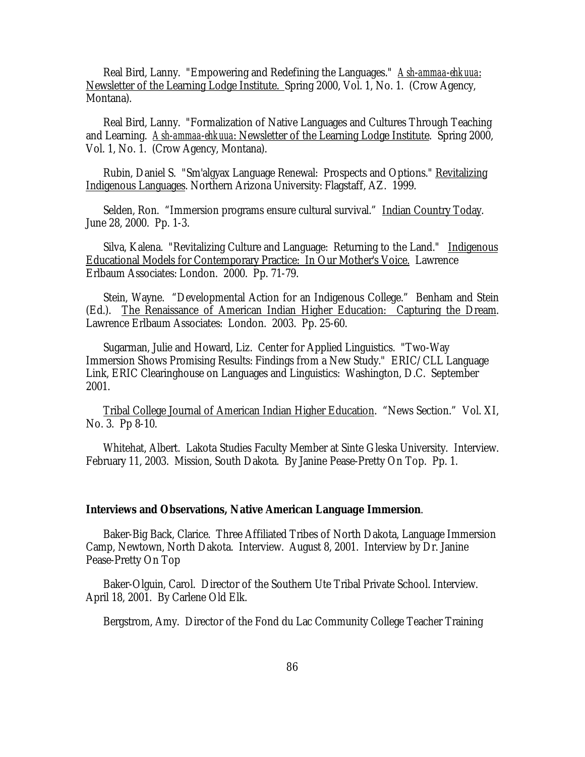Real Bird, Lanny. "Empowering and Redefining the Languages." *Ash*-*ammaa*-*ehkuua*: Newsletter of the Learning Lodge Institute. Spring 2000, Vol. 1, No. 1. (Crow Agency, Montana).

Real Bird, Lanny. "Formalization of Native Languages and Cultures Through Teaching and Learning. *Ash*-*ammaa*-*ehkuua*: Newsletter of the Learning Lodge Institute. Spring 2000, Vol. 1, No. 1. (Crow Agency, Montana).

Rubin, Daniel S. "Sm'algyax Language Renewal: Prospects and Options." Revitalizing Indigenous Languages. Northern Arizona University: Flagstaff, AZ. 1999.

Selden, Ron. "Immersion programs ensure cultural survival." Indian Country Today. June 28, 2000. Pp. 1-3.

Silva, Kalena. "Revitalizing Culture and Language: Returning to the Land." Indigenous Educational Models for Contemporary Practice: In Our Mother's Voice. Lawrence Erlbaum Associates: London. 2000. Pp. 71-79.

Stein, Wayne. "Developmental Action for an Indigenous College." Benham and Stein (Ed.). The Renaissance of American Indian Higher Education: Capturing the Dream. Lawrence Erlbaum Associates: London. 2003. Pp. 25-60.

Sugarman, Julie and Howard, Liz. Center for Applied Linguistics. "Two-Way Immersion Shows Promising Results: Findings from a New Study." ERIC/CLL Language Link, ERIC Clearinghouse on Languages and Linguistics: Washington, D.C. September 2001.

 Tribal College Journal of American Indian Higher Education. "News Section." Vol. XI, No. 3. Pp 8-10.

Whitehat, Albert. Lakota Studies Faculty Member at Sinte Gleska University. Interview. February 11, 2003. Mission, South Dakota. By Janine Pease-Pretty On Top. Pp. 1.

#### **Interviews and Observations, Native American Language Immersion**.

Baker-Big Back, Clarice. Three Affiliated Tribes of North Dakota, Language Immersion Camp, Newtown, North Dakota. Interview. August 8, 2001. Interview by Dr. Janine Pease-Pretty On Top

Baker-Olguin, Carol. Director of the Southern Ute Tribal Private School. Interview. April 18, 2001. By Carlene Old Elk.

Bergstrom, Amy. Director of the Fond du Lac Community College Teacher Training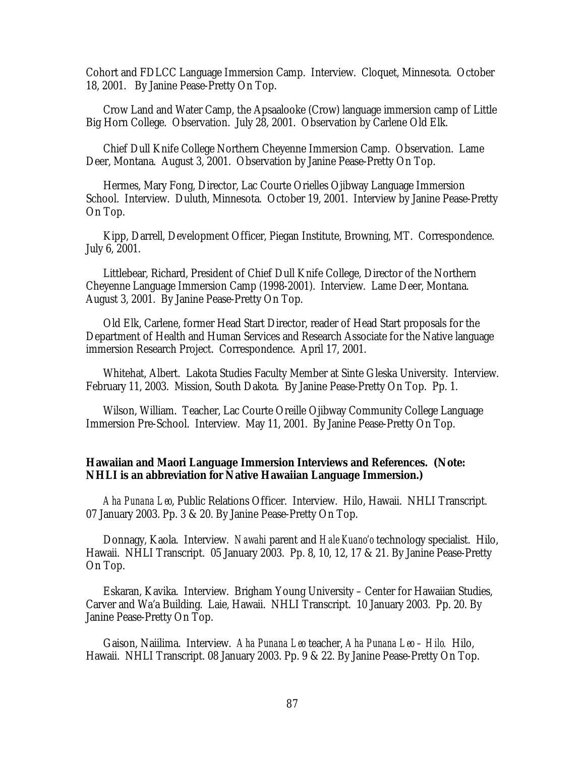Cohort and FDLCC Language Immersion Camp. Interview. Cloquet, Minnesota. October 18, 2001. By Janine Pease-Pretty On Top.

Crow Land and Water Camp, the Apsaalooke (Crow) language immersion camp of Little Big Horn College. Observation. July 28, 2001. Observation by Carlene Old Elk.

Chief Dull Knife College Northern Cheyenne Immersion Camp. Observation. Lame Deer, Montana. August 3, 2001. Observation by Janine Pease-Pretty On Top.

Hermes, Mary Fong, Director, Lac Courte Orielles Ojibway Language Immersion School. Interview. Duluth, Minnesota. October 19, 2001. Interview by Janine Pease-Pretty On Top.

Kipp, Darrell, Development Officer, Piegan Institute, Browning, MT. Correspondence. July 6, 2001.

Littlebear, Richard, President of Chief Dull Knife College, Director of the Northern Cheyenne Language Immersion Camp (1998-2001). Interview. Lame Deer, Montana. August 3, 2001. By Janine Pease-Pretty On Top.

Old Elk, Carlene, former Head Start Director, reader of Head Start proposals for the Department of Health and Human Services and Research Associate for the Native language immersion Research Project. Correspondence. April 17, 2001.

Whitehat, Albert. Lakota Studies Faculty Member at Sinte Gleska University. Interview. February 11, 2003. Mission, South Dakota. By Janine Pease-Pretty On Top. Pp. 1.

Wilson, William. Teacher, Lac Courte Oreille Ojibway Community College Language Immersion Pre-School. Interview. May 11, 2001. By Janine Pease-Pretty On Top.

#### **Hawaiian and Maori Language Immersion Interviews and References. (Note: NHLI is an abbreviation for Native Hawaiian Language Immersion.)**

*Aha Punana Leo*, Public Relations Officer. Interview. Hilo, Hawaii. NHLI Transcript. 07 January 2003. Pp. 3 & 20. By Janine Pease-Pretty On Top.

Donnagy, Kaola. Interview. *Nawahi* parent and *Hale Kuano'o* technology specialist. Hilo, Hawaii. NHLI Transcript. 05 January 2003. Pp. 8, 10, 12, 17 & 21. By Janine Pease-Pretty On Top.

Eskaran, Kavika. Interview. Brigham Young University – Center for Hawaiian Studies, Carver and Wa'a Building. Laie, Hawaii. NHLI Transcript. 10 January 2003. Pp. 20. By Janine Pease-Pretty On Top.

Gaison, Naiilima. Interview. *Aha Punana Leo* teacher, *Aha Punana Leo – Hilo.* Hilo, Hawaii. NHLI Transcript. 08 January 2003. Pp. 9 & 22. By Janine Pease-Pretty On Top.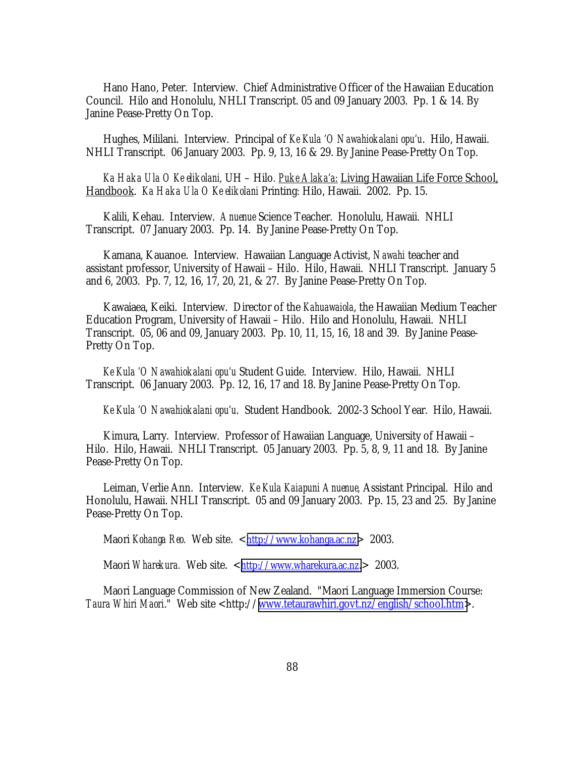Hano Hano, Peter. Interview. Chief Administrative Officer of the Hawaiian Education Council. Hilo and Honolulu, NHLI Transcript. 05 and 09 January 2003. Pp. 1 & 14. By Janine Pease-Pretty On Top.

Hughes, Mililani. Interview. Principal of *Ke Kula 'O Nawahiokalani opu'u*.Hilo, Hawaii. NHLI Transcript. 06 January 2003. Pp. 9, 13, 16 & 29. By Janine Pease-Pretty On Top.

*Ka Haka Ula O Ke elikolani,* UH – Hilo*. Puke Alaka'a:* Living Hawaiian Life Force School, Handbook. *Ka Haka Ula O Ke elikolani* Printing*:* Hilo, Hawaii. 2002. Pp. 15.

Kalili, Kehau. Interview. *Anuenue* Science Teacher. Honolulu, Hawaii. NHLI Transcript. 07 January 2003. Pp. 14. By Janine Pease-Pretty On Top.

Kamana, Kauanoe. Interview. Hawaiian Language Activist, *Nawahi* teacher and assistant professor, University of Hawaii – Hilo. Hilo, Hawaii. NHLI Transcript. January 5 and 6, 2003. Pp. 7, 12, 16, 17, 20, 21, & 27. By Janine Pease-Pretty On Top.

Kawaiaea, Keiki. Interview. Director of the *Kahuawaiola*, the Hawaiian Medium Teacher Education Program, University of Hawaii – Hilo. Hilo and Honolulu, Hawaii. NHLI Transcript. 05, 06 and 09, January 2003. Pp. 10, 11, 15, 16, 18 and 39. By Janine Pease-Pretty On Top.

*Ke Kula 'O Nawahiokalani opu'u* Student Guide. Interview. Hilo, Hawaii. NHLI Transcript. 06 January 2003. Pp. 12, 16, 17 and 18. By Janine Pease-Pretty On Top.

*Ke Kula 'O Nawahiokalani opu'u*. Student Handbook. 2002-3 School Year. Hilo, Hawaii.

Kimura, Larry. Interview. Professor of Hawaiian Language, University of Hawaii – Hilo. Hilo, Hawaii. NHLI Transcript. 05 January 2003. Pp. 5, 8, 9, 11 and 18. By Janine Pease-Pretty On Top.

Leiman, Verlie Ann. Interview. *Ke Kula Kaiapuni Anuenue,* Assistant Principal. Hilo and Honolulu, Hawaii. NHLI Transcript. 05 and 09 January 2003. Pp. 15, 23 and 25. By Janine Pease-Pretty On Top.

Maori *Kohanga Reo.* Web site. <[http://www.kohanga.ac.nz>](http://www.kohanga.ac.nz/) 2003.

Maori *Wharekura.* Web site. <[http://www.wharekura.ac.nz.](http://www.wharekura.ac.nz/)> 2003.

Maori Language Commission of New Zealand. "Maori Language Immersion Course: *Taura Whiri Maori.*" Web site <http://<u>www.tetaurawhiri.govt.nz/english/school.htm</u>>.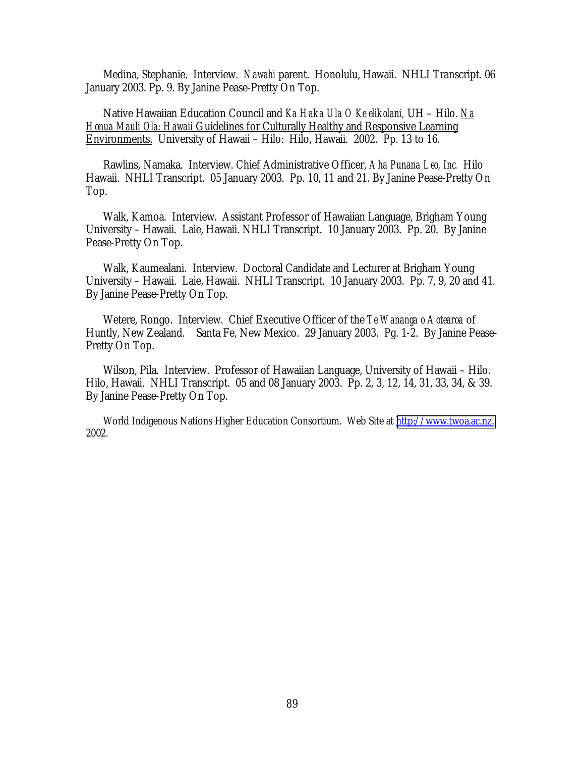Medina, Stephanie. Interview. *Nawahi* parent. Honolulu, Hawaii. NHLI Transcript. 06 January 2003. Pp. 9. By Janine Pease-Pretty On Top.

Native Hawaiian Education Council and *Ka Haka Ula O Ke elikolani,* UH – Hilo*. Na Honua Mauli Ola: Hawaii* Guidelines for Culturally Healthy and Responsive Learning Environments. University of Hawaii – Hilo: Hilo, Hawaii. 2002. Pp. 13 to 16.

Rawlins, Namaka. Interview. Chief Administrative Officer, *Aha Punana Leo, Inc.* Hilo Hawaii. NHLI Transcript. 05 January 2003. Pp. 10, 11 and 21. By Janine Pease-Pretty On Top.

Walk, Kamoa. Interview. Assistant Professor of Hawaiian Language, Brigham Young University – Hawaii. Laie, Hawaii. NHLI Transcript. 10 January 2003. Pp. 20. By Janine Pease-Pretty On Top.

Walk, Kaumealani. Interview. Doctoral Candidate and Lecturer at Brigham Young University – Hawaii. Laie, Hawaii. NHLI Transcript. 10 January 2003. Pp. 7, 9, 20 and 41. By Janine Pease-Pretty On Top.

Wetere, Rongo. Interview. Chief Executive Officer of the *Te Wananga o Aotearoa* of Huntly, New Zealand*.* Santa Fe, New Mexico. 29 January 2003. Pg. 1-2. By Janine Pease-Pretty On Top.

Wilson, Pila. Interview. Professor of Hawaiian Language, University of Hawaii – Hilo. Hilo, Hawaii. NHLI Transcript. 05 and 08 January 2003. Pp. 2, 3, 12, 14, 31, 33, 34, & 39. By Janine Pease-Pretty On Top.

World Indigenous Nations Higher Education Consortium. Web Site at http://www.twoa.ac.nz. 2002.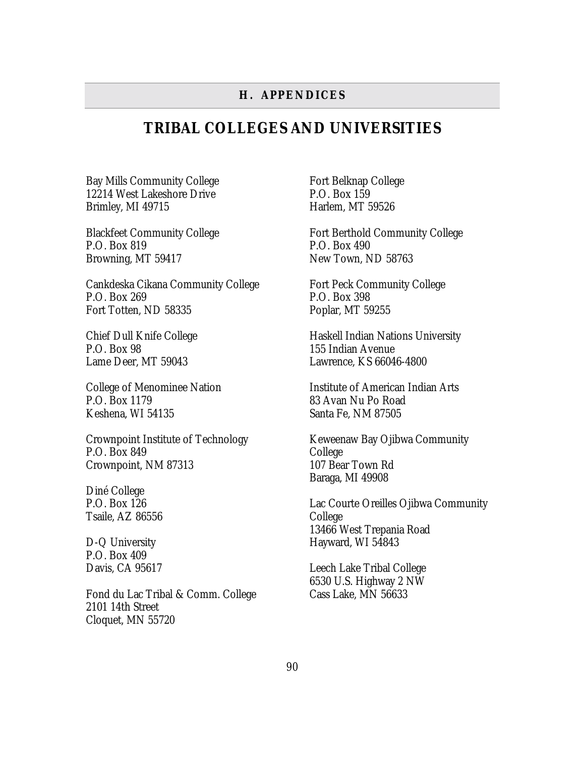## **H. APPENDICES**

# **TRIBAL COLLEGES AND UNIVERSITIES**

Bay Mills Community College 12214 West Lakeshore Drive Brimley, MI 49715

Blackfeet Community College P.O. Box 819 Browning, MT 59417

Cankdeska Cikana Community College P.O. Box 269 Fort Totten, ND 58335

Chief Dull Knife College P.O. Box 98 Lame Deer, MT 59043

College of Menominee Nation P.O. Box 1179 Keshena, WI 54135

Crownpoint Institute of Technology P.O. Box 849 Crownpoint, NM 87313

Diné College P.O. Box 126 Tsaile, AZ 86556

D-Q University P.O. Box 409 Davis, CA 95617

Fond du Lac Tribal & Comm. College 2101 14th Street Cloquet, MN 55720

Fort Belknap College P.O. Box 159 Harlem, MT 59526

Fort Berthold Community College P.O. Box 490 New Town, ND 58763

Fort Peck Community College P.O. Box 398 Poplar, MT 59255

Haskell Indian Nations University 155 Indian Avenue Lawrence, KS 66046-4800

Institute of American Indian Arts 83 Avan Nu Po Road Santa Fe, NM 87505

Keweenaw Bay Ojibwa Community College 107 Bear Town Rd Baraga, MI 49908

Lac Courte Oreilles Ojibwa Community College 13466 West Trepania Road Hayward, WI 54843

Leech Lake Tribal College 6530 U.S. Highway 2 NW Cass Lake, MN 56633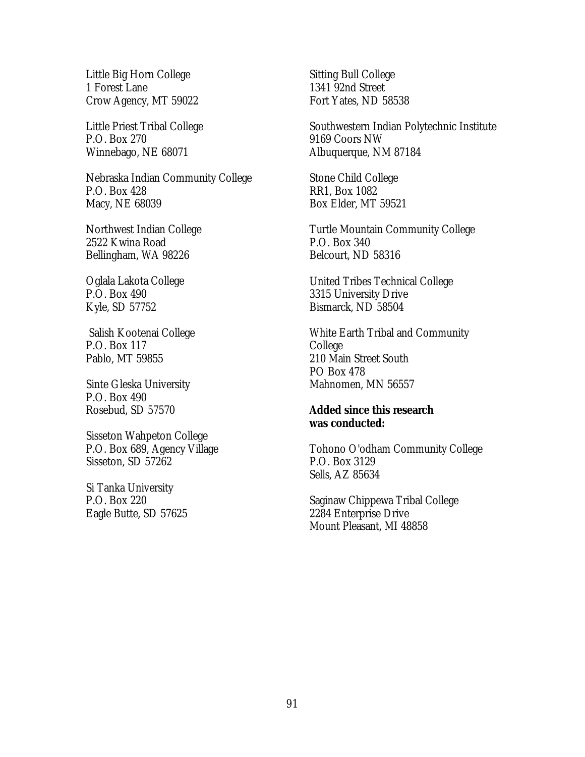Little Big Horn College 1 Forest Lane Crow Agency, MT 59022

Little Priest Tribal College P.O. Box 270 Winnebago, NE 68071

Nebraska Indian Community College P.O. Box 428 Macy, NE 68039

Northwest Indian College 2522 Kwina Road Bellingham, WA 98226

Oglala Lakota College P.O. Box 490 Kyle, SD 57752

 Salish Kootenai College P.O. Box 117 Pablo, MT 59855

Sinte Gleska University P.O. Box 490 Rosebud, SD 57570

Sisseton Wahpeton College P.O. Box 689, Agency Village Sisseton, SD 57262

Si Tanka University P.O. Box 220 Eagle Butte, SD 57625 Sitting Bull College 1341 92nd Street Fort Yates, ND 58538

Southwestern Indian Polytechnic Institute 9169 Coors NW Albuquerque, NM 87184

Stone Child College RR1, Box 1082 Box Elder, MT 59521

Turtle Mountain Community College P.O. Box 340 Belcourt, ND 58316

United Tribes Technical College 3315 University Drive Bismarck, ND 58504

White Earth Tribal and Community College 210 Main Street South PO Box 478 Mahnomen, MN 56557

### **Added since this research was conducted:**

Tohono O'odham Community College P.O. Box 3129 Sells, AZ 85634

Saginaw Chippewa Tribal College 2284 Enterprise Drive Mount Pleasant, MI 48858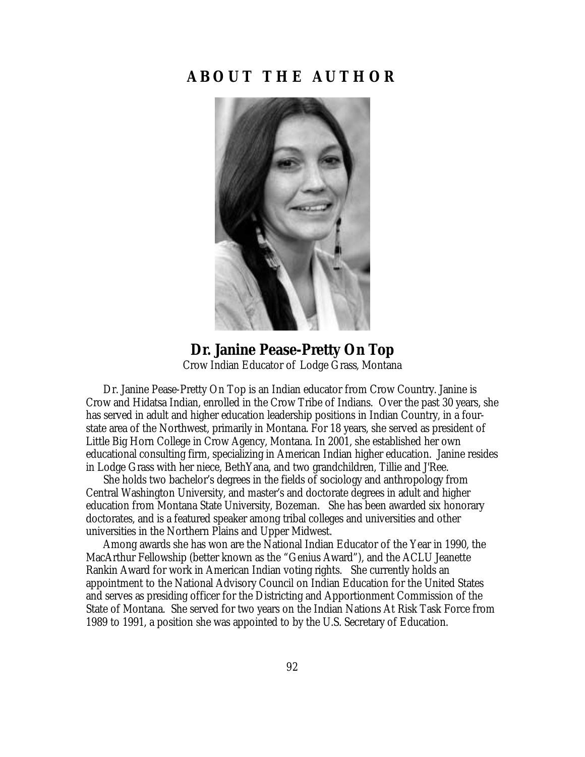# **ABOUT THE AUTHOR**



**Dr. Janine Pease-Pretty On Top**  Crow Indian Educator of Lodge Grass, Montana

Dr. Janine Pease-Pretty On Top is an Indian educator from Crow Country. Janine is Crow and Hidatsa Indian, enrolled in the Crow Tribe of Indians. Over the past 30 years, she has served in adult and higher education leadership positions in Indian Country, in a fourstate area of the Northwest, primarily in Montana. For 18 years, she served as president of Little Big Horn College in Crow Agency, Montana. In 2001, she established her own educational consulting firm, specializing in American Indian higher education. Janine resides in Lodge Grass with her niece, BethYana, and two grandchildren, Tillie and J'Ree.

She holds two bachelor's degrees in the fields of sociology and anthropology from Central Washington University, and master's and doctorate degrees in adult and higher education from Montana State University, Bozeman. She has been awarded six honorary doctorates, and is a featured speaker among tribal colleges and universities and other universities in the Northern Plains and Upper Midwest.

Among awards she has won are the National Indian Educator of the Year in 1990, the MacArthur Fellowship (better known as the "Genius Award"), and the ACLU Jeanette Rankin Award for work in American Indian voting rights. She currently holds an appointment to the National Advisory Council on Indian Education for the United States and serves as presiding officer for the Districting and Apportionment Commission of the State of Montana. She served for two years on the Indian Nations At Risk Task Force from 1989 to 1991, a position she was appointed to by the U.S. Secretary of Education.